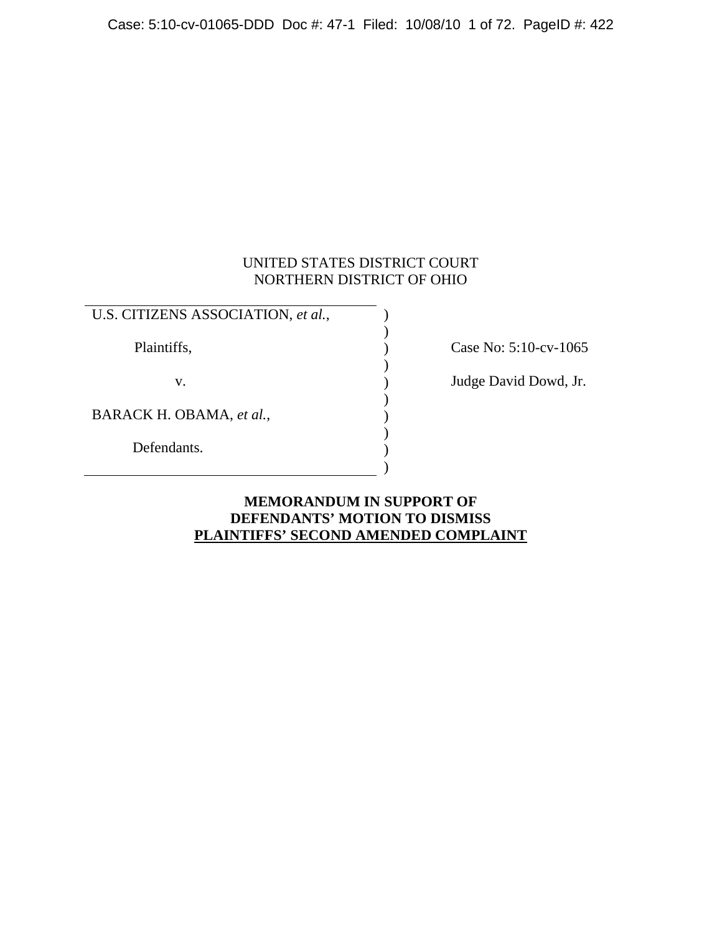Case: 5:10-cv-01065-DDD Doc #: 47-1 Filed: 10/08/10 1 of 72. PageID #: 422

## UNITED STATES DISTRICT COURT NORTHERN DISTRICT OF OHIO

| U.S. CITIZENS ASSOCIATION, et al., |  |
|------------------------------------|--|
| Plaintiffs,                        |  |
| V.                                 |  |
| BARACK H. OBAMA, et al.,           |  |
| Defendants.                        |  |
|                                    |  |

 $\sum_{\text{Case No: } 5:10-cv-1065}$ 

) Judge David Dowd, Jr.

## **MEMORANDUM IN SUPPORT OF DEFENDANTS' MOTION TO DISMISS PLAINTIFFS' SECOND AMENDED COMPLAINT**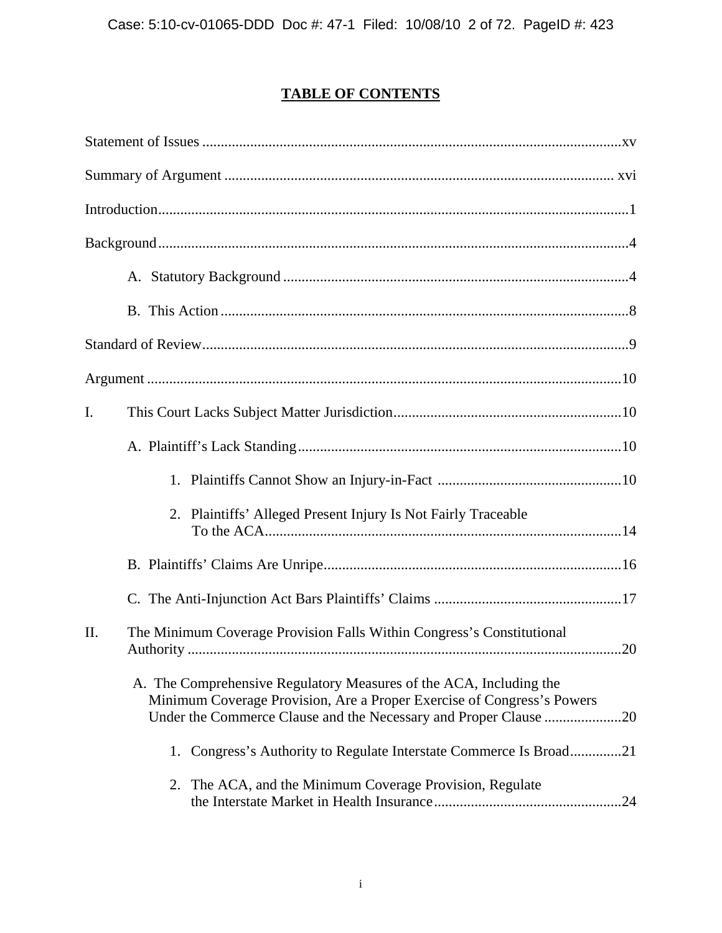## **TABLE OF CONTENTS**

| $\mathbf{I}$ .                                                                                                                                                                                                       |
|----------------------------------------------------------------------------------------------------------------------------------------------------------------------------------------------------------------------|
|                                                                                                                                                                                                                      |
|                                                                                                                                                                                                                      |
| 2. Plaintiffs' Alleged Present Injury Is Not Fairly Traceable                                                                                                                                                        |
|                                                                                                                                                                                                                      |
|                                                                                                                                                                                                                      |
| II.<br>The Minimum Coverage Provision Falls Within Congress's Constitutional                                                                                                                                         |
| A. The Comprehensive Regulatory Measures of the ACA, Including the<br>Minimum Coverage Provision, Are a Proper Exercise of Congress's Powers<br>Under the Commerce Clause and the Necessary and Proper Clause<br>.20 |
| 1. Congress's Authority to Regulate Interstate Commerce Is Broad21                                                                                                                                                   |
| 2. The ACA, and the Minimum Coverage Provision, Regulate<br>.24                                                                                                                                                      |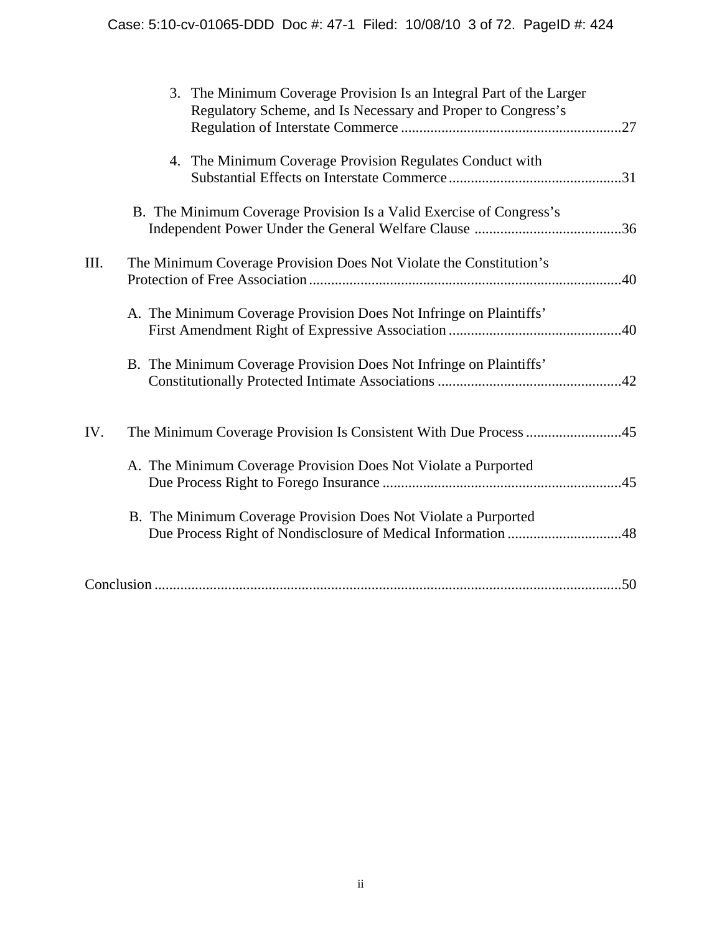|      | The Minimum Coverage Provision Is an Integral Part of the Larger<br>3.<br>Regulatory Scheme, and Is Necessary and Proper to Congress's |    |
|------|----------------------------------------------------------------------------------------------------------------------------------------|----|
|      | 4. The Minimum Coverage Provision Regulates Conduct with                                                                               |    |
|      | B. The Minimum Coverage Provision Is a Valid Exercise of Congress's                                                                    |    |
| III. | The Minimum Coverage Provision Does Not Violate the Constitution's                                                                     |    |
|      | A. The Minimum Coverage Provision Does Not Infringe on Plaintiffs'                                                                     |    |
|      | B. The Minimum Coverage Provision Does Not Infringe on Plaintiffs'                                                                     |    |
| IV.  | The Minimum Coverage Provision Is Consistent With Due Process 45                                                                       |    |
|      | A. The Minimum Coverage Provision Does Not Violate a Purported                                                                         |    |
|      | B. The Minimum Coverage Provision Does Not Violate a Purported                                                                         |    |
|      |                                                                                                                                        | 50 |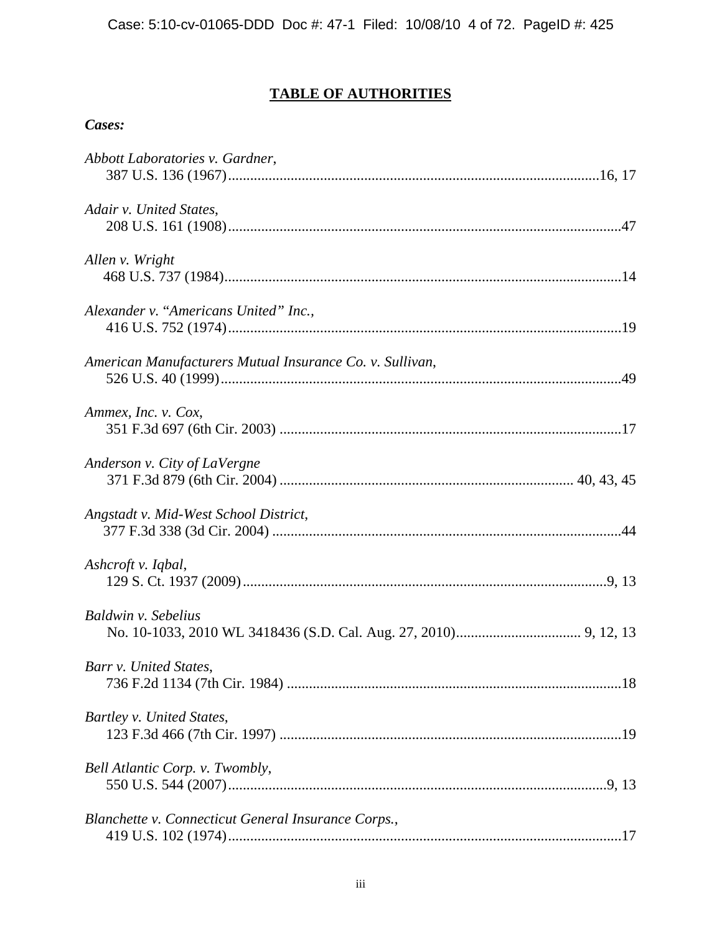## **TABLE OF AUTHORITIES**

## *Cases:*

| Abbott Laboratories v. Gardner,                          |  |
|----------------------------------------------------------|--|
| Adair v. United States,                                  |  |
| Allen v. Wright                                          |  |
| Alexander v. "Americans United" Inc.,                    |  |
| American Manufacturers Mutual Insurance Co. v. Sullivan, |  |
| Ammex, Inc. v. Cox,                                      |  |
| Anderson v. City of LaVergne                             |  |
| Angstadt v. Mid-West School District,                    |  |
| Ashcroft v. Iqbal,                                       |  |
| Baldwin v. Sebelius                                      |  |
| Barr v. United States,                                   |  |
| Bartley v. United States,                                |  |
| Bell Atlantic Corp. v. Twombly,                          |  |
| Blanchette v. Connecticut General Insurance Corps.,      |  |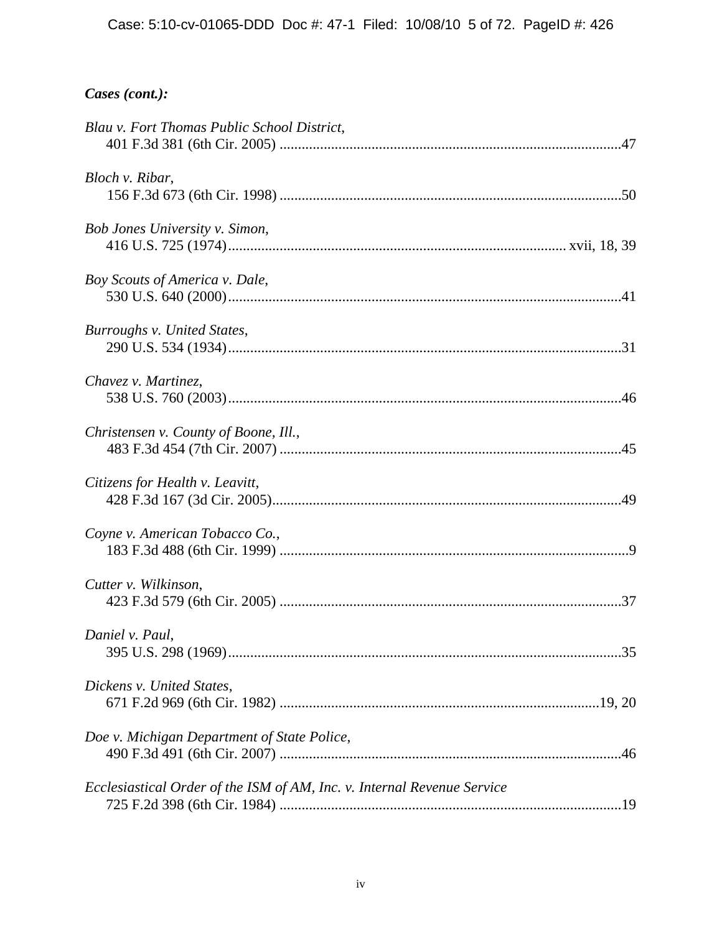| Blau v. Fort Thomas Public School District,                             |  |
|-------------------------------------------------------------------------|--|
| Bloch v. Ribar,                                                         |  |
| Bob Jones University v. Simon,                                          |  |
| Boy Scouts of America v. Dale,                                          |  |
| Burroughs v. United States,                                             |  |
| Chavez v. Martinez,                                                     |  |
| Christensen v. County of Boone, Ill.,                                   |  |
| Citizens for Health v. Leavitt,                                         |  |
| Coyne v. American Tobacco Co.,                                          |  |
| Cutter v. Wilkinson,                                                    |  |
| Daniel v. Paul,                                                         |  |
| Dickens v. United States,                                               |  |
| Doe v. Michigan Department of State Police,                             |  |
| Ecclesiastical Order of the ISM of AM, Inc. v. Internal Revenue Service |  |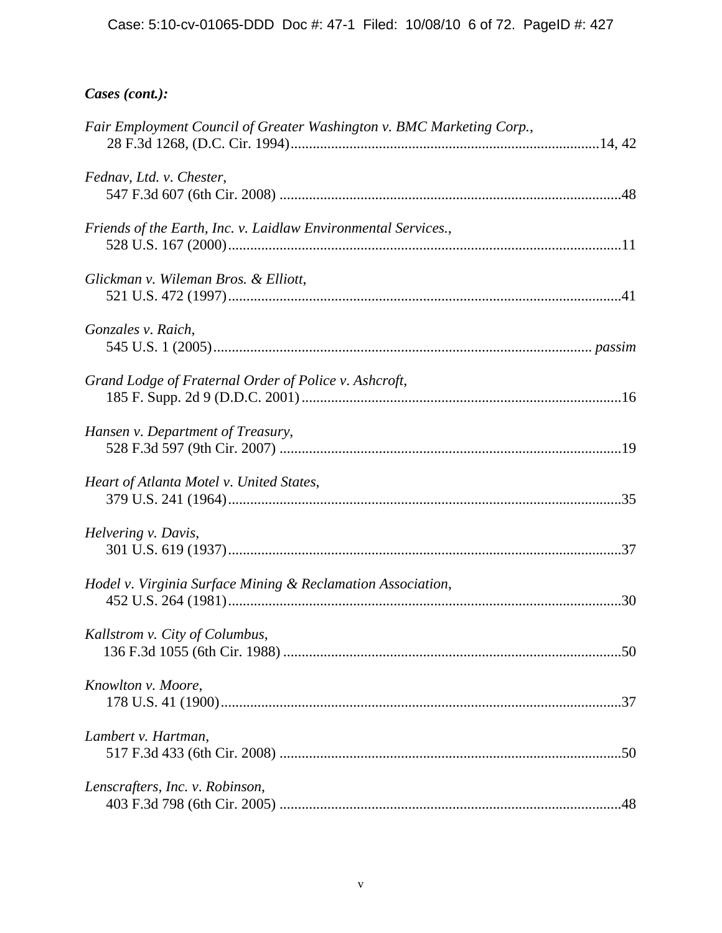| Fair Employment Council of Greater Washington v. BMC Marketing Corp., |  |
|-----------------------------------------------------------------------|--|
| Fednav, Ltd. v. Chester,                                              |  |
| Friends of the Earth, Inc. v. Laidlaw Environmental Services.,        |  |
| Glickman v. Wileman Bros. & Elliott,                                  |  |
| Gonzales v. Raich,                                                    |  |
| Grand Lodge of Fraternal Order of Police v. Ashcroft,                 |  |
| Hansen v. Department of Treasury,                                     |  |
| Heart of Atlanta Motel v. United States,                              |  |
| Helvering v. Davis,                                                   |  |
| Hodel v. Virginia Surface Mining & Reclamation Association,           |  |
| Kallstrom v. City of Columbus,                                        |  |
| Knowlton v. Moore,                                                    |  |
| Lambert v. Hartman,                                                   |  |
| Lenscrafters, Inc. v. Robinson,                                       |  |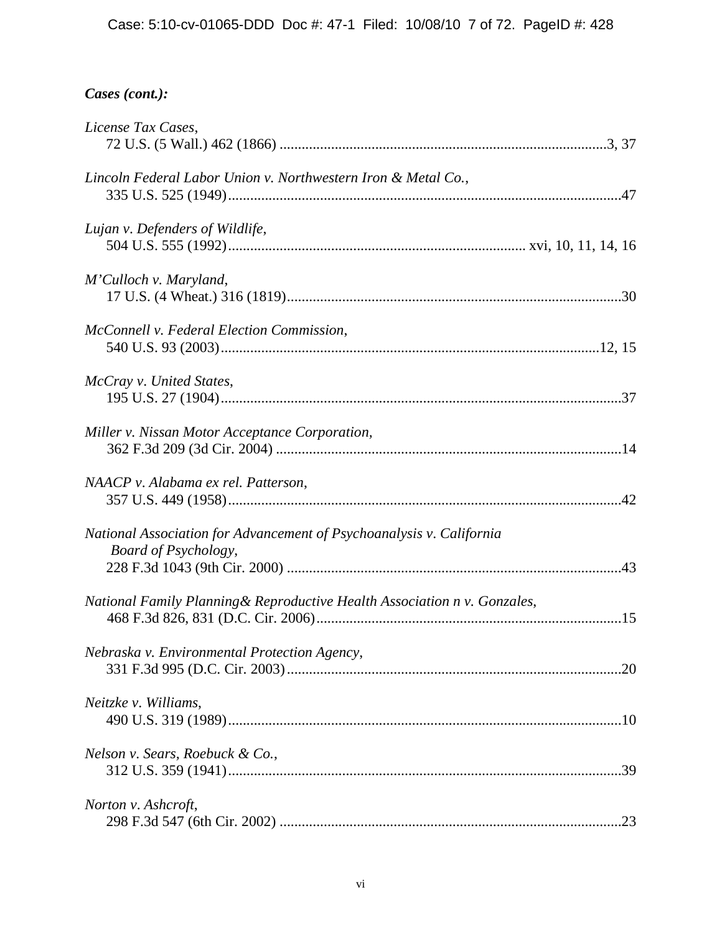| License Tax Cases,                                                                                  |  |
|-----------------------------------------------------------------------------------------------------|--|
| Lincoln Federal Labor Union v. Northwestern Iron & Metal Co.,                                       |  |
| Lujan v. Defenders of Wildlife,                                                                     |  |
| M'Culloch v. Maryland,                                                                              |  |
| McConnell v. Federal Election Commission,                                                           |  |
| McCray v. United States,                                                                            |  |
| Miller v. Nissan Motor Acceptance Corporation,                                                      |  |
| NAACP v. Alabama ex rel. Patterson,                                                                 |  |
| National Association for Advancement of Psychoanalysis v. California<br><b>Board of Psychology,</b> |  |
| National Family Planning & Reproductive Health Association n v. Gonzales,                           |  |
| Nebraska v. Environmental Protection Agency,                                                        |  |
| Neitzke v. Williams,                                                                                |  |
| Nelson v. Sears, Roebuck & Co.,                                                                     |  |
| Norton v. Ashcroft,                                                                                 |  |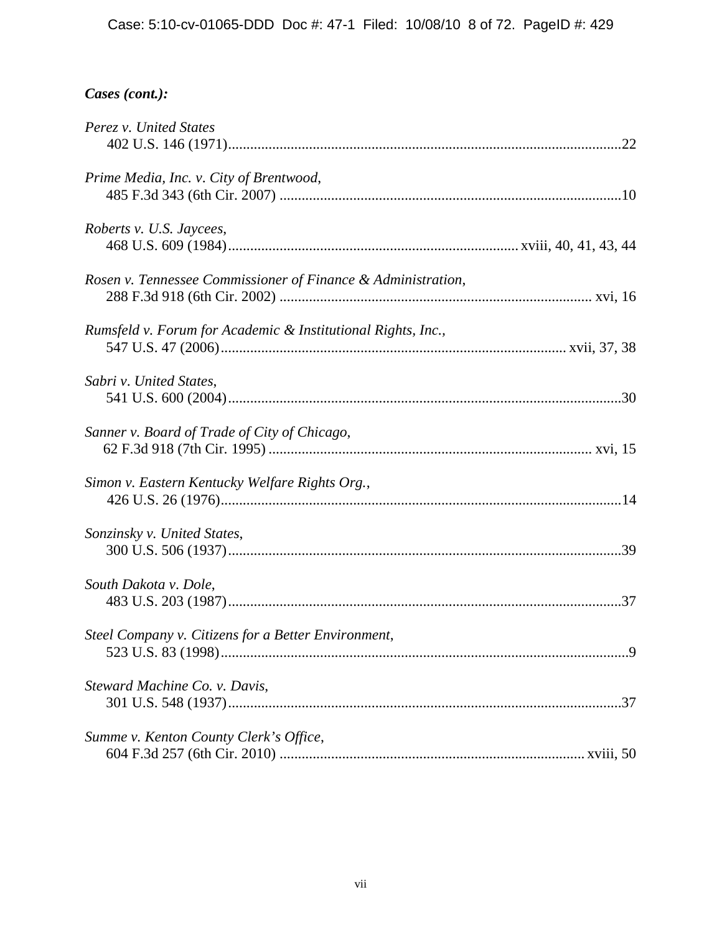| Perez v. United States                                       |  |
|--------------------------------------------------------------|--|
| Prime Media, Inc. v. City of Brentwood,                      |  |
| Roberts v. U.S. Jaycees,                                     |  |
| Rosen v. Tennessee Commissioner of Finance & Administration, |  |
| Rumsfeld v. Forum for Academic & Institutional Rights, Inc., |  |
| Sabri v. United States,                                      |  |
| Sanner v. Board of Trade of City of Chicago,                 |  |
| Simon v. Eastern Kentucky Welfare Rights Org.,               |  |
| Sonzinsky v. United States,                                  |  |
| South Dakota v. Dole,                                        |  |
| Steel Company v. Citizens for a Better Environment,          |  |
| Steward Machine Co. v. Davis,                                |  |
| Summe v. Kenton County Clerk's Office,                       |  |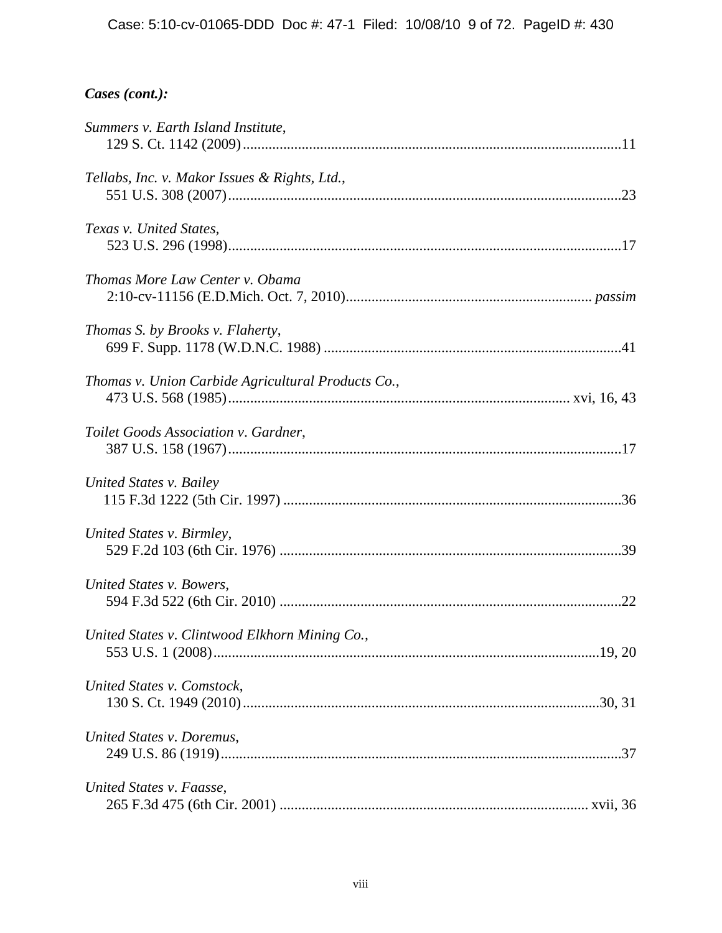| Summers v. Earth Island Institute,                 |  |
|----------------------------------------------------|--|
| Tellabs, Inc. v. Makor Issues & Rights, Ltd.,      |  |
| Texas v. United States,                            |  |
| Thomas More Law Center v. Obama                    |  |
| Thomas S. by Brooks v. Flaherty,                   |  |
| Thomas v. Union Carbide Agricultural Products Co., |  |
| Toilet Goods Association v. Gardner,               |  |
| United States v. Bailey                            |  |
| United States v. Birmley,                          |  |
| United States v. Bowers,                           |  |
| United States v. Clintwood Elkhorn Mining Co.,     |  |
| United States v. Comstock,                         |  |
| United States v. Doremus,                          |  |
| United States v. Faasse,                           |  |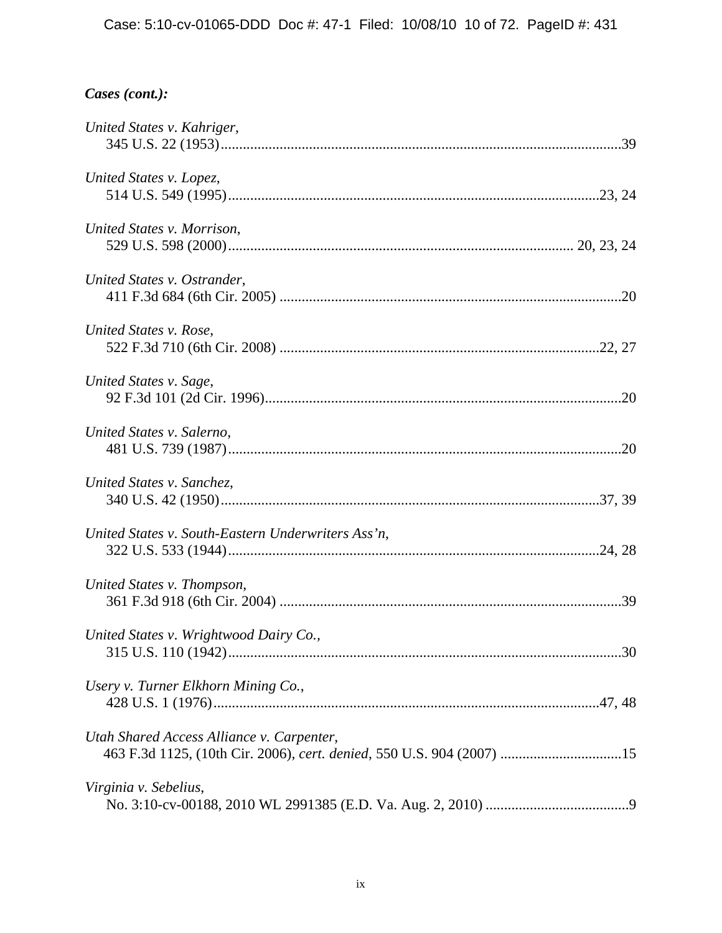| United States v. Kahriger,                                                                                         |  |
|--------------------------------------------------------------------------------------------------------------------|--|
| United States v. Lopez,                                                                                            |  |
| United States v. Morrison,                                                                                         |  |
| United States v. Ostrander,                                                                                        |  |
| United States v. Rose,                                                                                             |  |
| United States v. Sage,                                                                                             |  |
| United States v. Salerno,                                                                                          |  |
| United States v. Sanchez,                                                                                          |  |
| United States v. South-Eastern Underwriters Ass'n,                                                                 |  |
| United States v. Thompson,                                                                                         |  |
| United States v. Wrightwood Dairy Co.,                                                                             |  |
| Usery v. Turner Elkhorn Mining Co.,                                                                                |  |
| Utah Shared Access Alliance v. Carpenter,<br>463 F.3d 1125, (10th Cir. 2006), cert. denied, 550 U.S. 904 (2007) 15 |  |
| Virginia v. Sebelius,                                                                                              |  |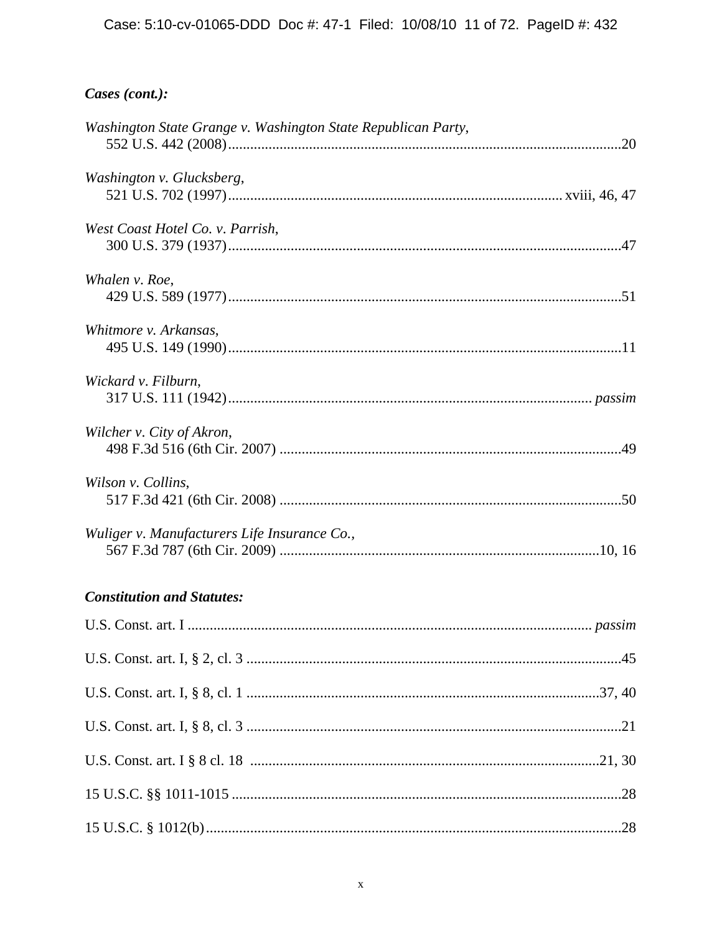| Washington State Grange v. Washington State Republican Party,       |  |
|---------------------------------------------------------------------|--|
| Washington v. Glucksberg,                                           |  |
| West Coast Hotel Co. v. Parrish,                                    |  |
| Whalen v. Roe,                                                      |  |
| Whitmore v. Arkansas,                                               |  |
| Wickard v. Filburn,                                                 |  |
| Wilcher v. City of Akron,                                           |  |
| Wilson v. Collins,                                                  |  |
| Wuliger v. Manufacturers Life Insurance Co.,                        |  |
| <b>Constitution and Statutes:</b>                                   |  |
| $\mathbf{H} \cap \mathbf{C}$ $\mathbf{H}$ $\mathbf{H}$ $\mathbf{H}$ |  |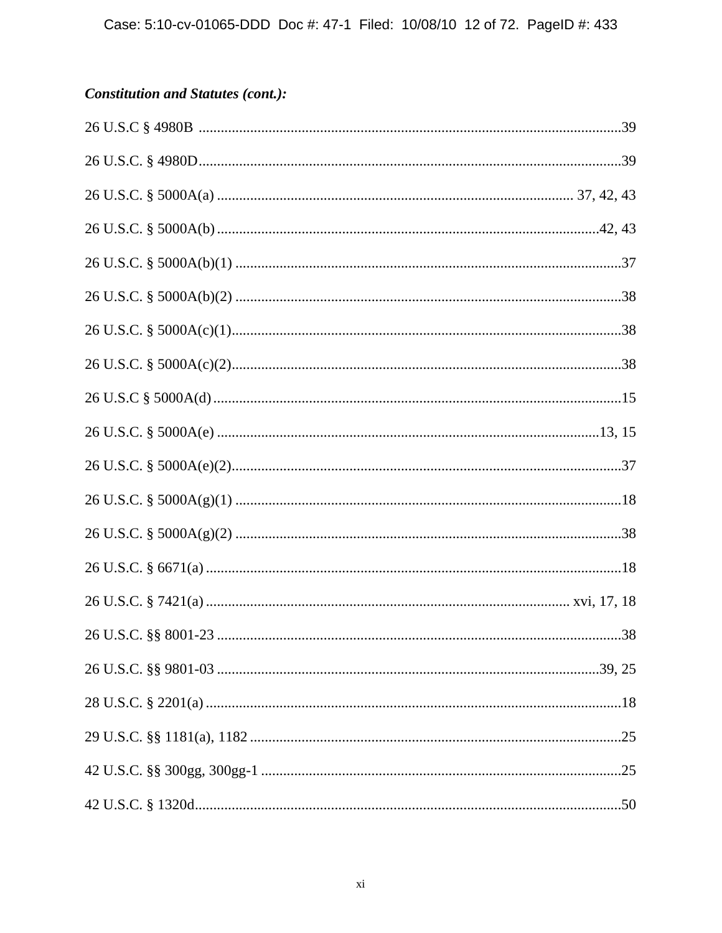## **Constitution and Statutes (cont.):**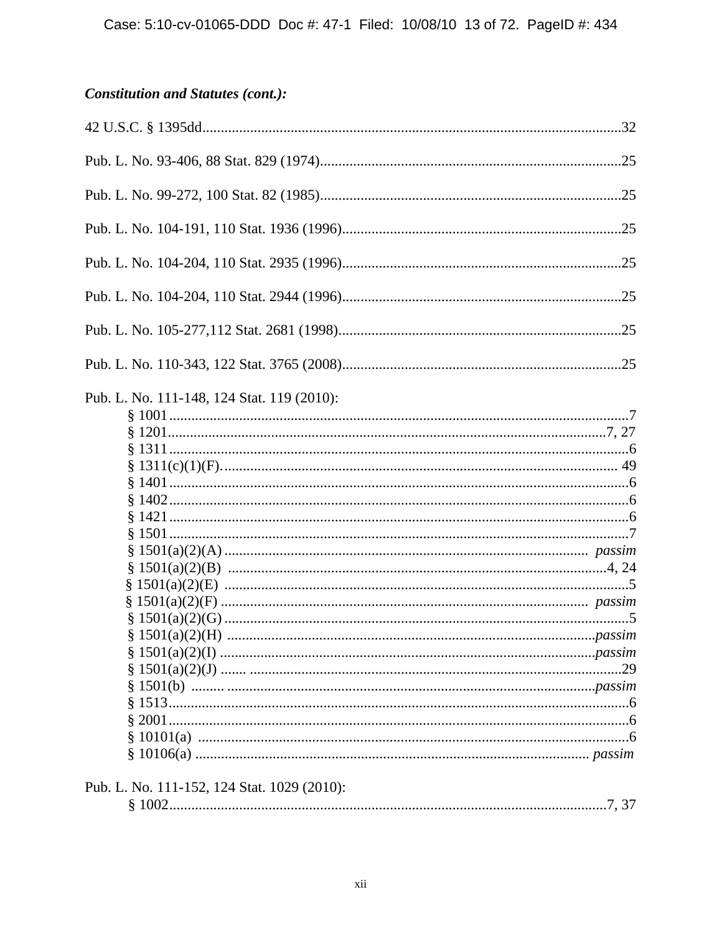## **Constitution and Statutes (cont.):**

| Pub. L. No. 111-148, 124 Stat. 119 (2010):  |  |
|---------------------------------------------|--|
|                                             |  |
|                                             |  |
|                                             |  |
|                                             |  |
|                                             |  |
|                                             |  |
|                                             |  |
|                                             |  |
|                                             |  |
|                                             |  |
|                                             |  |
|                                             |  |
|                                             |  |
|                                             |  |
|                                             |  |
|                                             |  |
|                                             |  |
|                                             |  |
|                                             |  |
|                                             |  |
|                                             |  |
|                                             |  |
|                                             |  |
| Pub. L. No. 111-152, 124 Stat. 1029 (2010): |  |
|                                             |  |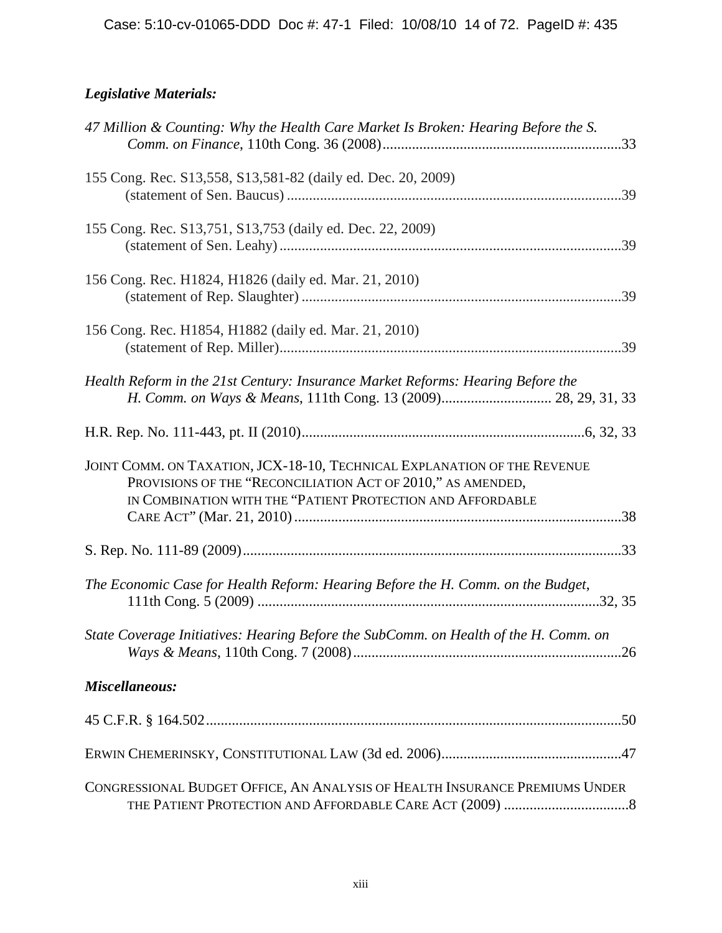# *Legislative Materials:*

| 47 Million & Counting: Why the Health Care Market Is Broken: Hearing Before the S.                                                                                                                    |  |
|-------------------------------------------------------------------------------------------------------------------------------------------------------------------------------------------------------|--|
| 155 Cong. Rec. S13,558, S13,581-82 (daily ed. Dec. 20, 2009)                                                                                                                                          |  |
| 155 Cong. Rec. S13,751, S13,753 (daily ed. Dec. 22, 2009)                                                                                                                                             |  |
| 156 Cong. Rec. H1824, H1826 (daily ed. Mar. 21, 2010)                                                                                                                                                 |  |
| 156 Cong. Rec. H1854, H1882 (daily ed. Mar. 21, 2010)                                                                                                                                                 |  |
| Health Reform in the 21st Century: Insurance Market Reforms: Hearing Before the<br>H. Comm. on Ways & Means, 111th Cong. 13 (2009) 28, 29, 31, 33                                                     |  |
|                                                                                                                                                                                                       |  |
| JOINT COMM. ON TAXATION, JCX-18-10, TECHNICAL EXPLANATION OF THE REVENUE<br>PROVISIONS OF THE "RECONCILIATION ACT OF 2010," AS AMENDED,<br>IN COMBINATION WITH THE "PATIENT PROTECTION AND AFFORDABLE |  |
|                                                                                                                                                                                                       |  |
| The Economic Case for Health Reform: Hearing Before the H. Comm. on the Budget,                                                                                                                       |  |
| State Coverage Initiatives: Hearing Before the SubComm. on Health of the H. Comm. on                                                                                                                  |  |
| Miscellaneous:                                                                                                                                                                                        |  |
|                                                                                                                                                                                                       |  |
|                                                                                                                                                                                                       |  |
| CONGRESSIONAL BUDGET OFFICE, AN ANALYSIS OF HEALTH INSURANCE PREMIUMS UNDER                                                                                                                           |  |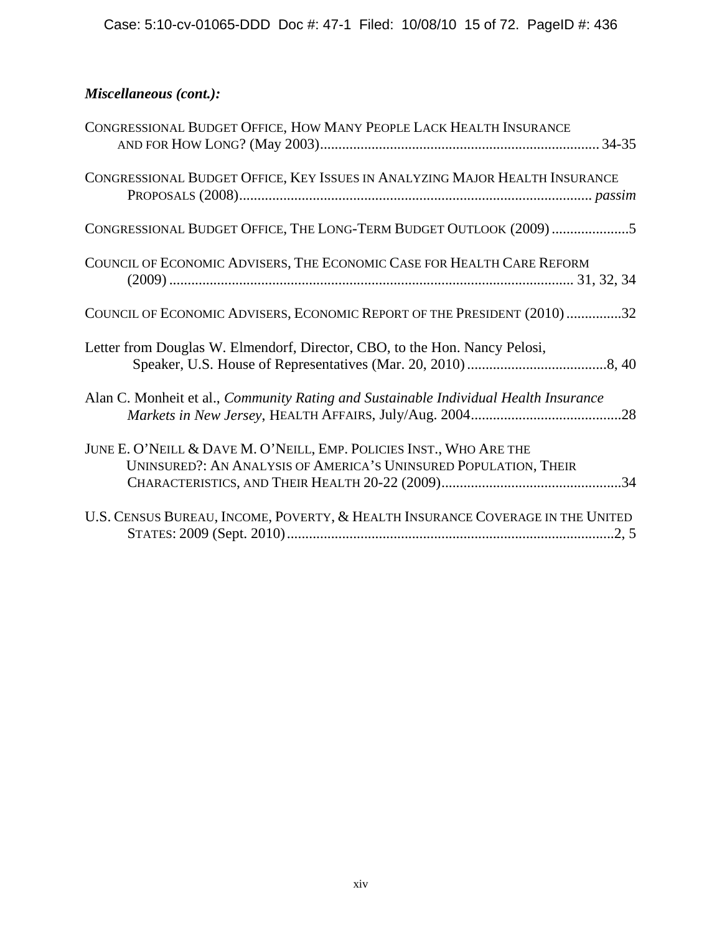## *Miscellaneous (cont.):*

| CONGRESSIONAL BUDGET OFFICE, HOW MANY PEOPLE LACK HEALTH INSURANCE                                                                      |
|-----------------------------------------------------------------------------------------------------------------------------------------|
| CONGRESSIONAL BUDGET OFFICE, KEY ISSUES IN ANALYZING MAJOR HEALTH INSURANCE                                                             |
| CONGRESSIONAL BUDGET OFFICE, THE LONG-TERM BUDGET OUTLOOK (2009) 5                                                                      |
| COUNCIL OF ECONOMIC ADVISERS, THE ECONOMIC CASE FOR HEALTH CARE REFORM                                                                  |
| COUNCIL OF ECONOMIC ADVISERS, ECONOMIC REPORT OF THE PRESIDENT (2010)32                                                                 |
| Letter from Douglas W. Elmendorf, Director, CBO, to the Hon. Nancy Pelosi,                                                              |
| Alan C. Monheit et al., Community Rating and Sustainable Individual Health Insurance                                                    |
| JUNE E. O'NEILL & DAVE M. O'NEILL, EMP. POLICIES INST., WHO ARE THE<br>UNINSURED?: AN ANALYSIS OF AMERICA'S UNINSURED POPULATION, THEIR |
| U.S. CENSUS BUREAU, INCOME, POVERTY, & HEALTH INSURANCE COVERAGE IN THE UNITED                                                          |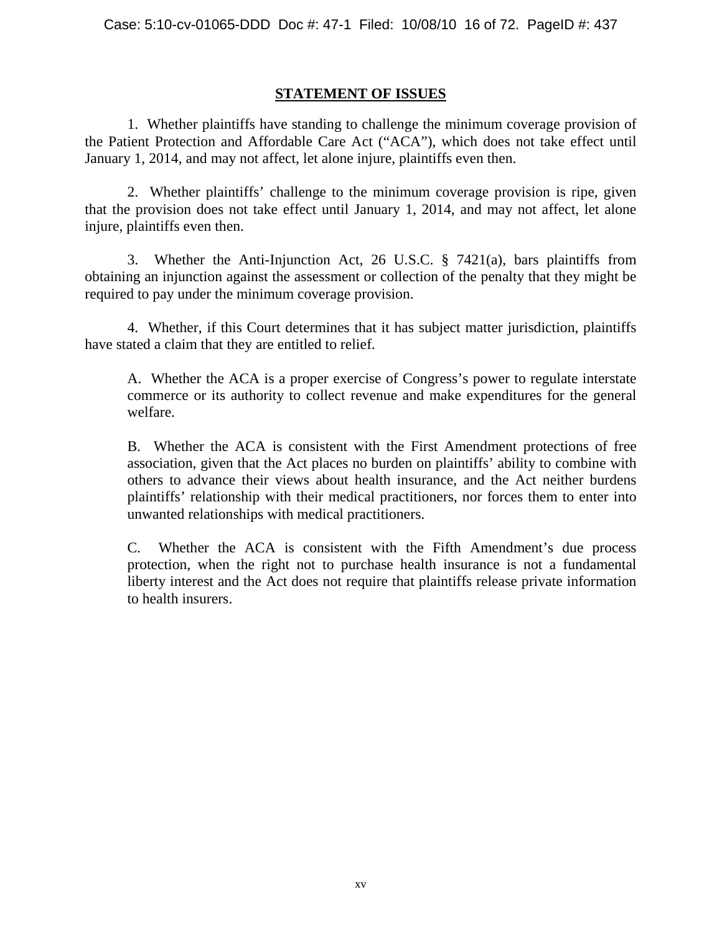## **STATEMENT OF ISSUES**

1. Whether plaintiffs have standing to challenge the minimum coverage provision of the Patient Protection and Affordable Care Act ("ACA"), which does not take effect until January 1, 2014, and may not affect, let alone injure, plaintiffs even then.

2. Whether plaintiffs' challenge to the minimum coverage provision is ripe, given that the provision does not take effect until January 1, 2014, and may not affect, let alone injure, plaintiffs even then.

3. Whether the Anti-Injunction Act, 26 U.S.C. § 7421(a), bars plaintiffs from obtaining an injunction against the assessment or collection of the penalty that they might be required to pay under the minimum coverage provision.

4. Whether, if this Court determines that it has subject matter jurisdiction, plaintiffs have stated a claim that they are entitled to relief.

A. Whether the ACA is a proper exercise of Congress's power to regulate interstate commerce or its authority to collect revenue and make expenditures for the general welfare.

B. Whether the ACA is consistent with the First Amendment protections of free association, given that the Act places no burden on plaintiffs' ability to combine with others to advance their views about health insurance, and the Act neither burdens plaintiffs' relationship with their medical practitioners, nor forces them to enter into unwanted relationships with medical practitioners.

C. Whether the ACA is consistent with the Fifth Amendment's due process protection, when the right not to purchase health insurance is not a fundamental liberty interest and the Act does not require that plaintiffs release private information to health insurers.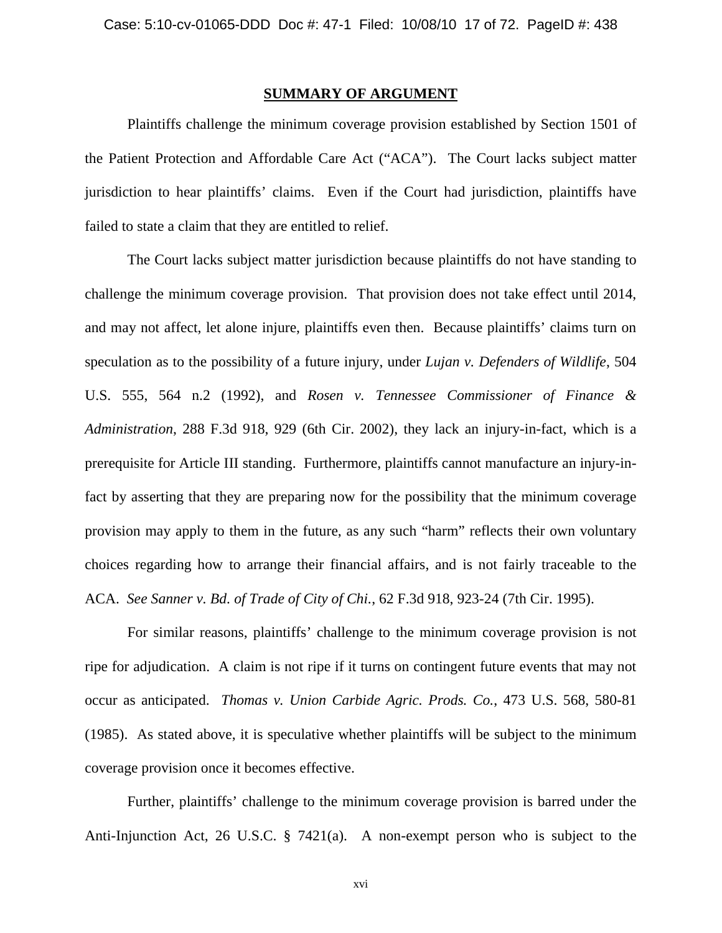### **SUMMARY OF ARGUMENT**

Plaintiffs challenge the minimum coverage provision established by Section 1501 of the Patient Protection and Affordable Care Act ("ACA"). The Court lacks subject matter jurisdiction to hear plaintiffs' claims. Even if the Court had jurisdiction, plaintiffs have failed to state a claim that they are entitled to relief.

The Court lacks subject matter jurisdiction because plaintiffs do not have standing to challenge the minimum coverage provision. That provision does not take effect until 2014, and may not affect, let alone injure, plaintiffs even then. Because plaintiffs' claims turn on speculation as to the possibility of a future injury, under *Lujan v. Defenders of Wildlife*, 504 U.S. 555, 564 n.2 (1992), and *Rosen v. Tennessee Commissioner of Finance & Administration*, 288 F.3d 918, 929 (6th Cir. 2002), they lack an injury-in-fact, which is a prerequisite for Article III standing. Furthermore, plaintiffs cannot manufacture an injury-infact by asserting that they are preparing now for the possibility that the minimum coverage provision may apply to them in the future, as any such "harm" reflects their own voluntary choices regarding how to arrange their financial affairs, and is not fairly traceable to the ACA. *See Sanner v. Bd. of Trade of City of Chi.*, 62 F.3d 918, 923-24 (7th Cir. 1995).

For similar reasons, plaintiffs' challenge to the minimum coverage provision is not ripe for adjudication. A claim is not ripe if it turns on contingent future events that may not occur as anticipated. *Thomas v. Union Carbide Agric. Prods. Co.*, 473 U.S. 568, 580-81 (1985). As stated above, it is speculative whether plaintiffs will be subject to the minimum coverage provision once it becomes effective.

Further, plaintiffs' challenge to the minimum coverage provision is barred under the Anti-Injunction Act, 26 U.S.C. § 7421(a). A non-exempt person who is subject to the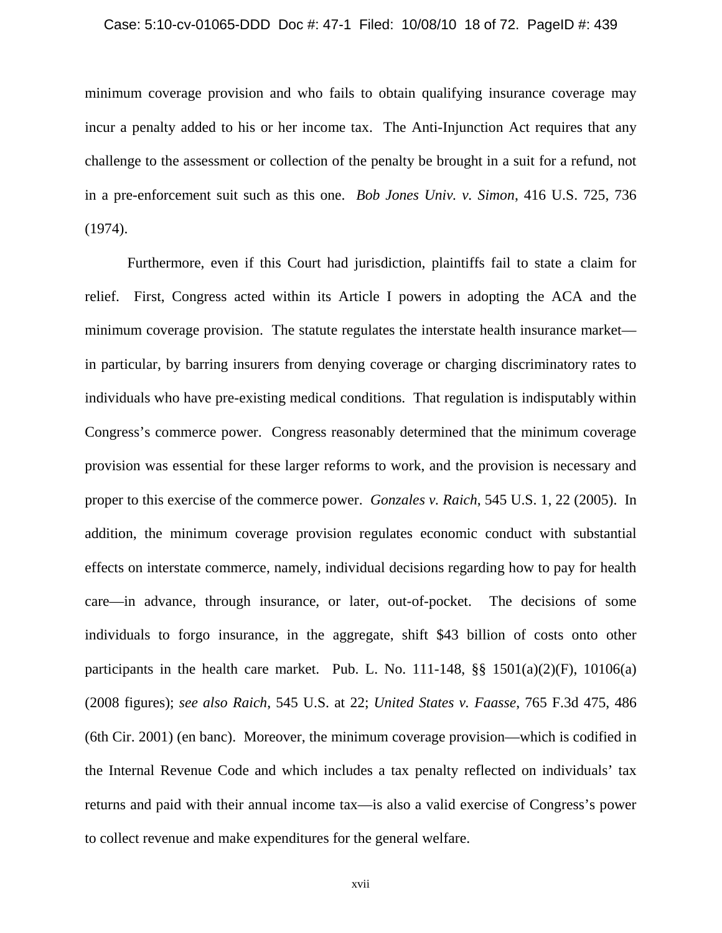#### Case: 5:10-cv-01065-DDD Doc #: 47-1 Filed: 10/08/10 18 of 72. PageID #: 439

minimum coverage provision and who fails to obtain qualifying insurance coverage may incur a penalty added to his or her income tax. The Anti-Injunction Act requires that any challenge to the assessment or collection of the penalty be brought in a suit for a refund, not in a pre-enforcement suit such as this one. *Bob Jones Univ. v. Simon*, 416 U.S. 725, 736 (1974).

Furthermore, even if this Court had jurisdiction, plaintiffs fail to state a claim for relief. First, Congress acted within its Article I powers in adopting the ACA and the minimum coverage provision. The statute regulates the interstate health insurance market in particular, by barring insurers from denying coverage or charging discriminatory rates to individuals who have pre-existing medical conditions. That regulation is indisputably within Congress's commerce power. Congress reasonably determined that the minimum coverage provision was essential for these larger reforms to work, and the provision is necessary and proper to this exercise of the commerce power. *Gonzales v. Raich*, 545 U.S. 1, 22 (2005). In addition, the minimum coverage provision regulates economic conduct with substantial effects on interstate commerce, namely, individual decisions regarding how to pay for health care—in advance, through insurance, or later, out-of-pocket. The decisions of some individuals to forgo insurance, in the aggregate, shift \$43 billion of costs onto other participants in the health care market. Pub. L. No.  $111-148$ ,  $\S$   $\S$   $1501(a)(2)(F)$ ,  $10106(a)$ (2008 figures); *see also Raich*, 545 U.S. at 22; *United States v. Faasse*, 765 F.3d 475, 486 (6th Cir. 2001) (en banc). Moreover, the minimum coverage provision—which is codified in the Internal Revenue Code and which includes a tax penalty reflected on individuals' tax returns and paid with their annual income tax—is also a valid exercise of Congress's power to collect revenue and make expenditures for the general welfare.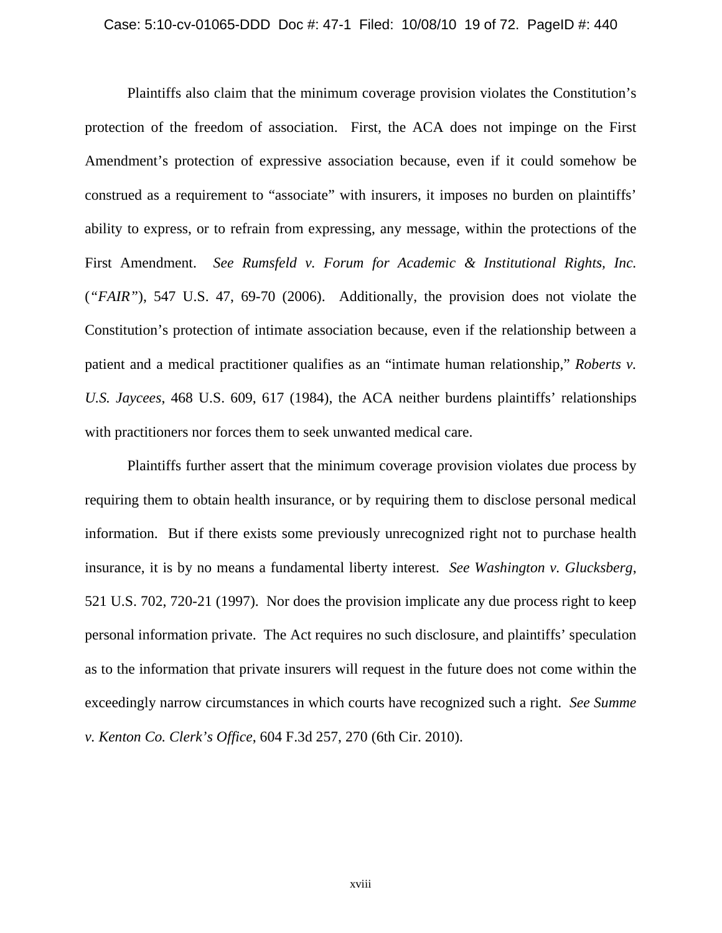Plaintiffs also claim that the minimum coverage provision violates the Constitution's protection of the freedom of association. First, the ACA does not impinge on the First Amendment's protection of expressive association because, even if it could somehow be construed as a requirement to "associate" with insurers, it imposes no burden on plaintiffs' ability to express, or to refrain from expressing, any message, within the protections of the First Amendment. *See Rumsfeld v. Forum for Academic & Institutional Rights, Inc.*  (*"FAIR"*), 547 U.S. 47, 69-70 (2006). Additionally, the provision does not violate the Constitution's protection of intimate association because, even if the relationship between a patient and a medical practitioner qualifies as an "intimate human relationship," *Roberts v. U.S. Jaycees*, 468 U.S. 609, 617 (1984), the ACA neither burdens plaintiffs' relationships with practitioners nor forces them to seek unwanted medical care.

Plaintiffs further assert that the minimum coverage provision violates due process by requiring them to obtain health insurance, or by requiring them to disclose personal medical information. But if there exists some previously unrecognized right not to purchase health insurance, it is by no means a fundamental liberty interest. *See Washington v. Glucksberg*, 521 U.S. 702, 720-21 (1997). Nor does the provision implicate any due process right to keep personal information private. The Act requires no such disclosure, and plaintiffs' speculation as to the information that private insurers will request in the future does not come within the exceedingly narrow circumstances in which courts have recognized such a right. *See Summe v. Kenton Co. Clerk's Office*, 604 F.3d 257, 270 (6th Cir. 2010).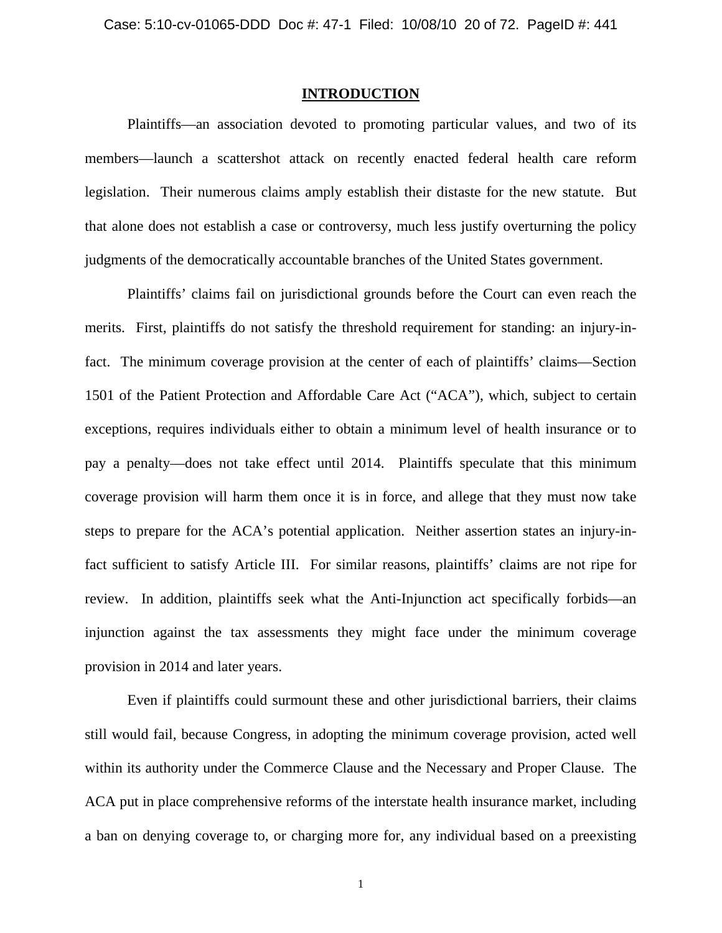### **INTRODUCTION**

Plaintiffs—an association devoted to promoting particular values, and two of its members—launch a scattershot attack on recently enacted federal health care reform legislation. Their numerous claims amply establish their distaste for the new statute. But that alone does not establish a case or controversy, much less justify overturning the policy judgments of the democratically accountable branches of the United States government.

Plaintiffs' claims fail on jurisdictional grounds before the Court can even reach the merits. First, plaintiffs do not satisfy the threshold requirement for standing: an injury-infact. The minimum coverage provision at the center of each of plaintiffs' claims—Section 1501 of the Patient Protection and Affordable Care Act ("ACA"), which, subject to certain exceptions, requires individuals either to obtain a minimum level of health insurance or to pay a penalty—does not take effect until 2014. Plaintiffs speculate that this minimum coverage provision will harm them once it is in force, and allege that they must now take steps to prepare for the ACA's potential application. Neither assertion states an injury-infact sufficient to satisfy Article III. For similar reasons, plaintiffs' claims are not ripe for review. In addition, plaintiffs seek what the Anti-Injunction act specifically forbids—an injunction against the tax assessments they might face under the minimum coverage provision in 2014 and later years.

Even if plaintiffs could surmount these and other jurisdictional barriers, their claims still would fail, because Congress, in adopting the minimum coverage provision, acted well within its authority under the Commerce Clause and the Necessary and Proper Clause. The ACA put in place comprehensive reforms of the interstate health insurance market, including a ban on denying coverage to, or charging more for, any individual based on a preexisting

1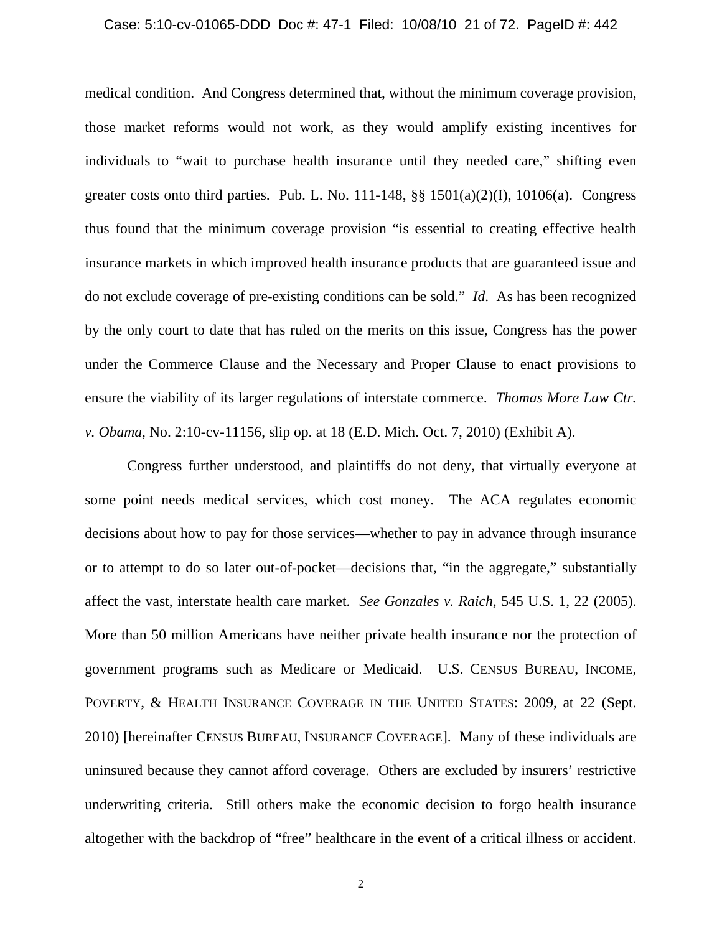#### Case: 5:10-cv-01065-DDD Doc #: 47-1 Filed: 10/08/10 21 of 72. PageID #: 442

medical condition. And Congress determined that, without the minimum coverage provision, those market reforms would not work, as they would amplify existing incentives for individuals to "wait to purchase health insurance until they needed care," shifting even greater costs onto third parties. Pub. L. No.  $111-148$ ,  $\S$   $\S$   $1501(a)(2)(1)$ ,  $10106(a)$ . Congress thus found that the minimum coverage provision "is essential to creating effective health insurance markets in which improved health insurance products that are guaranteed issue and do not exclude coverage of pre-existing conditions can be sold." *Id*. As has been recognized by the only court to date that has ruled on the merits on this issue, Congress has the power under the Commerce Clause and the Necessary and Proper Clause to enact provisions to ensure the viability of its larger regulations of interstate commerce. *Thomas More Law Ctr. v. Obama*, No. 2:10-cv-11156, slip op. at 18 (E.D. Mich. Oct. 7, 2010) (Exhibit A).

Congress further understood, and plaintiffs do not deny, that virtually everyone at some point needs medical services, which cost money. The ACA regulates economic decisions about how to pay for those services—whether to pay in advance through insurance or to attempt to do so later out-of-pocket—decisions that, "in the aggregate," substantially affect the vast, interstate health care market. *See Gonzales v. Raich*, 545 U.S. 1, 22 (2005). More than 50 million Americans have neither private health insurance nor the protection of government programs such as Medicare or Medicaid. U.S. CENSUS BUREAU, INCOME, POVERTY, & HEALTH INSURANCE COVERAGE IN THE UNITED STATES: 2009, at 22 (Sept. 2010) [hereinafter CENSUS BUREAU, INSURANCE COVERAGE]. Many of these individuals are uninsured because they cannot afford coverage. Others are excluded by insurers' restrictive underwriting criteria. Still others make the economic decision to forgo health insurance altogether with the backdrop of "free" healthcare in the event of a critical illness or accident.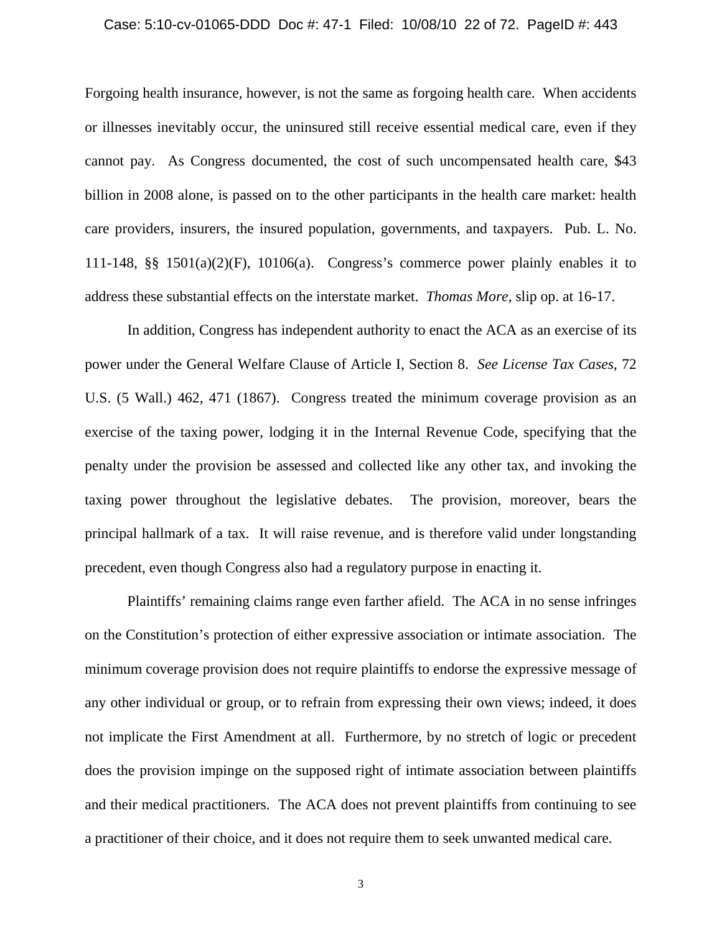#### Case: 5:10-cv-01065-DDD Doc #: 47-1 Filed: 10/08/10 22 of 72. PageID #: 443

Forgoing health insurance, however, is not the same as forgoing health care. When accidents or illnesses inevitably occur, the uninsured still receive essential medical care, even if they cannot pay. As Congress documented, the cost of such uncompensated health care, \$43 billion in 2008 alone, is passed on to the other participants in the health care market: health care providers, insurers, the insured population, governments, and taxpayers. Pub. L. No. 111-148, §§ 1501(a)(2)(F), 10106(a). Congress's commerce power plainly enables it to address these substantial effects on the interstate market. *Thomas More*, slip op. at 16-17.

In addition, Congress has independent authority to enact the ACA as an exercise of its power under the General Welfare Clause of Article I, Section 8. *See License Tax Cases*, 72 U.S. (5 Wall.) 462, 471 (1867). Congress treated the minimum coverage provision as an exercise of the taxing power, lodging it in the Internal Revenue Code, specifying that the penalty under the provision be assessed and collected like any other tax, and invoking the taxing power throughout the legislative debates. The provision, moreover, bears the principal hallmark of a tax. It will raise revenue, and is therefore valid under longstanding precedent, even though Congress also had a regulatory purpose in enacting it.

Plaintiffs' remaining claims range even farther afield. The ACA in no sense infringes on the Constitution's protection of either expressive association or intimate association. The minimum coverage provision does not require plaintiffs to endorse the expressive message of any other individual or group, or to refrain from expressing their own views; indeed, it does not implicate the First Amendment at all. Furthermore, by no stretch of logic or precedent does the provision impinge on the supposed right of intimate association between plaintiffs and their medical practitioners. The ACA does not prevent plaintiffs from continuing to see a practitioner of their choice, and it does not require them to seek unwanted medical care.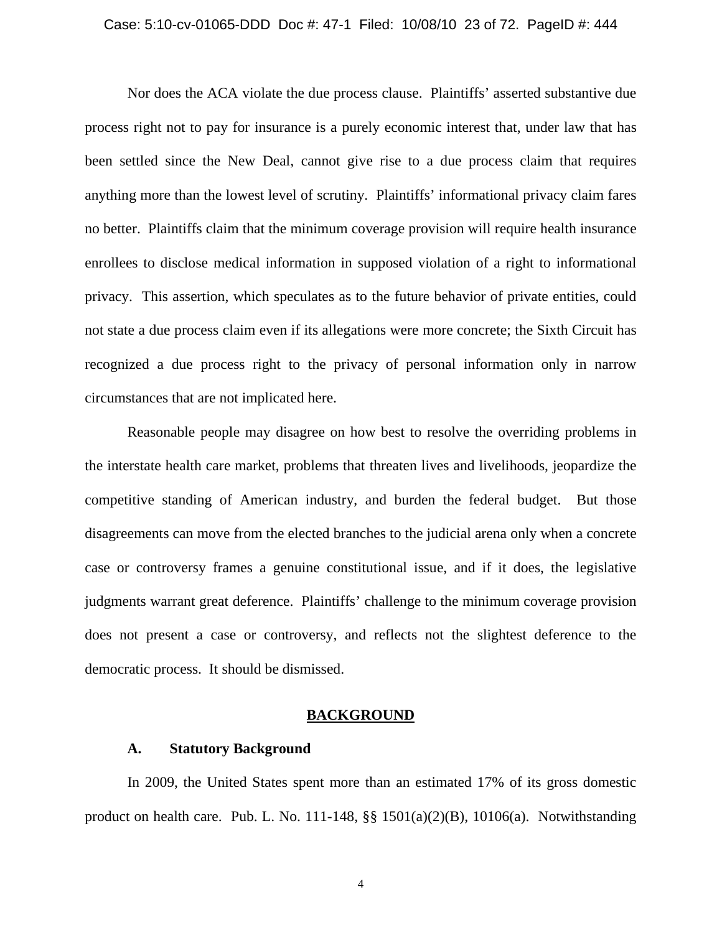#### Case: 5:10-cv-01065-DDD Doc #: 47-1 Filed: 10/08/10 23 of 72. PageID #: 444

Nor does the ACA violate the due process clause. Plaintiffs' asserted substantive due process right not to pay for insurance is a purely economic interest that, under law that has been settled since the New Deal, cannot give rise to a due process claim that requires anything more than the lowest level of scrutiny. Plaintiffs' informational privacy claim fares no better. Plaintiffs claim that the minimum coverage provision will require health insurance enrollees to disclose medical information in supposed violation of a right to informational privacy. This assertion, which speculates as to the future behavior of private entities, could not state a due process claim even if its allegations were more concrete; the Sixth Circuit has recognized a due process right to the privacy of personal information only in narrow circumstances that are not implicated here.

Reasonable people may disagree on how best to resolve the overriding problems in the interstate health care market, problems that threaten lives and livelihoods, jeopardize the competitive standing of American industry, and burden the federal budget. But those disagreements can move from the elected branches to the judicial arena only when a concrete case or controversy frames a genuine constitutional issue, and if it does, the legislative judgments warrant great deference. Plaintiffs' challenge to the minimum coverage provision does not present a case or controversy, and reflects not the slightest deference to the democratic process. It should be dismissed.

### **BACKGROUND**

### **A. Statutory Background**

In 2009, the United States spent more than an estimated 17% of its gross domestic product on health care. Pub. L. No. 111-148, §§ 1501(a)(2)(B), 10106(a). Notwithstanding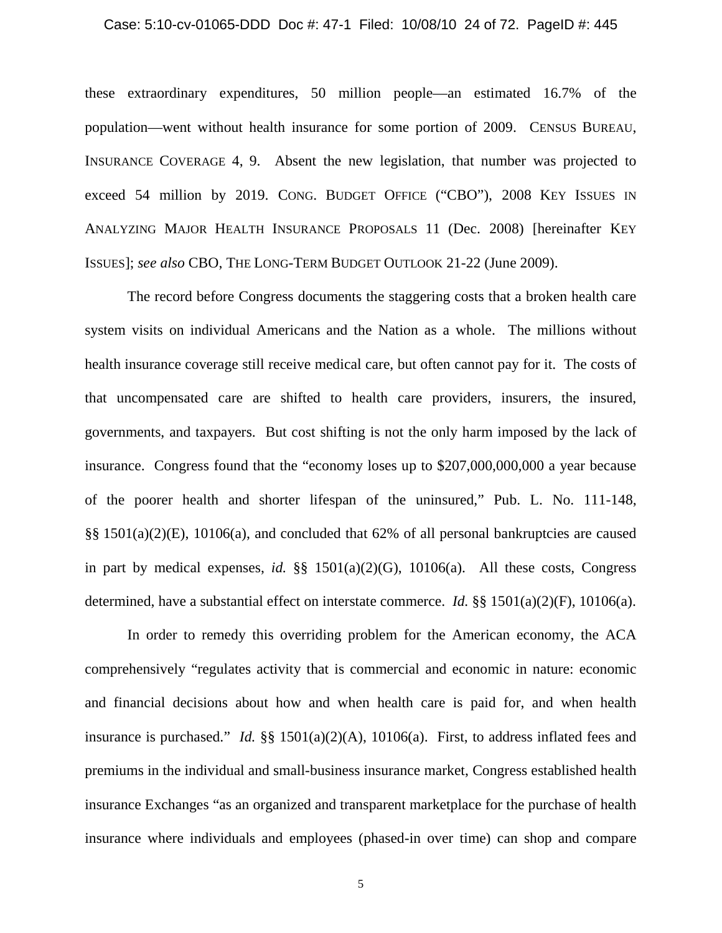#### Case: 5:10-cv-01065-DDD Doc #: 47-1 Filed: 10/08/10 24 of 72. PageID #: 445

these extraordinary expenditures, 50 million people—an estimated 16.7% of the population—went without health insurance for some portion of 2009. CENSUS BUREAU, INSURANCE COVERAGE 4, 9. Absent the new legislation, that number was projected to exceed 54 million by 2019. CONG. BUDGET OFFICE ("CBO"), 2008 KEY ISSUES IN ANALYZING MAJOR HEALTH INSURANCE PROPOSALS 11 (Dec. 2008) [hereinafter KEY ISSUES]; *see also* CBO, THE LONG-TERM BUDGET OUTLOOK 21-22 (June 2009).

The record before Congress documents the staggering costs that a broken health care system visits on individual Americans and the Nation as a whole. The millions without health insurance coverage still receive medical care, but often cannot pay for it. The costs of that uncompensated care are shifted to health care providers, insurers, the insured, governments, and taxpayers. But cost shifting is not the only harm imposed by the lack of insurance. Congress found that the "economy loses up to \$207,000,000,000 a year because of the poorer health and shorter lifespan of the uninsured," Pub. L. No. 111-148, §§ 1501(a)(2)(E), 10106(a), and concluded that 62% of all personal bankruptcies are caused in part by medical expenses, *id.*  $\S$ § 1501(a)(2)(G), 10106(a). All these costs, Congress determined, have a substantial effect on interstate commerce. *Id.* §§ 1501(a)(2)(F), 10106(a).

In order to remedy this overriding problem for the American economy, the ACA comprehensively "regulates activity that is commercial and economic in nature: economic and financial decisions about how and when health care is paid for, and when health insurance is purchased." *Id.* §§ 1501(a)(2)(A), 10106(a). First, to address inflated fees and premiums in the individual and small-business insurance market, Congress established health insurance Exchanges "as an organized and transparent marketplace for the purchase of health insurance where individuals and employees (phased-in over time) can shop and compare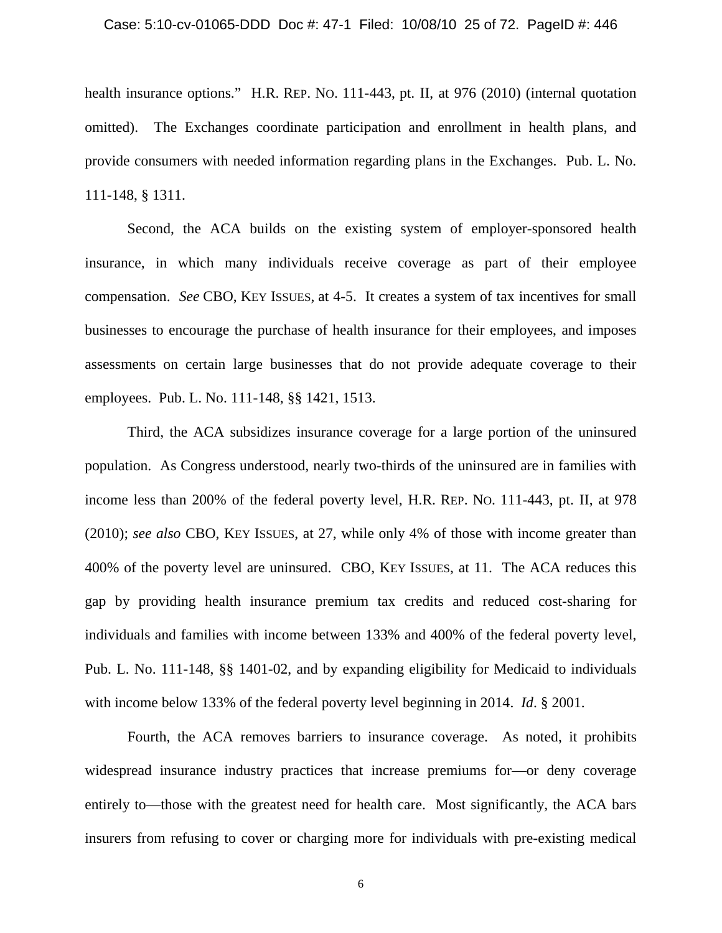#### Case: 5:10-cv-01065-DDD Doc #: 47-1 Filed: 10/08/10 25 of 72. PageID #: 446

health insurance options." H.R. REP. No. 111-443, pt. II, at 976 (2010) (internal quotation omitted). The Exchanges coordinate participation and enrollment in health plans, and provide consumers with needed information regarding plans in the Exchanges. Pub. L. No. 111-148, § 1311.

Second, the ACA builds on the existing system of employer-sponsored health insurance, in which many individuals receive coverage as part of their employee compensation. *See* CBO, KEY ISSUES, at 4-5. It creates a system of tax incentives for small businesses to encourage the purchase of health insurance for their employees, and imposes assessments on certain large businesses that do not provide adequate coverage to their employees. Pub. L. No. 111-148, §§ 1421, 1513.

Third, the ACA subsidizes insurance coverage for a large portion of the uninsured population. As Congress understood, nearly two-thirds of the uninsured are in families with income less than 200% of the federal poverty level, H.R. REP. NO. 111-443, pt. II, at 978 (2010); *see also* CBO, KEY ISSUES, at 27, while only 4% of those with income greater than 400% of the poverty level are uninsured. CBO, KEY ISSUES, at 11. The ACA reduces this gap by providing health insurance premium tax credits and reduced cost-sharing for individuals and families with income between 133% and 400% of the federal poverty level, Pub. L. No. 111-148, §§ 1401-02, and by expanding eligibility for Medicaid to individuals with income below 133% of the federal poverty level beginning in 2014. *Id*. § 2001.

Fourth, the ACA removes barriers to insurance coverage. As noted, it prohibits widespread insurance industry practices that increase premiums for—or deny coverage entirely to—those with the greatest need for health care. Most significantly, the ACA bars insurers from refusing to cover or charging more for individuals with pre-existing medical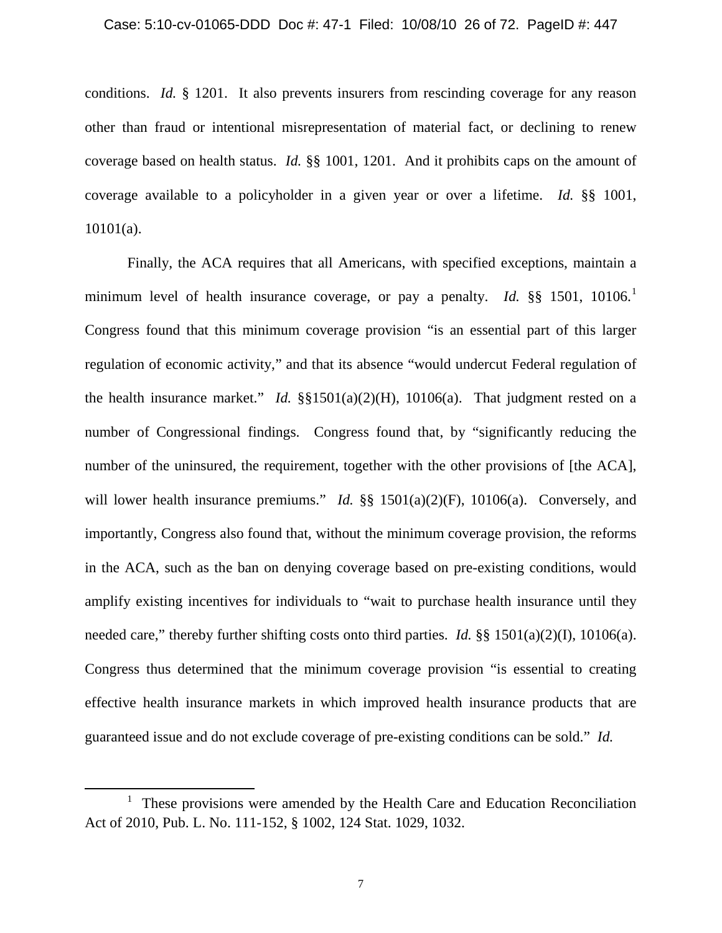conditions. *Id.* § 1201. It also prevents insurers from rescinding coverage for any reason other than fraud or intentional misrepresentation of material fact, or declining to renew coverage based on health status. *Id.* §§ 1001, 1201. And it prohibits caps on the amount of coverage available to a policyholder in a given year or over a lifetime. *Id.* §§ 1001, 10101(a).

Finally, the ACA requires that all Americans, with specified exceptions, maintain a minimum level of health insurance coverage, or pay a penalty. *Id.* §§ [1](#page-25-0)501, 10106.<sup>1</sup> Congress found that this minimum coverage provision "is an essential part of this larger regulation of economic activity," and that its absence "would undercut Federal regulation of the health insurance market." *Id.* §§1501(a)(2)(H), 10106(a). That judgment rested on a number of Congressional findings. Congress found that, by "significantly reducing the number of the uninsured, the requirement, together with the other provisions of [the ACA], will lower health insurance premiums." *Id.* §§ 1501(a)(2)(F), 10106(a). Conversely, and importantly, Congress also found that, without the minimum coverage provision, the reforms in the ACA, such as the ban on denying coverage based on pre-existing conditions, would amplify existing incentives for individuals to "wait to purchase health insurance until they needed care," thereby further shifting costs onto third parties. *Id.* §§ 1501(a)(2)(I), 10106(a). Congress thus determined that the minimum coverage provision "is essential to creating effective health insurance markets in which improved health insurance products that are guaranteed issue and do not exclude coverage of pre-existing conditions can be sold." *Id.*

 $\overline{\phantom{0}}$ 

<span id="page-25-0"></span><sup>&</sup>lt;sup>1</sup> These provisions were amended by the Health Care and Education Reconciliation Act of 2010, Pub. L. No. 111-152, § 1002, 124 Stat. 1029, 1032.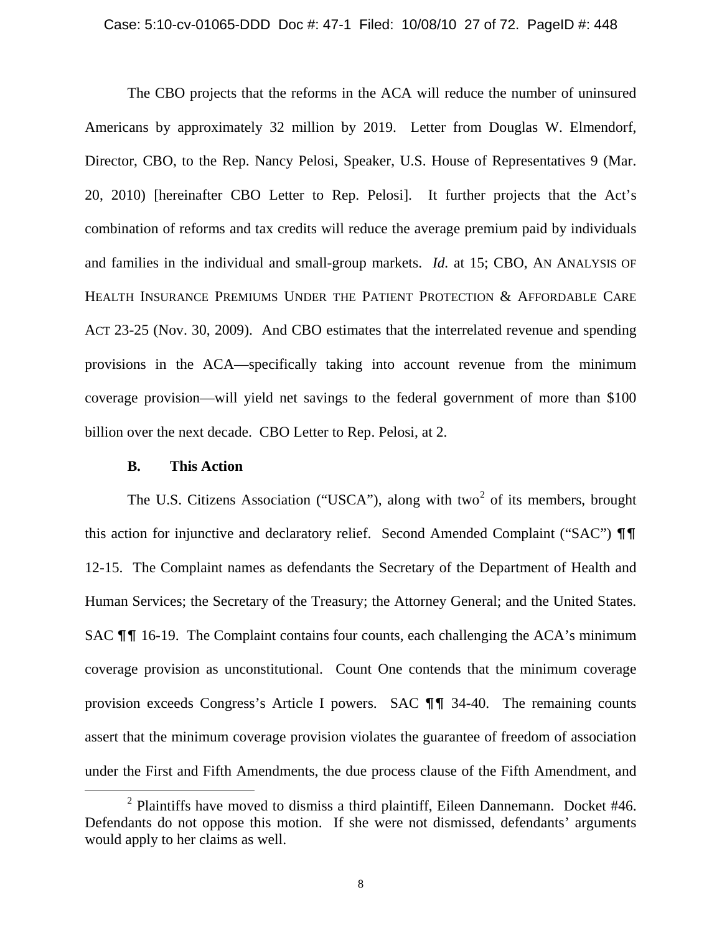The CBO projects that the reforms in the ACA will reduce the number of uninsured Americans by approximately 32 million by 2019. Letter from Douglas W. Elmendorf, Director, CBO, to the Rep. Nancy Pelosi, Speaker, U.S. House of Representatives 9 (Mar. 20, 2010) [hereinafter CBO Letter to Rep. Pelosi]. It further projects that the Act's combination of reforms and tax credits will reduce the average premium paid by individuals and families in the individual and small-group markets. *Id.* at 15; CBO, AN ANALYSIS OF HEALTH INSURANCE PREMIUMS UNDER THE PATIENT PROTECTION & AFFORDABLE CARE ACT 23-25 (Nov. 30, 2009). And CBO estimates that the interrelated revenue and spending provisions in the ACA—specifically taking into account revenue from the minimum coverage provision—will yield net savings to the federal government of more than \$100 billion over the next decade. CBO Letter to Rep. Pelosi, at 2.

### **B. This Action**

 $\overline{\phantom{0}}$ 

The U.S. Citizens Association ("USCA"), along with two<sup>[2](#page-26-0)</sup> of its members, brought this action for injunctive and declaratory relief. Second Amended Complaint ("SAC")  $\P\P$ 12-15. The Complaint names as defendants the Secretary of the Department of Health and Human Services; the Secretary of the Treasury; the Attorney General; and the United States. SAC  $\P\P$  16-19. The Complaint contains four counts, each challenging the ACA's minimum coverage provision as unconstitutional. Count One contends that the minimum coverage provision exceeds Congress's Article I powers. SAC  $\P\P$  34-40. The remaining counts assert that the minimum coverage provision violates the guarantee of freedom of association under the First and Fifth Amendments, the due process clause of the Fifth Amendment, and

<span id="page-26-0"></span> $2$  Plaintiffs have moved to dismiss a third plaintiff, Eileen Dannemann. Docket #46. Defendants do not oppose this motion. If she were not dismissed, defendants' arguments would apply to her claims as well.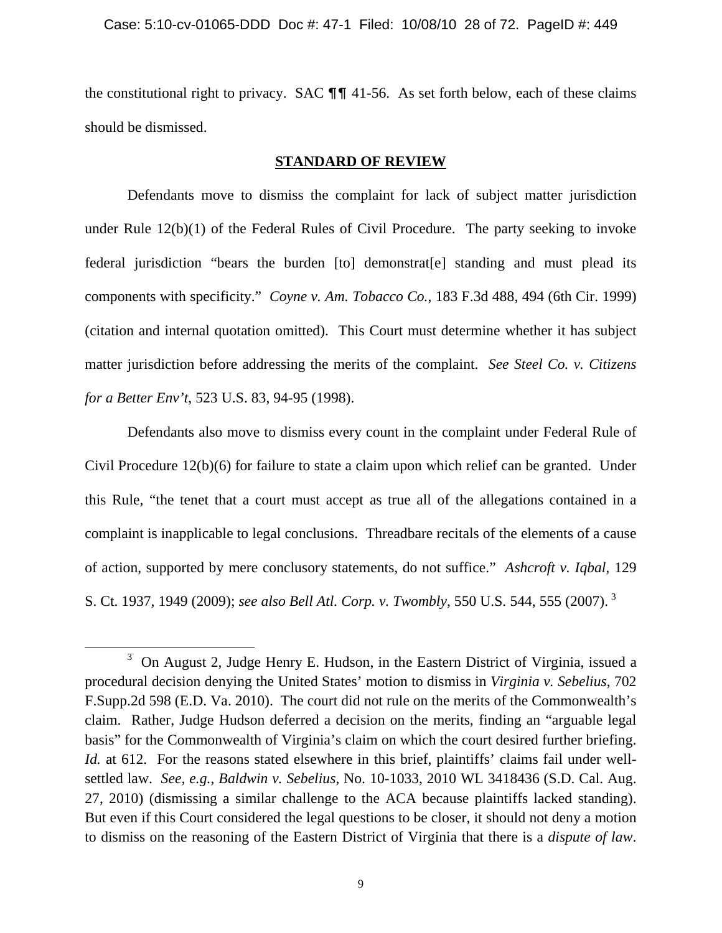the constitutional right to privacy. SAC  $\P\P$  41-56. As set forth below, each of these claims should be dismissed.

### **STANDARD OF REVIEW**

Defendants move to dismiss the complaint for lack of subject matter jurisdiction under Rule 12(b)(1) of the Federal Rules of Civil Procedure. The party seeking to invoke federal jurisdiction "bears the burden [to] demonstrat[e] standing and must plead its components with specificity." *Coyne v. Am. Tobacco Co.*, 183 F.3d 488, 494 (6th Cir. 1999) (citation and internal quotation omitted). This Court must determine whether it has subject matter jurisdiction before addressing the merits of the complaint. *See Steel Co. v. Citizens for a Better Env't*, 523 U.S. 83, 94-95 (1998).

Defendants also move to dismiss every count in the complaint under Federal Rule of Civil Procedure 12(b)(6) for failure to state a claim upon which relief can be granted. Under this Rule, "the tenet that a court must accept as true all of the allegations contained in a complaint is inapplicable to legal conclusions. Threadbare recitals of the elements of a cause of action, supported by mere conclusory statements, do not suffice." *Ashcroft v. Iqbal*, 129 S. Ct. 1937, 1949 (2009); *see also Bell Atl. Corp. v. Twombly*, 550 U.S. 544, 555 (2007). [3](#page-27-0)

ı

<span id="page-27-0"></span><sup>&</sup>lt;sup>3</sup> On August 2, Judge Henry E. Hudson, in the Eastern District of Virginia, issued a procedural decision denying the United States' motion to dismiss in *Virginia v. Sebelius*, 702 F.Supp.2d 598 (E.D. Va. 2010). The court did not rule on the merits of the Commonwealth's claim. Rather, Judge Hudson deferred a decision on the merits, finding an "arguable legal basis" for the Commonwealth of Virginia's claim on which the court desired further briefing. *Id.* at 612. For the reasons stated elsewhere in this brief, plaintiffs' claims fail under wellsettled law. *See, e.g.*, *Baldwin v. Sebelius*, No. 10-1033, 2010 WL 3418436 (S.D. Cal. Aug. 27, 2010) (dismissing a similar challenge to the ACA because plaintiffs lacked standing). But even if this Court considered the legal questions to be closer, it should not deny a motion to dismiss on the reasoning of the Eastern District of Virginia that there is a *dispute of law*.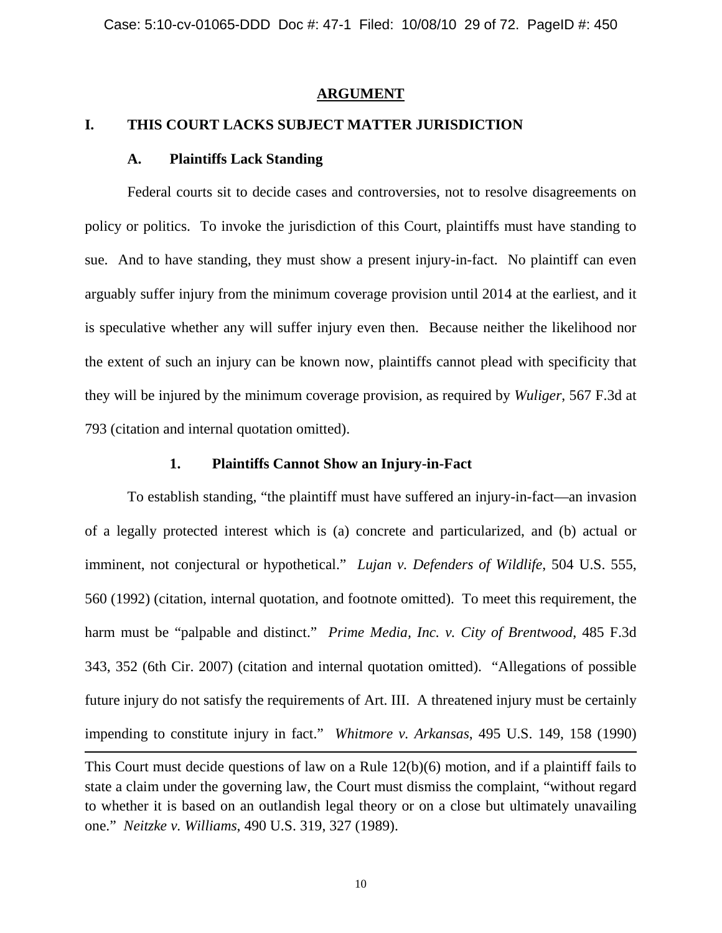### **ARGUMENT**

### **I. THIS COURT LACKS SUBJECT MATTER JURISDICTION**

### **A. Plaintiffs Lack Standing**

 $\overline{\phantom{0}}$ 

Federal courts sit to decide cases and controversies, not to resolve disagreements on policy or politics. To invoke the jurisdiction of this Court, plaintiffs must have standing to sue. And to have standing, they must show a present injury-in-fact. No plaintiff can even arguably suffer injury from the minimum coverage provision until 2014 at the earliest, and it is speculative whether any will suffer injury even then. Because neither the likelihood nor the extent of such an injury can be known now, plaintiffs cannot plead with specificity that they will be injured by the minimum coverage provision, as required by *Wuliger*, 567 F.3d at 793 (citation and internal quotation omitted).

### **1. Plaintiffs Cannot Show an Injury-in-Fact**

To establish standing, "the plaintiff must have suffered an injury-in-fact—an invasion of a legally protected interest which is (a) concrete and particularized, and (b) actual or imminent, not conjectural or hypothetical." *Lujan v. Defenders of Wildlife*, 504 U.S. 555, 560 (1992) (citation, internal quotation, and footnote omitted). To meet this requirement, the harm must be "palpable and distinct." *Prime Media, Inc. v. City of Brentwood*, 485 F.3d 343, 352 (6th Cir. 2007) (citation and internal quotation omitted). "Allegations of possible future injury do not satisfy the requirements of Art. III. A threatened injury must be certainly impending to constitute injury in fact." *Whitmore v. Arkansas*, 495 U.S. 149, 158 (1990)

This Court must decide questions of law on a Rule 12(b)(6) motion, and if a plaintiff fails to state a claim under the governing law, the Court must dismiss the complaint, "without regard to whether it is based on an outlandish legal theory or on a close but ultimately unavailing one." *Neitzke v. Williams*, 490 U.S. 319, 327 (1989).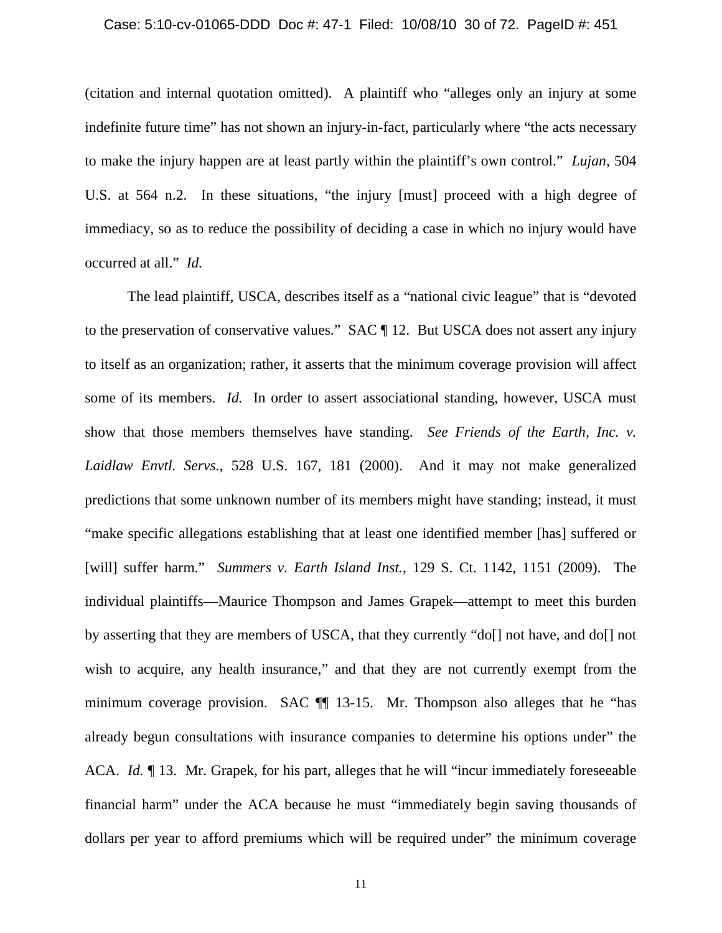#### Case: 5:10-cv-01065-DDD Doc #: 47-1 Filed: 10/08/10 30 of 72. PageID #: 451

(citation and internal quotation omitted). A plaintiff who "alleges only an injury at some indefinite future time" has not shown an injury-in-fact, particularly where "the acts necessary to make the injury happen are at least partly within the plaintiff's own control." *Lujan*, 504 U.S. at 564 n.2. In these situations, "the injury [must] proceed with a high degree of immediacy, so as to reduce the possibility of deciding a case in which no injury would have occurred at all." *Id.*

The lead plaintiff, USCA, describes itself as a "national civic league" that is "devoted to the preservation of conservative values." SAC ¶ 12. But USCA does not assert any injury to itself as an organization; rather, it asserts that the minimum coverage provision will affect some of its members. *Id.* In order to assert associational standing, however, USCA must show that those members themselves have standing. *See Friends of the Earth, Inc. v. Laidlaw Envtl. Servs.*, 528 U.S. 167, 181 (2000). And it may not make generalized predictions that some unknown number of its members might have standing; instead, it must "make specific allegations establishing that at least one identified member [has] suffered or [will] suffer harm." *Summers v. Earth Island Inst.*, 129 S. Ct. 1142, 1151 (2009). The individual plaintiffs—Maurice Thompson and James Grapek—attempt to meet this burden by asserting that they are members of USCA, that they currently "do[] not have, and do[] not wish to acquire, any health insurance," and that they are not currently exempt from the minimum coverage provision. SAC ¶¶ 13-15. Mr. Thompson also alleges that he "has already begun consultations with insurance companies to determine his options under" the ACA. *Id.* 13. Mr. Grapek, for his part, alleges that he will "incur immediately foreseeable financial harm" under the ACA because he must "immediately begin saving thousands of dollars per year to afford premiums which will be required under" the minimum coverage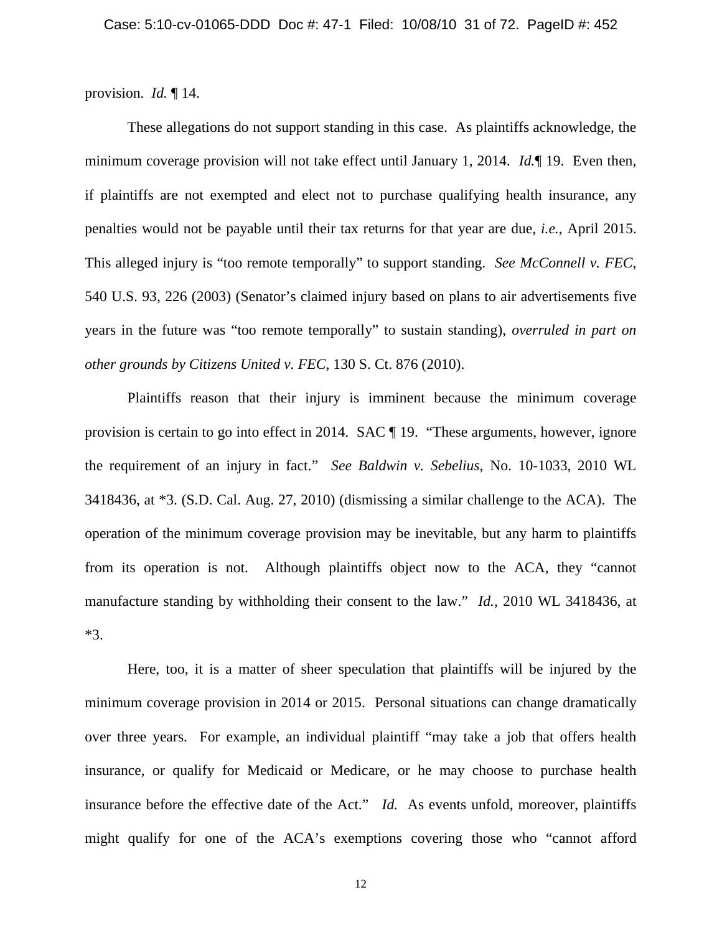provision. *Id.* ¶ 14.

These allegations do not support standing in this case. As plaintiffs acknowledge, the minimum coverage provision will not take effect until January 1, 2014. *Id.*¶ 19. Even then, if plaintiffs are not exempted and elect not to purchase qualifying health insurance, any penalties would not be payable until their tax returns for that year are due, *i.e.*, April 2015. This alleged injury is "too remote temporally" to support standing. *See McConnell v. FEC*, 540 U.S. 93, 226 (2003) (Senator's claimed injury based on plans to air advertisements five years in the future was "too remote temporally" to sustain standing), *overruled in part on other grounds by Citizens United v. FEC*, 130 S. Ct. 876 (2010).

Plaintiffs reason that their injury is imminent because the minimum coverage provision is certain to go into effect in 2014. SAC ¶ 19. "These arguments, however, ignore the requirement of an injury in fact." *See Baldwin v. Sebelius*, No. 10-1033, 2010 WL 3418436, at \*3. (S.D. Cal. Aug. 27, 2010) (dismissing a similar challenge to the ACA). The operation of the minimum coverage provision may be inevitable, but any harm to plaintiffs from its operation is not. Although plaintiffs object now to the ACA, they "cannot manufacture standing by withholding their consent to the law." *Id.,* 2010 WL 3418436, at \*3.

Here, too, it is a matter of sheer speculation that plaintiffs will be injured by the minimum coverage provision in 2014 or 2015. Personal situations can change dramatically over three years. For example, an individual plaintiff "may take a job that offers health insurance, or qualify for Medicaid or Medicare, or he may choose to purchase health insurance before the effective date of the Act." *Id.* As events unfold, moreover, plaintiffs might qualify for one of the ACA's exemptions covering those who "cannot afford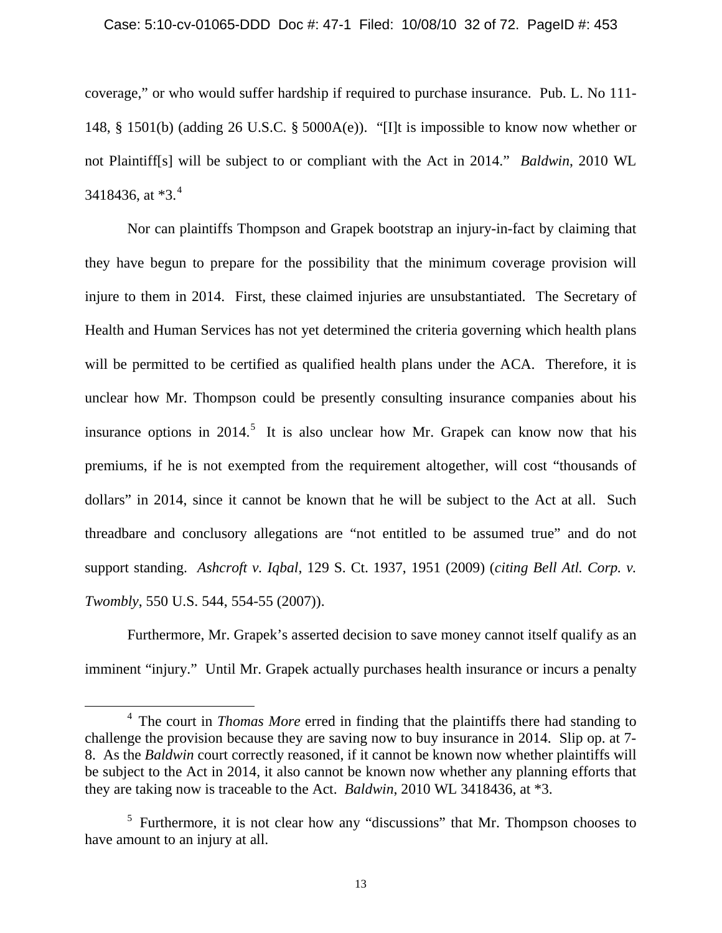#### Case: 5:10-cv-01065-DDD Doc #: 47-1 Filed: 10/08/10 32 of 72. PageID #: 453

coverage," or who would suffer hardship if required to purchase insurance. Pub. L. No 111- 148, § 1501(b) (adding 26 U.S.C. § 5000A(e)). "[I]t is impossible to know now whether or not Plaintiff[s] will be subject to or compliant with the Act in 2014." *Baldwin*, 2010 WL 3[4](#page-31-0)18436, at  $*3.^4$ 

Nor can plaintiffs Thompson and Grapek bootstrap an injury-in-fact by claiming that they have begun to prepare for the possibility that the minimum coverage provision will injure to them in 2014. First, these claimed injuries are unsubstantiated. The Secretary of Health and Human Services has not yet determined the criteria governing which health plans will be permitted to be certified as qualified health plans under the ACA. Therefore, it is unclear how Mr. Thompson could be presently consulting insurance companies about his insurance options in  $2014$ <sup>[5](#page-31-1)</sup>. It is also unclear how Mr. Grapek can know now that his premiums, if he is not exempted from the requirement altogether, will cost "thousands of dollars" in 2014, since it cannot be known that he will be subject to the Act at all. Such threadbare and conclusory allegations are "not entitled to be assumed true" and do not support standing. *Ashcroft v. Iqbal*, 129 S. Ct. 1937, 1951 (2009) (*citing Bell Atl. Corp. v. Twombly*, 550 U.S. 544, 554-55 (2007)).

Furthermore, Mr. Grapek's asserted decision to save money cannot itself qualify as an imminent "injury." Until Mr. Grapek actually purchases health insurance or incurs a penalty

ı

<span id="page-31-0"></span><sup>4</sup> The court in *Thomas More* erred in finding that the plaintiffs there had standing to challenge the provision because they are saving now to buy insurance in 2014. Slip op. at 7- 8. As the *Baldwin* court correctly reasoned, if it cannot be known now whether plaintiffs will be subject to the Act in 2014, it also cannot be known now whether any planning efforts that they are taking now is traceable to the Act. *Baldwin*, 2010 WL 3418436, at \*3.

<span id="page-31-1"></span><sup>&</sup>lt;sup>5</sup> Furthermore, it is not clear how any "discussions" that Mr. Thompson chooses to have amount to an injury at all.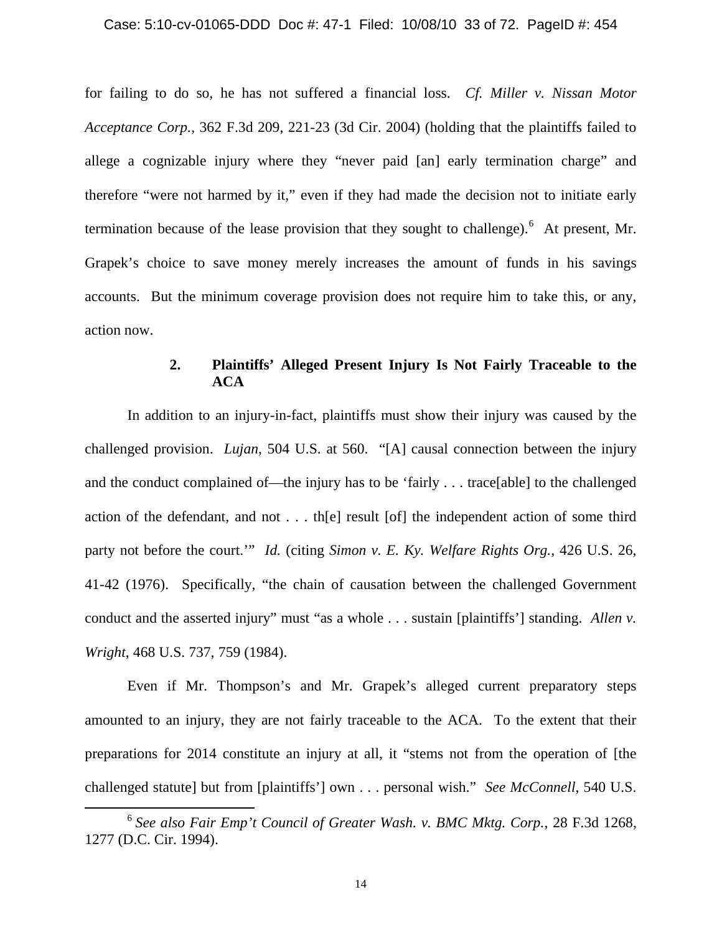for failing to do so, he has not suffered a financial loss. *Cf. Miller v. Nissan Motor Acceptance Corp.*, 362 F.3d 209, 221-23 (3d Cir. 2004) (holding that the plaintiffs failed to allege a cognizable injury where they "never paid [an] early termination charge" and therefore "were not harmed by it," even if they had made the decision not to initiate early termination because of the lease provision that they sought to challenge).  $6$  At present, Mr. Grapek's choice to save money merely increases the amount of funds in his savings accounts. But the minimum coverage provision does not require him to take this, or any, action now.

## **2. Plaintiffs' Alleged Present Injury Is Not Fairly Traceable to the ACA**

In addition to an injury-in-fact, plaintiffs must show their injury was caused by the challenged provision. *Lujan*, 504 U.S. at 560. "[A] causal connection between the injury and the conduct complained of—the injury has to be 'fairly . . . trace[able] to the challenged action of the defendant, and not . . . th[e] result [of] the independent action of some third party not before the court.'" *Id.* (citing *Simon v. E. Ky. Welfare Rights Org.*, 426 U.S. 26, 41-42 (1976). Specifically, "the chain of causation between the challenged Government conduct and the asserted injury" must "as a whole . . . sustain [plaintiffs'] standing. *Allen v. Wright*, 468 U.S. 737, 759 (1984).

Even if Mr. Thompson's and Mr. Grapek's alleged current preparatory steps amounted to an injury, they are not fairly traceable to the ACA. To the extent that their preparations for 2014 constitute an injury at all, it "stems not from the operation of [the challenged statute] but from [plaintiffs'] own . . . personal wish." *See McConnell*, 540 U.S.

ı

<span id="page-32-0"></span><sup>6</sup>*See also Fair Emp't Council of Greater Wash. v. BMC Mktg. Corp.*, 28 F.3d 1268, 1277 (D.C. Cir. 1994).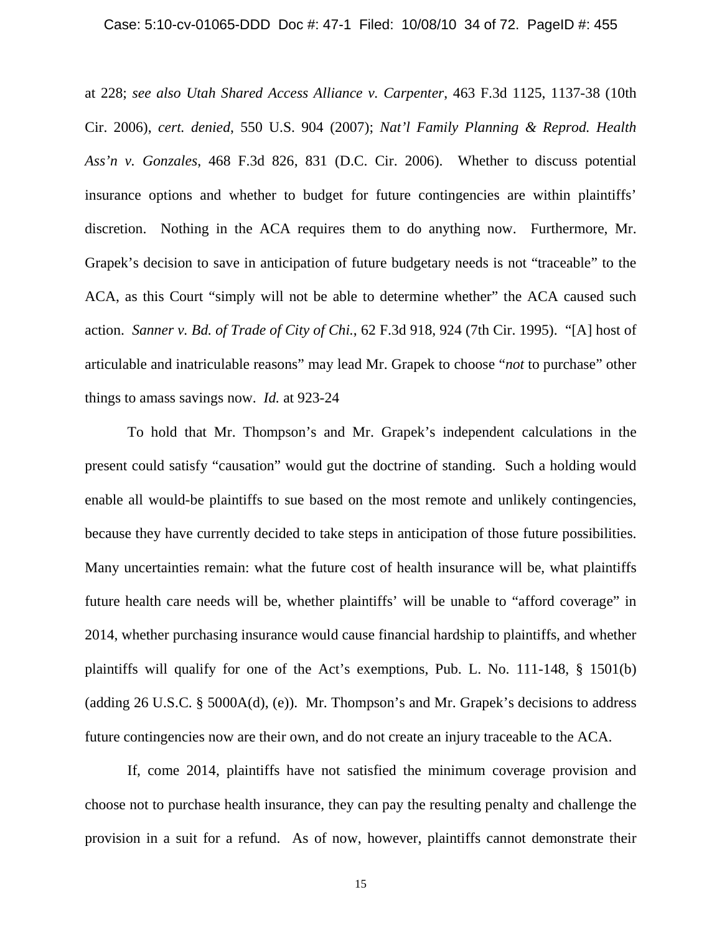#### Case: 5:10-cv-01065-DDD Doc #: 47-1 Filed: 10/08/10 34 of 72. PageID #: 455

at 228; *see also Utah Shared Access Alliance v. Carpenter*, 463 F.3d 1125, 1137-38 (10th Cir. 2006), *cert. denied*, 550 U.S. 904 (2007); *Nat'l Family Planning & Reprod. Health Ass'n v. Gonzales*, 468 F.3d 826, 831 (D.C. Cir. 2006). Whether to discuss potential insurance options and whether to budget for future contingencies are within plaintiffs' discretion. Nothing in the ACA requires them to do anything now. Furthermore, Mr. Grapek's decision to save in anticipation of future budgetary needs is not "traceable" to the ACA, as this Court "simply will not be able to determine whether" the ACA caused such action. *Sanner v. Bd. of Trade of City of Chi.*, 62 F.3d 918, 924 (7th Cir. 1995). "[A] host of articulable and inatriculable reasons" may lead Mr. Grapek to choose "*not* to purchase" other things to amass savings now. *Id.* at 923-24

To hold that Mr. Thompson's and Mr. Grapek's independent calculations in the present could satisfy "causation" would gut the doctrine of standing. Such a holding would enable all would-be plaintiffs to sue based on the most remote and unlikely contingencies, because they have currently decided to take steps in anticipation of those future possibilities. Many uncertainties remain: what the future cost of health insurance will be, what plaintiffs future health care needs will be, whether plaintiffs' will be unable to "afford coverage" in 2014, whether purchasing insurance would cause financial hardship to plaintiffs, and whether plaintiffs will qualify for one of the Act's exemptions, Pub. L. No. 111-148, § 1501(b) (adding 26 U.S.C. § 5000A(d), (e)). Mr. Thompson's and Mr. Grapek's decisions to address future contingencies now are their own, and do not create an injury traceable to the ACA.

If, come 2014, plaintiffs have not satisfied the minimum coverage provision and choose not to purchase health insurance, they can pay the resulting penalty and challenge the provision in a suit for a refund. As of now, however, plaintiffs cannot demonstrate their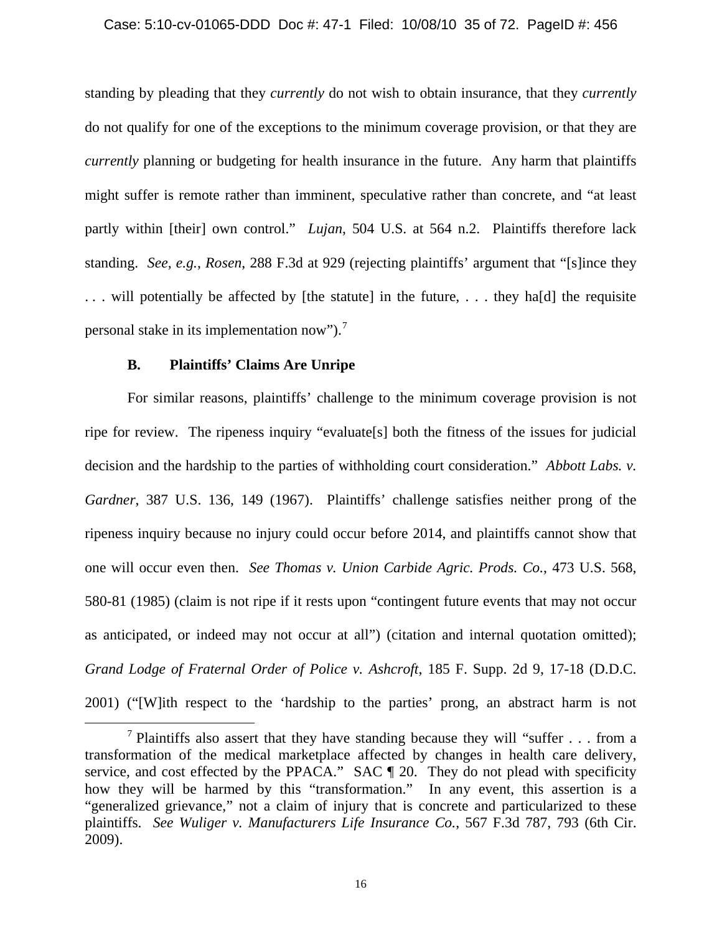### Case: 5:10-cv-01065-DDD Doc #: 47-1 Filed: 10/08/10 35 of 72. PageID #: 456

standing by pleading that they *currently* do not wish to obtain insurance, that they *currently* do not qualify for one of the exceptions to the minimum coverage provision, or that they are *currently* planning or budgeting for health insurance in the future. Any harm that plaintiffs might suffer is remote rather than imminent, speculative rather than concrete, and "at least partly within [their] own control." *Lujan*, 504 U.S. at 564 n.2. Plaintiffs therefore lack standing. *See, e.g.*, *Rosen*, 288 F.3d at 929 (rejecting plaintiffs' argument that "[s]ince they . . . will potentially be affected by [the statute] in the future, . . . they ha[d] the requisite personal stake in its implementation now").<sup>[7](#page-34-0)</sup>

### **B. Plaintiffs' Claims Are Unripe**

 $\overline{\phantom{0}}$ 

For similar reasons, plaintiffs' challenge to the minimum coverage provision is not ripe for review. The ripeness inquiry "evaluate[s] both the fitness of the issues for judicial decision and the hardship to the parties of withholding court consideration." *Abbott Labs. v. Gardner*, 387 U.S. 136, 149 (1967). Plaintiffs' challenge satisfies neither prong of the ripeness inquiry because no injury could occur before 2014, and plaintiffs cannot show that one will occur even then. *See Thomas v. Union Carbide Agric. Prods. Co.*, 473 U.S. 568, 580-81 (1985) (claim is not ripe if it rests upon "contingent future events that may not occur as anticipated, or indeed may not occur at all") (citation and internal quotation omitted); *Grand Lodge of Fraternal Order of Police v. Ashcroft*, 185 F. Supp. 2d 9, 17-18 (D.D.C. 2001) ("[W]ith respect to the 'hardship to the parties' prong, an abstract harm is not

<span id="page-34-0"></span><sup>&</sup>lt;sup>7</sup> Plaintiffs also assert that they have standing because they will "suffer  $\dots$  from a transformation of the medical marketplace affected by changes in health care delivery, service, and cost effected by the PPACA." SAC  $\P$  20. They do not plead with specificity how they will be harmed by this "transformation." In any event, this assertion is a "generalized grievance," not a claim of injury that is concrete and particularized to these plaintiffs. *See Wuliger v. Manufacturers Life Insurance Co.*, 567 F.3d 787, 793 (6th Cir. 2009).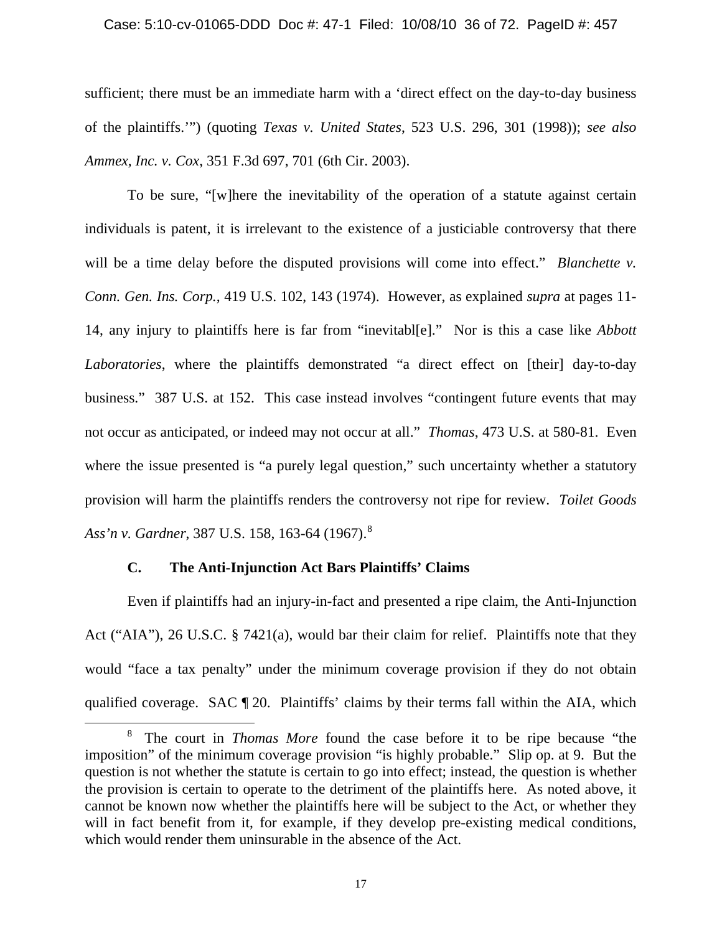#### Case: 5:10-cv-01065-DDD Doc #: 47-1 Filed: 10/08/10 36 of 72. PageID #: 457

sufficient; there must be an immediate harm with a 'direct effect on the day-to-day business of the plaintiffs.'") (quoting *Texas v. United States*, 523 U.S. 296, 301 (1998)); *see also Ammex, Inc. v. Cox*, 351 F.3d 697, 701 (6th Cir. 2003).

To be sure, "[w]here the inevitability of the operation of a statute against certain individuals is patent, it is irrelevant to the existence of a justiciable controversy that there will be a time delay before the disputed provisions will come into effect." *Blanchette v. Conn. Gen. Ins. Corp.*, 419 U.S. 102, 143 (1974). However, as explained *supra* at pages 11- 14, any injury to plaintiffs here is far from "inevitabl[e]." Nor is this a case like *Abbott Laboratories*, where the plaintiffs demonstrated "a direct effect on [their] day-to-day business." 387 U.S. at 152. This case instead involves "contingent future events that may not occur as anticipated, or indeed may not occur at all." *Thomas*, 473 U.S. at 580-81. Even where the issue presented is "a purely legal question," such uncertainty whether a statutory provision will harm the plaintiffs renders the controversy not ripe for review. *Toilet Goods Ass'n v. Gardner*, 387 U.S. 158, 163-64 (1967).<sup>8</sup>

### **C. The Anti-Injunction Act Bars Plaintiffs' Claims**

 $\overline{\phantom{0}}$ 

Even if plaintiffs had an injury-in-fact and presented a ripe claim, the Anti-Injunction Act ("AIA"), 26 U.S.C. § 7421(a), would bar their claim for relief. Plaintiffs note that they would "face a tax penalty" under the minimum coverage provision if they do not obtain qualified coverage. SAC ¶ 20. Plaintiffs' claims by their terms fall within the AIA, which

<span id="page-35-0"></span><sup>8</sup> The court in *Thomas More* found the case before it to be ripe because "the imposition" of the minimum coverage provision "is highly probable." Slip op. at 9. But the question is not whether the statute is certain to go into effect; instead, the question is whether the provision is certain to operate to the detriment of the plaintiffs here. As noted above, it cannot be known now whether the plaintiffs here will be subject to the Act, or whether they will in fact benefit from it, for example, if they develop pre-existing medical conditions, which would render them uninsurable in the absence of the Act.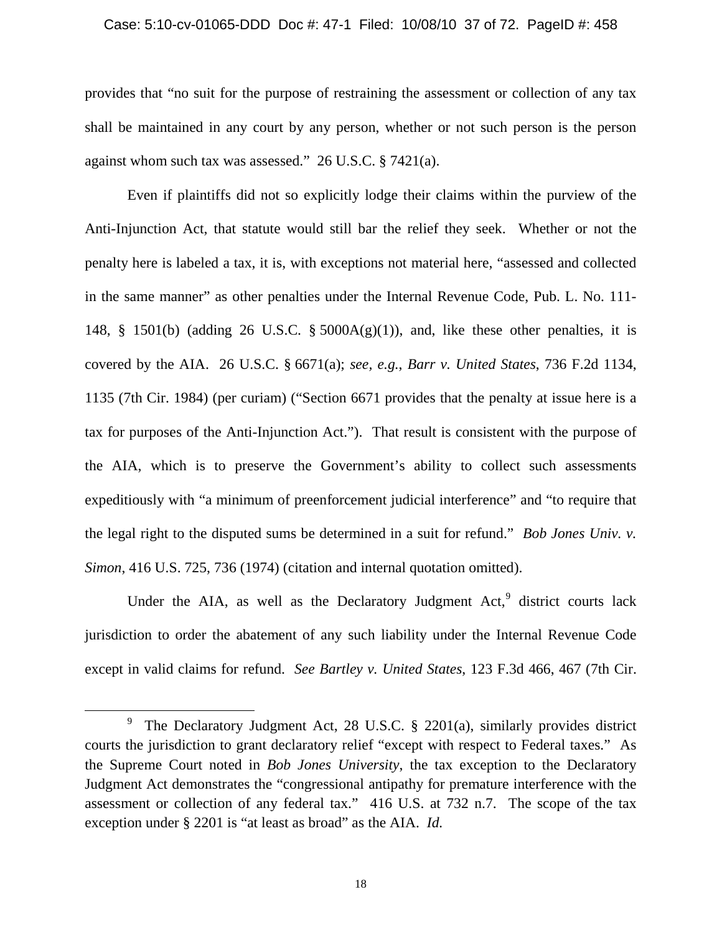#### Case: 5:10-cv-01065-DDD Doc #: 47-1 Filed: 10/08/10 37 of 72. PageID #: 458

provides that "no suit for the purpose of restraining the assessment or collection of any tax shall be maintained in any court by any person, whether or not such person is the person against whom such tax was assessed." 26 U.S.C. § 7421(a).

Even if plaintiffs did not so explicitly lodge their claims within the purview of the Anti-Injunction Act, that statute would still bar the relief they seek. Whether or not the penalty here is labeled a tax, it is, with exceptions not material here, "assessed and collected in the same manner" as other penalties under the Internal Revenue Code, Pub. L. No. 111- 148,  $\S$  1501(b) (adding 26 U.S.C.  $\S$  5000A(g)(1)), and, like these other penalties, it is covered by the AIA. 26 U.S.C. § 6671(a); *see, e.g.*, *Barr v. United States*, 736 F.2d 1134, 1135 (7th Cir. 1984) (per curiam) ("Section 6671 provides that the penalty at issue here is a tax for purposes of the Anti-Injunction Act."). That result is consistent with the purpose of the AIA, which is to preserve the Government's ability to collect such assessments expeditiously with "a minimum of preenforcement judicial interference" and "to require that the legal right to the disputed sums be determined in a suit for refund." *Bob Jones Univ. v. Simon*, 416 U.S. 725, 736 (1974) (citation and internal quotation omitted).

Under the AIA, as well as the Declaratory Judgment  $Act<sub>2</sub><sup>9</sup>$  $Act<sub>2</sub><sup>9</sup>$  $Act<sub>2</sub><sup>9</sup>$  district courts lack jurisdiction to order the abatement of any such liability under the Internal Revenue Code except in valid claims for refund. *See Bartley v. United States*, 123 F.3d 466, 467 (7th Cir.

ı

18

<span id="page-36-0"></span><sup>&</sup>lt;sup>9</sup> The Declaratory Judgment Act, 28 U.S.C. § 2201(a), similarly provides district courts the jurisdiction to grant declaratory relief "except with respect to Federal taxes." As the Supreme Court noted in *Bob Jones University*, the tax exception to the Declaratory Judgment Act demonstrates the "congressional antipathy for premature interference with the assessment or collection of any federal tax." 416 U.S. at 732 n.7. The scope of the tax exception under § 2201 is "at least as broad" as the AIA. *Id.*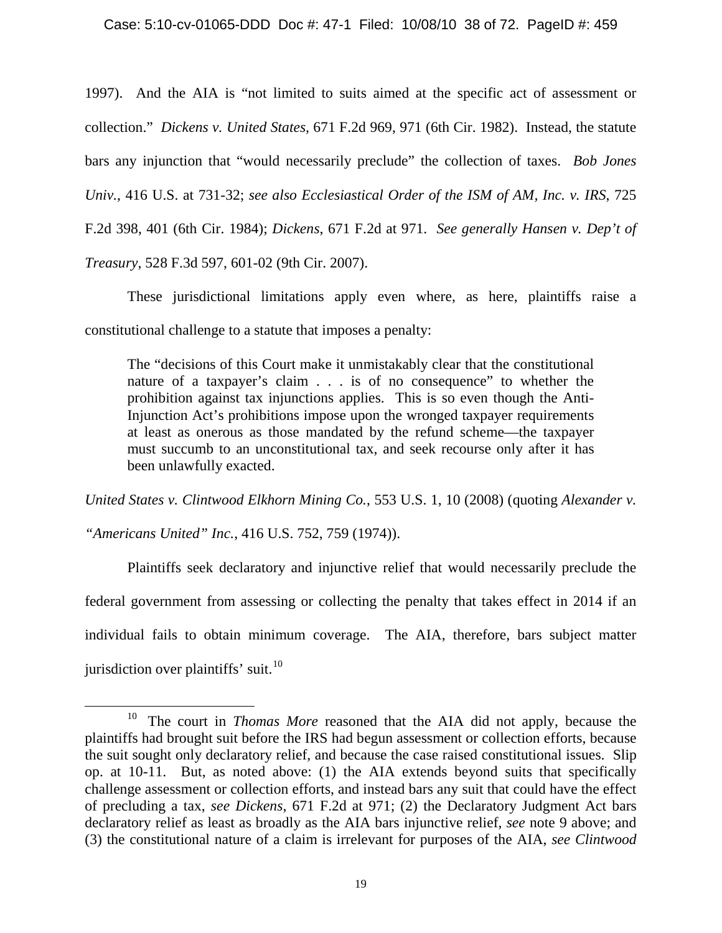1997). And the AIA is "not limited to suits aimed at the specific act of assessment or collection." *Dickens v. United States*, 671 F.2d 969, 971 (6th Cir. 1982). Instead, the statute bars any injunction that "would necessarily preclude" the collection of taxes. *Bob Jones Univ.*, 416 U.S. at 731-32; *see also Ecclesiastical Order of the ISM of AM, Inc. v. IRS*, 725 F.2d 398, 401 (6th Cir. 1984); *Dickens*, 671 F.2d at 971. *See generally Hansen v. Dep't of Treasury*, 528 F.3d 597, 601-02 (9th Cir. 2007).

These jurisdictional limitations apply even where, as here, plaintiffs raise a constitutional challenge to a statute that imposes a penalty:

The "decisions of this Court make it unmistakably clear that the constitutional nature of a taxpayer's claim . . . is of no consequence" to whether the prohibition against tax injunctions applies. This is so even though the Anti-Injunction Act's prohibitions impose upon the wronged taxpayer requirements at least as onerous as those mandated by the refund scheme—the taxpayer must succumb to an unconstitutional tax, and seek recourse only after it has been unlawfully exacted.

*United States v. Clintwood Elkhorn Mining Co.*, 553 U.S. 1, 10 (2008) (quoting *Alexander v.* 

*"Americans United" Inc.*, 416 U.S. 752, 759 (1974)).

ı

Plaintiffs seek declaratory and injunctive relief that would necessarily preclude the federal government from assessing or collecting the penalty that takes effect in 2014 if an individual fails to obtain minimum coverage. The AIA, therefore, bars subject matter jurisdiction over plaintiffs' suit.<sup>10</sup>

<span id="page-37-0"></span><sup>10</sup> The court in *Thomas More* reasoned that the AIA did not apply, because the plaintiffs had brought suit before the IRS had begun assessment or collection efforts, because the suit sought only declaratory relief, and because the case raised constitutional issues. Slip op. at 10-11. But, as noted above: (1) the AIA extends beyond suits that specifically challenge assessment or collection efforts, and instead bars any suit that could have the effect of precluding a tax, *see Dickens*, 671 F.2d at 971; (2) the Declaratory Judgment Act bars declaratory relief as least as broadly as the AIA bars injunctive relief, *see* note 9 above; and (3) the constitutional nature of a claim is irrelevant for purposes of the AIA, *see Clintwood*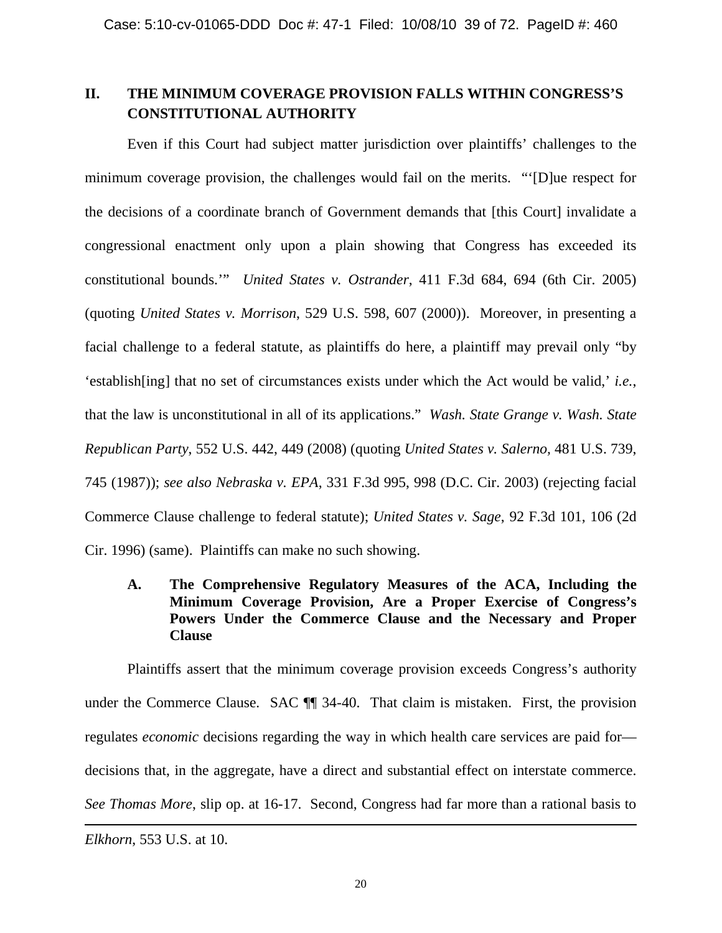# **II. THE MINIMUM COVERAGE PROVISION FALLS WITHIN CONGRESS'S CONSTITUTIONAL AUTHORITY**

Even if this Court had subject matter jurisdiction over plaintiffs' challenges to the minimum coverage provision, the challenges would fail on the merits. "'[D]ue respect for the decisions of a coordinate branch of Government demands that [this Court] invalidate a congressional enactment only upon a plain showing that Congress has exceeded its constitutional bounds.'" *United States v. Ostrander*, 411 F.3d 684, 694 (6th Cir. 2005) (quoting *United States v. Morrison*, 529 U.S. 598, 607 (2000)). Moreover, in presenting a facial challenge to a federal statute, as plaintiffs do here, a plaintiff may prevail only "by 'establish[ing] that no set of circumstances exists under which the Act would be valid,' *i.e.*, that the law is unconstitutional in all of its applications." *Wash. State Grange v. Wash. State Republican Party*, 552 U.S. 442, 449 (2008) (quoting *United States v. Salerno,* 481 U.S. 739, 745 (1987)); *see also Nebraska v. EPA*, 331 F.3d 995, 998 (D.C. Cir. 2003) (rejecting facial Commerce Clause challenge to federal statute); *United States v. Sage*, 92 F.3d 101, 106 (2d Cir. 1996) (same). Plaintiffs can make no such showing.

# **A. The Comprehensive Regulatory Measures of the ACA, Including the Minimum Coverage Provision, Are a Proper Exercise of Congress's Powers Under the Commerce Clause and the Necessary and Proper Clause**

Plaintiffs assert that the minimum coverage provision exceeds Congress's authority under the Commerce Clause. SAC  $\P$  34-40. That claim is mistaken. First, the provision regulates *economic* decisions regarding the way in which health care services are paid for decisions that, in the aggregate, have a direct and substantial effect on interstate commerce. *See Thomas More*, slip op. at 16-17. Second, Congress had far more than a rational basis to ı

*Elkhorn*, 553 U.S. at 10.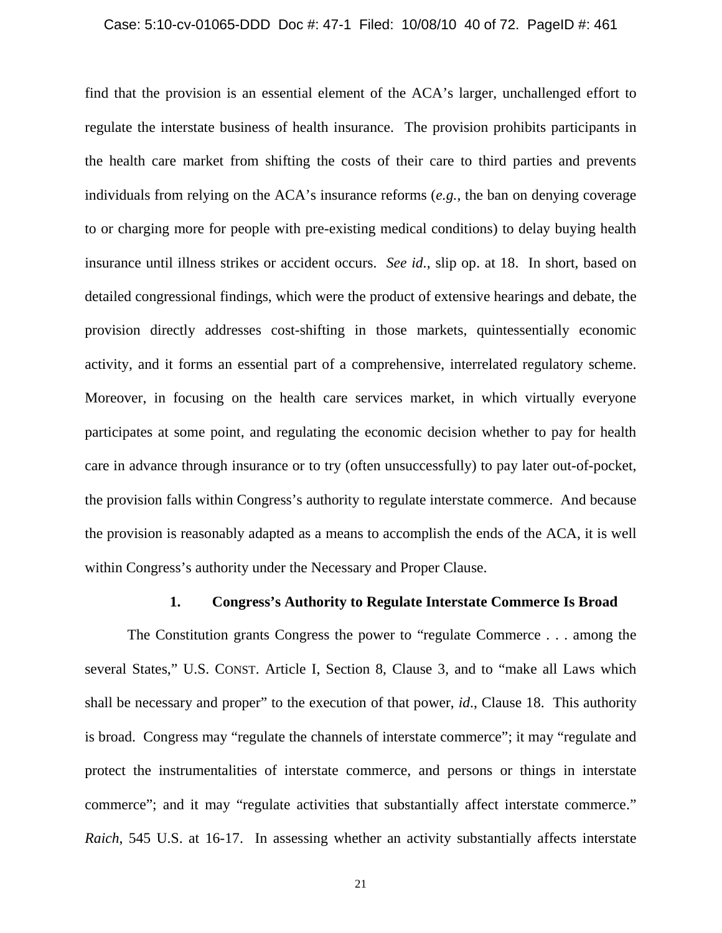#### Case: 5:10-cv-01065-DDD Doc #: 47-1 Filed: 10/08/10 40 of 72. PageID #: 461

find that the provision is an essential element of the ACA's larger, unchallenged effort to regulate the interstate business of health insurance. The provision prohibits participants in the health care market from shifting the costs of their care to third parties and prevents individuals from relying on the ACA's insurance reforms (*e.g.*, the ban on denying coverage to or charging more for people with pre-existing medical conditions) to delay buying health insurance until illness strikes or accident occurs. *See id.*, slip op. at 18. In short, based on detailed congressional findings, which were the product of extensive hearings and debate, the provision directly addresses cost-shifting in those markets, quintessentially economic activity, and it forms an essential part of a comprehensive, interrelated regulatory scheme. Moreover, in focusing on the health care services market, in which virtually everyone participates at some point, and regulating the economic decision whether to pay for health care in advance through insurance or to try (often unsuccessfully) to pay later out-of-pocket, the provision falls within Congress's authority to regulate interstate commerce. And because the provision is reasonably adapted as a means to accomplish the ends of the ACA, it is well within Congress's authority under the Necessary and Proper Clause.

### **1. Congress's Authority to Regulate Interstate Commerce Is Broad**

The Constitution grants Congress the power to "regulate Commerce . . . among the several States," U.S. CONST. Article I, Section 8, Clause 3, and to "make all Laws which shall be necessary and proper" to the execution of that power, *id*., Clause 18. This authority is broad. Congress may "regulate the channels of interstate commerce"; it may "regulate and protect the instrumentalities of interstate commerce, and persons or things in interstate commerce"; and it may "regulate activities that substantially affect interstate commerce." *Raich*, 545 U.S. at 16-17. In assessing whether an activity substantially affects interstate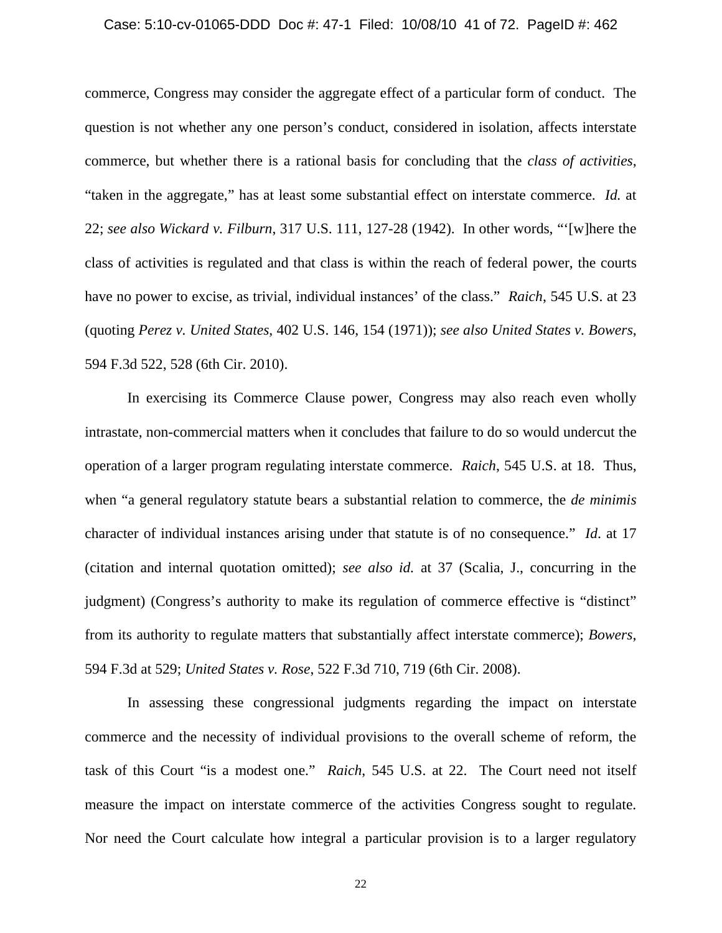#### Case: 5:10-cv-01065-DDD Doc #: 47-1 Filed: 10/08/10 41 of 72. PageID #: 462

commerce, Congress may consider the aggregate effect of a particular form of conduct. The question is not whether any one person's conduct, considered in isolation, affects interstate commerce, but whether there is a rational basis for concluding that the *class of activities*, "taken in the aggregate," has at least some substantial effect on interstate commerce. *Id.* at 22; *see also Wickard v. Filburn*, 317 U.S. 111, 127-28 (1942). In other words, "'[w]here the class of activities is regulated and that class is within the reach of federal power, the courts have no power to excise, as trivial, individual instances' of the class." *Raich*, 545 U.S. at 23 (quoting *Perez v. United States*, 402 U.S. 146, 154 (1971)); *see also United States v. Bowers*, 594 F.3d 522, 528 (6th Cir. 2010).

In exercising its Commerce Clause power, Congress may also reach even wholly intrastate, non-commercial matters when it concludes that failure to do so would undercut the operation of a larger program regulating interstate commerce. *Raich*, 545 U.S. at 18. Thus, when "a general regulatory statute bears a substantial relation to commerce, the *de minimis* character of individual instances arising under that statute is of no consequence." *Id*. at 17 (citation and internal quotation omitted); *see also id.* at 37 (Scalia, J., concurring in the judgment) (Congress's authority to make its regulation of commerce effective is "distinct" from its authority to regulate matters that substantially affect interstate commerce); *Bowers*, 594 F.3d at 529; *United States v. Rose*, 522 F.3d 710, 719 (6th Cir. 2008).

In assessing these congressional judgments regarding the impact on interstate commerce and the necessity of individual provisions to the overall scheme of reform, the task of this Court "is a modest one." *Raich*, 545 U.S. at 22. The Court need not itself measure the impact on interstate commerce of the activities Congress sought to regulate. Nor need the Court calculate how integral a particular provision is to a larger regulatory

22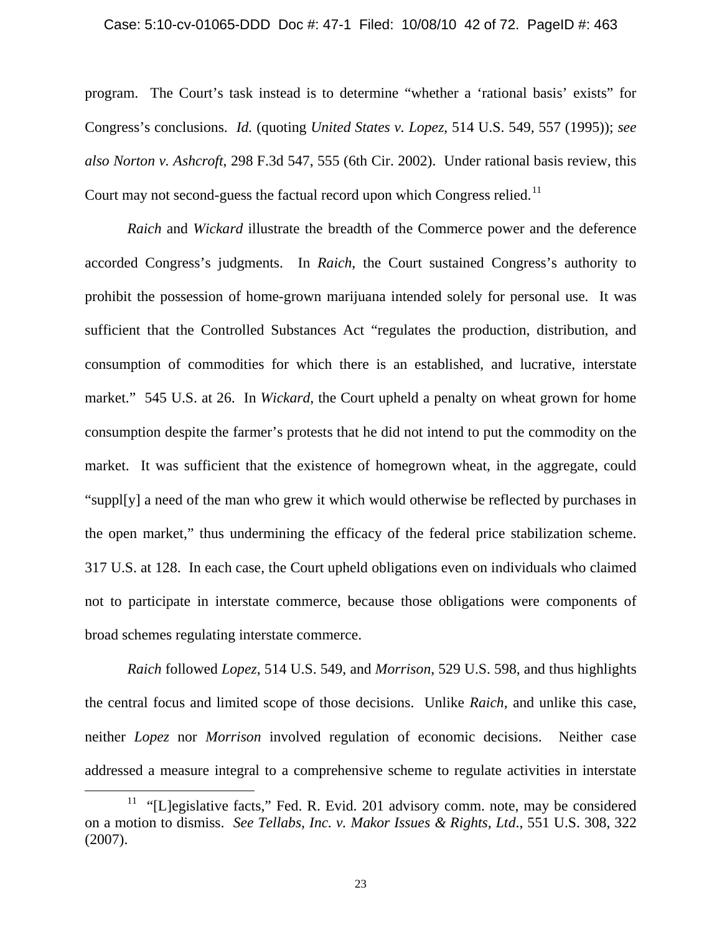#### Case: 5:10-cv-01065-DDD Doc #: 47-1 Filed: 10/08/10 42 of 72. PageID #: 463

program. The Court's task instead is to determine "whether a 'rational basis' exists" for Congress's conclusions. *Id.* (quoting *United States v. Lopez*, 514 U.S. 549, 557 (1995)); *see also Norton v. Ashcroft*, 298 F.3d 547, 555 (6th Cir. 2002). Under rational basis review, this Court may not second-guess the factual record upon which Congress relied.<sup>[11](#page-41-0)</sup>

*Raich* and *Wickard* illustrate the breadth of the Commerce power and the deference accorded Congress's judgments. In *Raich*, the Court sustained Congress's authority to prohibit the possession of home-grown marijuana intended solely for personal use. It was sufficient that the Controlled Substances Act "regulates the production, distribution, and consumption of commodities for which there is an established, and lucrative, interstate market." 545 U.S. at 26. In *Wickard*, the Court upheld a penalty on wheat grown for home consumption despite the farmer's protests that he did not intend to put the commodity on the market. It was sufficient that the existence of homegrown wheat, in the aggregate, could "suppl[y] a need of the man who grew it which would otherwise be reflected by purchases in the open market," thus undermining the efficacy of the federal price stabilization scheme. 317 U.S. at 128. In each case, the Court upheld obligations even on individuals who claimed not to participate in interstate commerce, because those obligations were components of broad schemes regulating interstate commerce.

*Raich* followed *Lopez*, 514 U.S. 549, and *Morrison*, 529 U.S. 598, and thus highlights the central focus and limited scope of those decisions. Unlike *Raich*, and unlike this case, neither *Lopez* nor *Morrison* involved regulation of economic decisions. Neither case addressed a measure integral to a comprehensive scheme to regulate activities in interstate

 $\overline{\phantom{0}}$ 

<span id="page-41-0"></span><sup>&</sup>lt;sup>11</sup> "[L]egislative facts," Fed. R. Evid. 201 advisory comm. note, may be considered on a motion to dismiss. *See Tellabs, Inc. v. Makor Issues & Rights, Ltd*., 551 U.S. 308, 322 (2007).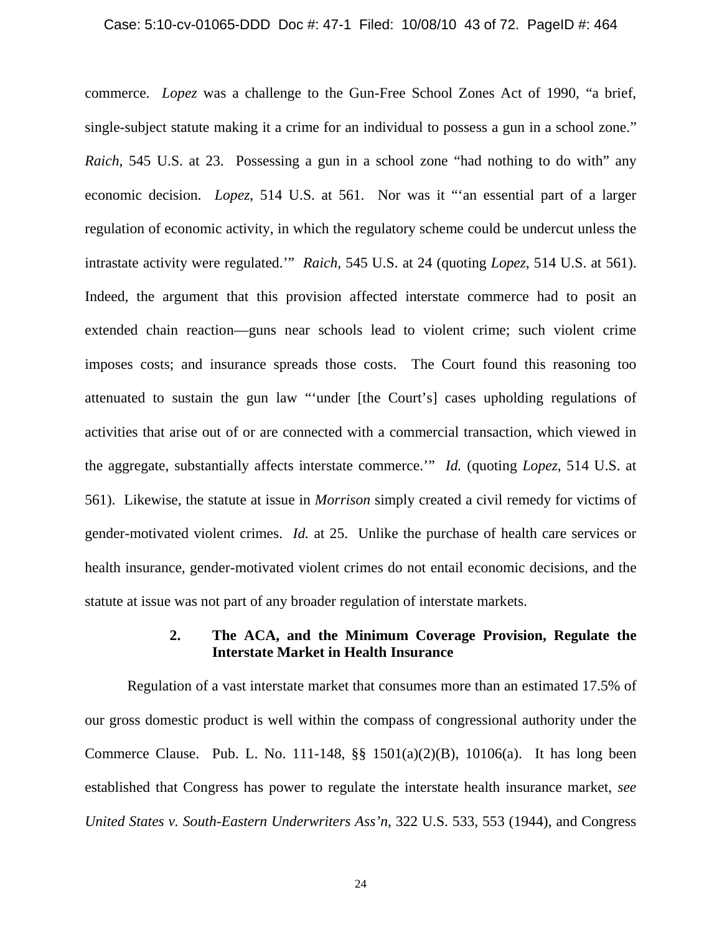#### Case: 5:10-cv-01065-DDD Doc #: 47-1 Filed: 10/08/10 43 of 72. PageID #: 464

commerce. *Lopez* was a challenge to the Gun-Free School Zones Act of 1990, "a brief, single-subject statute making it a crime for an individual to possess a gun in a school zone." *Raich*, 545 U.S. at 23. Possessing a gun in a school zone "had nothing to do with" any economic decision. *Lopez*, 514 U.S. at 561. Nor was it "'an essential part of a larger regulation of economic activity, in which the regulatory scheme could be undercut unless the intrastate activity were regulated.'" *Raich,* 545 U.S. at 24 (quoting *Lopez*, 514 U.S. at 561). Indeed, the argument that this provision affected interstate commerce had to posit an extended chain reaction—guns near schools lead to violent crime; such violent crime imposes costs; and insurance spreads those costs. The Court found this reasoning too attenuated to sustain the gun law "'under [the Court's] cases upholding regulations of activities that arise out of or are connected with a commercial transaction, which viewed in the aggregate, substantially affects interstate commerce.'" *Id.* (quoting *Lopez*, 514 U.S. at 561). Likewise, the statute at issue in *Morrison* simply created a civil remedy for victims of gender-motivated violent crimes. *Id.* at 25. Unlike the purchase of health care services or health insurance, gender-motivated violent crimes do not entail economic decisions, and the statute at issue was not part of any broader regulation of interstate markets.

### **2. The ACA, and the Minimum Coverage Provision, Regulate the Interstate Market in Health Insurance**

Regulation of a vast interstate market that consumes more than an estimated 17.5% of our gross domestic product is well within the compass of congressional authority under the Commerce Clause. Pub. L. No. 111-148, §§ 1501(a)(2)(B), 10106(a). It has long been established that Congress has power to regulate the interstate health insurance market, *see United States v. South-Eastern Underwriters Ass'n*, 322 U.S. 533, 553 (1944), and Congress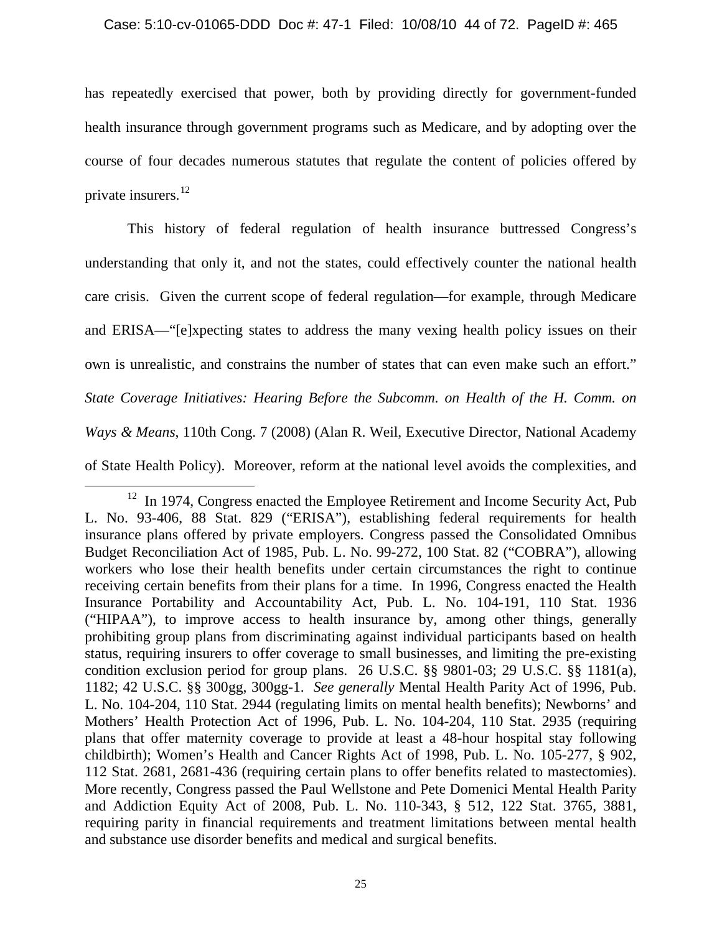has repeatedly exercised that power, both by providing directly for government-funded health insurance through government programs such as Medicare, and by adopting over the course of four decades numerous statutes that regulate the content of policies offered by private insurers.<sup>[12](#page-43-0)</sup>

<span id="page-43-1"></span>This history of federal regulation of health insurance buttressed Congress's understanding that only it, and not the states, could effectively counter the national health care crisis. Given the current scope of federal regulation—for example, through Medicare and ERISA—"[e]xpecting states to address the many vexing health policy issues on their own is unrealistic, and constrains the number of states that can even make such an effort." *State Coverage Initiatives: Hearing Before the Subcomm. on Health of the H. Comm. on Ways & Means*, 110th Cong. 7 (2008) (Alan R. Weil, Executive Director, National Academy of State Health Policy). Moreover, reform at the national level avoids the complexities, and

 $\overline{\phantom{0}}$ 

<span id="page-43-0"></span><sup>&</sup>lt;sup>12</sup> In 1974, Congress enacted the Employee Retirement and Income Security Act, Pub L. No. 93-406, 88 Stat. 829 ("ERISA"), establishing federal requirements for health insurance plans offered by private employers. Congress passed the Consolidated Omnibus Budget Reconciliation Act of 1985, Pub. L. No. 99-272, 100 Stat. 82 ("COBRA"), allowing workers who lose their health benefits under certain circumstances the right to continue receiving certain benefits from their plans for a time. In 1996, Congress enacted the Health Insurance Portability and Accountability Act, Pub. L. No. 104-191, 110 Stat. 1936 ("HIPAA"), to improve access to health insurance by, among other things, generally prohibiting group plans from discriminating against individual participants based on health status, requiring insurers to offer coverage to small businesses, and limiting the pre-existing condition exclusion period for group plans. 26 U.S.C. §§ 9801-03; 29 U.S.C. §§ 1181(a), 1182; 42 U.S.C. §§ 300gg, 300gg-1. *See generally* Mental Health Parity Act of 1996, Pub. L. No. 104-204, 110 Stat. 2944 (regulating limits on mental health benefits); Newborns' and Mothers' Health Protection Act of 1996, Pub. L. No. 104-204, 110 Stat. 2935 (requiring plans that offer maternity coverage to provide at least a 48-hour hospital stay following childbirth); Women's Health and Cancer Rights Act of 1998, Pub. L. No. 105-277, § 902, 112 Stat. 2681, 2681-436 (requiring certain plans to offer benefits related to mastectomies). More recently, Congress passed the Paul Wellstone and Pete Domenici Mental Health Parity and Addiction Equity Act of 2008, Pub. L. No. 110-343, § 512, 122 Stat. 3765, 3881, requiring parity in financial requirements and treatment limitations between mental health and substance use disorder benefits and medical and surgical benefits.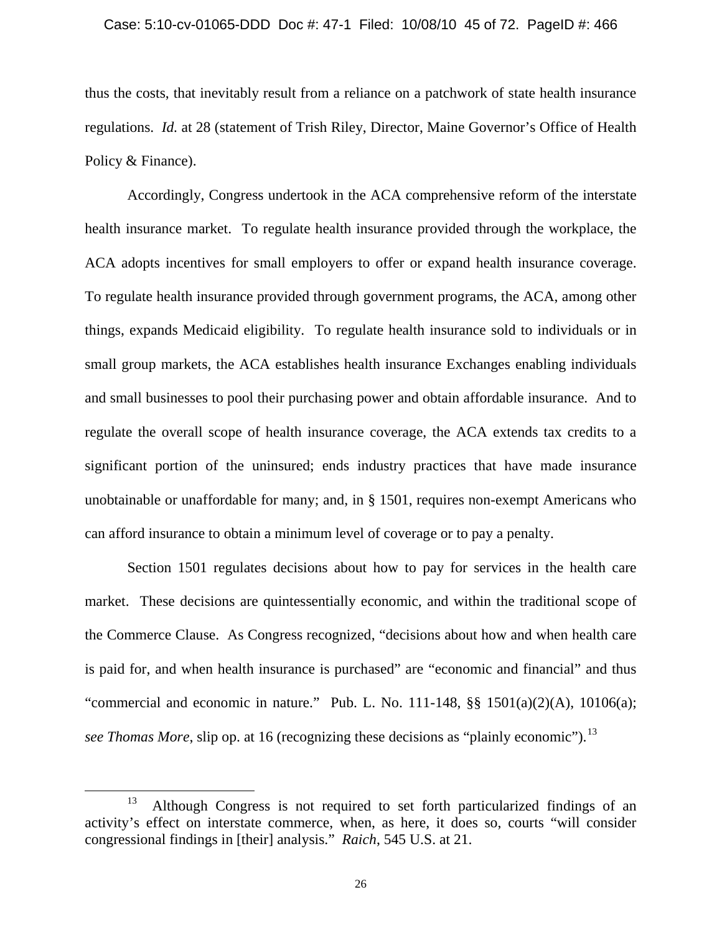#### Case: 5:10-cv-01065-DDD Doc #: 47-1 Filed: 10/08/10 45 of 72. PageID #: 466

thus the costs, that inevitably result from a reliance on a patchwork of state health insurance regulations. *Id.* at 28 (statement of Trish Riley, Director, Maine Governor's Office of Health Policy & Finance).

Accordingly, Congress undertook in the ACA comprehensive reform of the interstate health insurance market. To regulate health insurance provided through the workplace, the ACA adopts incentives for small employers to offer or expand health insurance coverage. To regulate health insurance provided through government programs, the ACA, among other things, expands Medicaid eligibility. To regulate health insurance sold to individuals or in small group markets, the ACA establishes health insurance Exchanges enabling individuals and small businesses to pool their purchasing power and obtain affordable insurance. And to regulate the overall scope of health insurance coverage, the ACA extends tax credits to a significant portion of the uninsured; ends industry practices that have made insurance unobtainable or unaffordable for many; and, in § 1501, requires non-exempt Americans who can afford insurance to obtain a minimum level of coverage or to pay a penalty.

Section 1501 regulates decisions about how to pay for services in the health care market. These decisions are quintessentially economic, and within the traditional scope of the Commerce Clause. As Congress recognized, "decisions about how and when health care is paid for, and when health insurance is purchased" are "economic and financial" and thus "commercial and economic in nature." Pub. L. No. 111-148,  $\S$  $\S$  1501(a)(2)(A), 10106(a); *see Thomas More*, slip op. at 16 (recognizing these decisions as "plainly economic").<sup>[13](#page-44-0)</sup>

 $\overline{\phantom{0}}$ 

<span id="page-44-0"></span><sup>&</sup>lt;sup>13</sup> Although Congress is not required to set forth particularized findings of an activity's effect on interstate commerce, when, as here, it does so, courts "will consider congressional findings in [their] analysis." *Raich*, 545 U.S. at 21.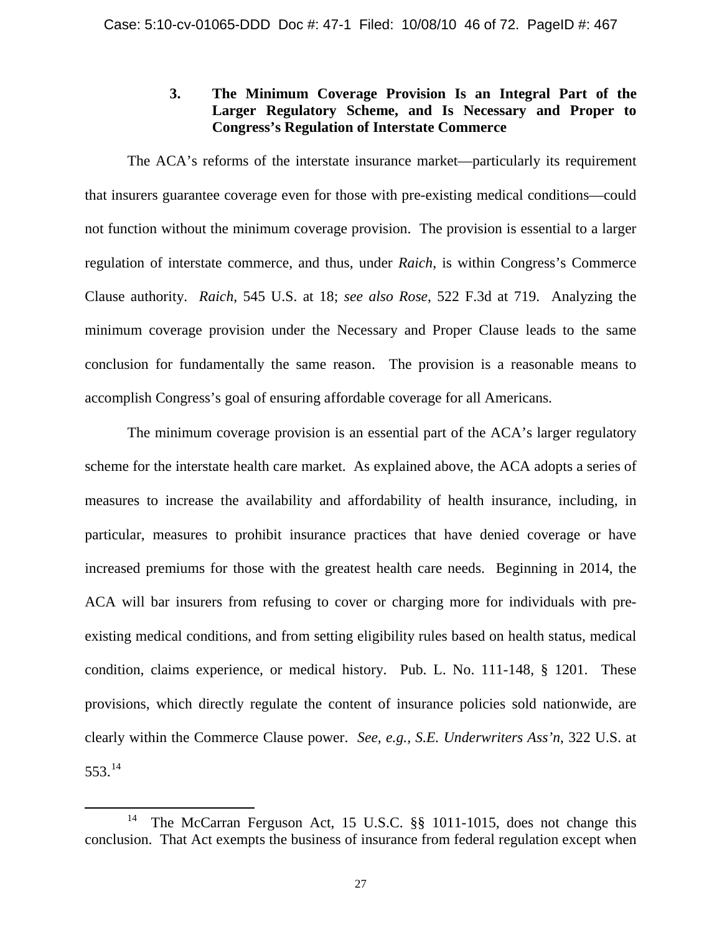## **3. The Minimum Coverage Provision Is an Integral Part of the Larger Regulatory Scheme, and Is Necessary and Proper to Congress's Regulation of Interstate Commerce**

The ACA's reforms of the interstate insurance market—particularly its requirement that insurers guarantee coverage even for those with pre-existing medical conditions—could not function without the minimum coverage provision. The provision is essential to a larger regulation of interstate commerce, and thus, under *Raich*, is within Congress's Commerce Clause authority. *Raich*, 545 U.S. at 18; *see also Rose*, 522 F.3d at 719. Analyzing the minimum coverage provision under the Necessary and Proper Clause leads to the same conclusion for fundamentally the same reason. The provision is a reasonable means to accomplish Congress's goal of ensuring affordable coverage for all Americans.

The minimum coverage provision is an essential part of the ACA's larger regulatory scheme for the interstate health care market. As explained above, the ACA adopts a series of measures to increase the availability and affordability of health insurance, including, in particular, measures to prohibit insurance practices that have denied coverage or have increased premiums for those with the greatest health care needs. Beginning in 2014, the ACA will bar insurers from refusing to cover or charging more for individuals with preexisting medical conditions, and from setting eligibility rules based on health status, medical condition, claims experience, or medical history. Pub. L. No. 111-148, § 1201. These provisions, which directly regulate the content of insurance policies sold nationwide, are clearly within the Commerce Clause power. *See, e.g., S.E. Underwriters Ass'n*, 322 U.S. at 553.[14](#page-45-0) 

ı

<span id="page-45-0"></span><sup>&</sup>lt;sup>14</sup> The McCarran Ferguson Act, 15 U.S.C. §§ 1011-1015, does not change this conclusion. That Act exempts the business of insurance from federal regulation except when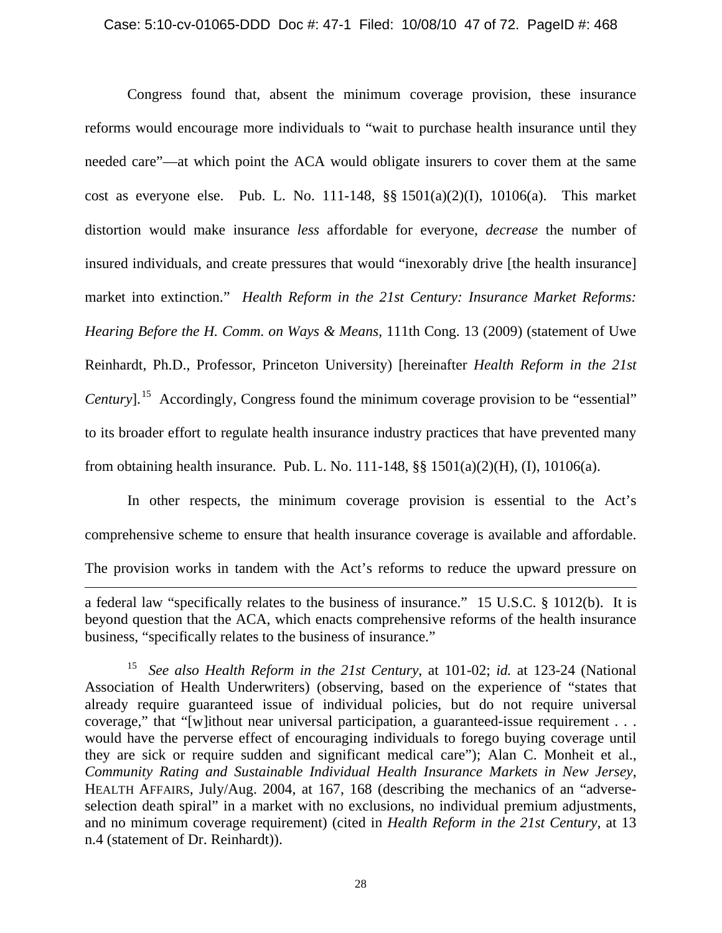Congress found that, absent the minimum coverage provision, these insurance reforms would encourage more individuals to "wait to purchase health insurance until they needed care"—at which point the ACA would obligate insurers to cover them at the same cost as everyone else. Pub. L. No. 111-148, §§ 1501(a)(2)(I), 10106(a). This market distortion would make insurance *less* affordable for everyone, *decrease* the number of insured individuals, and create pressures that would "inexorably drive [the health insurance] market into extinction." *Health Reform in the 21st Century: Insurance Market Reforms: Hearing Before the H. Comm. on Ways & Means*, 111th Cong. 13 (2009) (statement of Uwe Reinhardt, Ph.D., Professor, Princeton University) [hereinafter *Health Reform in the 21st Century*].<sup>[15](#page-46-0)</sup> Accordingly, Congress found the minimum coverage provision to be "essential" to its broader effort to regulate health insurance industry practices that have prevented many from obtaining health insurance. Pub. L. No. 111-148, §§ 1501(a)(2)(H), (I), 10106(a).

In other respects, the minimum coverage provision is essential to the Act's comprehensive scheme to ensure that health insurance coverage is available and affordable. The provision works in tandem with the Act's reforms to reduce the upward pressure on  $\overline{\phantom{0}}$ 

a federal law "specifically relates to the business of insurance." 15 U.S.C. § 1012(b). It is beyond question that the ACA, which enacts comprehensive reforms of the health insurance business, "specifically relates to the business of insurance."

<span id="page-46-0"></span><sup>15</sup> *See also Health Reform in the 21st Century*, at 101-02; *id.* at 123-24 (National Association of Health Underwriters) (observing, based on the experience of "states that already require guaranteed issue of individual policies, but do not require universal coverage," that "[w]ithout near universal participation, a guaranteed-issue requirement . . . would have the perverse effect of encouraging individuals to forego buying coverage until they are sick or require sudden and significant medical care"); Alan C. Monheit et al., *Community Rating and Sustainable Individual Health Insurance Markets in New Jersey*, HEALTH AFFAIRS, July/Aug. 2004, at 167, 168 (describing the mechanics of an "adverseselection death spiral" in a market with no exclusions, no individual premium adjustments, and no minimum coverage requirement) (cited in *Health Reform in the 21st Century,* at 13 n.4 (statement of Dr. Reinhardt)).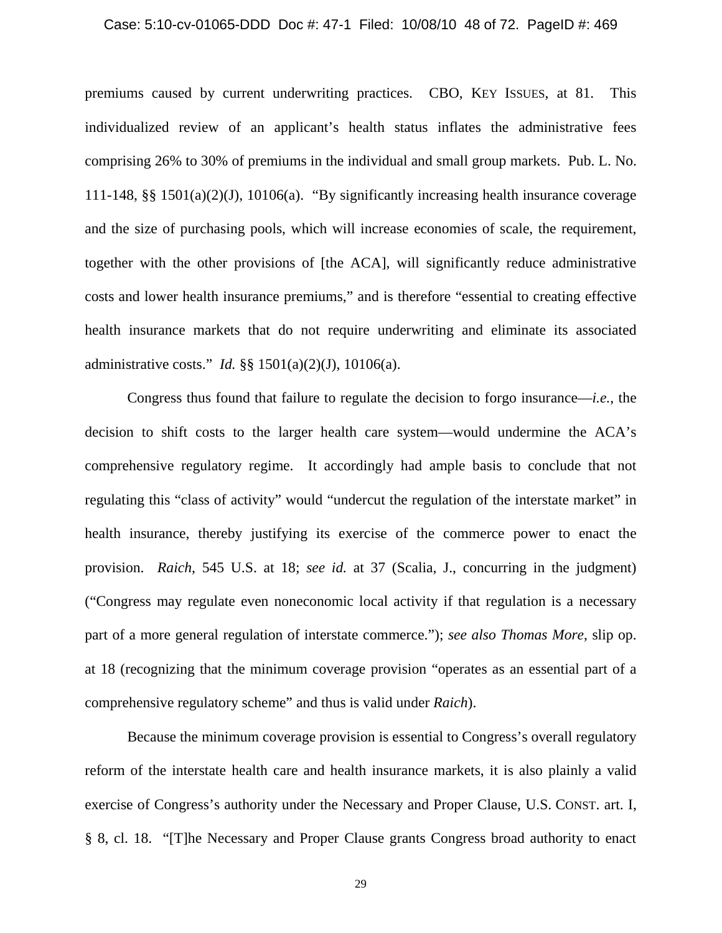#### Case: 5:10-cv-01065-DDD Doc #: 47-1 Filed: 10/08/10 48 of 72. PageID #: 469

premiums caused by current underwriting practices. CBO, KEY ISSUES, at 81. This individualized review of an applicant's health status inflates the administrative fees comprising 26% to 30% of premiums in the individual and small group markets. Pub. L. No. 111-148, §§ 1501(a)(2)(J), 10106(a). "By significantly increasing health insurance coverage and the size of purchasing pools, which will increase economies of scale, the requirement, together with the other provisions of [the ACA], will significantly reduce administrative costs and lower health insurance premiums," and is therefore "essential to creating effective health insurance markets that do not require underwriting and eliminate its associated administrative costs." *Id.* §§ 1501(a)(2)(J), 10106(a).

Congress thus found that failure to regulate the decision to forgo insurance—*i.e.*, the decision to shift costs to the larger health care system—would undermine the ACA's comprehensive regulatory regime. It accordingly had ample basis to conclude that not regulating this "class of activity" would "undercut the regulation of the interstate market" in health insurance, thereby justifying its exercise of the commerce power to enact the provision. *Raich*, 545 U.S. at 18; *see id.* at 37 (Scalia, J., concurring in the judgment) ("Congress may regulate even noneconomic local activity if that regulation is a necessary part of a more general regulation of interstate commerce."); *see also Thomas More*, slip op. at 18 (recognizing that the minimum coverage provision "operates as an essential part of a comprehensive regulatory scheme" and thus is valid under *Raich*).

Because the minimum coverage provision is essential to Congress's overall regulatory reform of the interstate health care and health insurance markets, it is also plainly a valid exercise of Congress's authority under the Necessary and Proper Clause, U.S. CONST. art. I, § 8, cl. 18. "[T]he Necessary and Proper Clause grants Congress broad authority to enact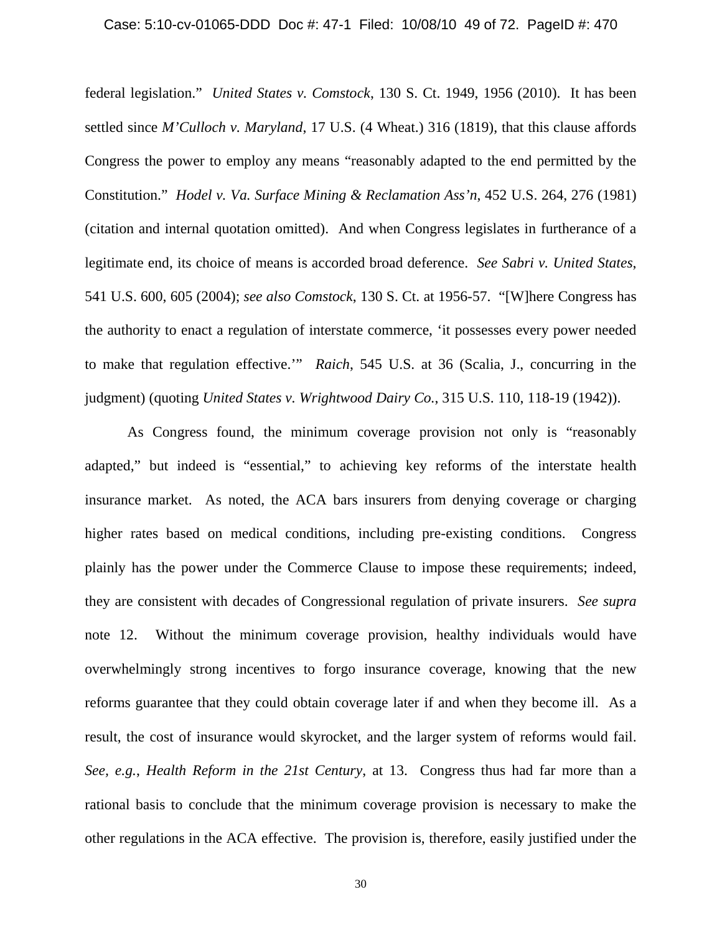#### Case: 5:10-cv-01065-DDD Doc #: 47-1 Filed: 10/08/10 49 of 72. PageID #: 470

federal legislation." *United States v. Comstock*, 130 S. Ct. 1949, 1956 (2010). It has been settled since *M'Culloch v. Maryland*, 17 U.S. (4 Wheat.) 316 (1819), that this clause affords Congress the power to employ any means "reasonably adapted to the end permitted by the Constitution." *Hodel v. Va. Surface Mining & Reclamation Ass'n*, 452 U.S. 264, 276 (1981) (citation and internal quotation omitted). And when Congress legislates in furtherance of a legitimate end, its choice of means is accorded broad deference. *See Sabri v. United States*, 541 U.S. 600, 605 (2004); *see also Comstock*, 130 S. Ct. at 1956-57. "[W]here Congress has the authority to enact a regulation of interstate commerce, 'it possesses every power needed to make that regulation effective.'" *Raich*, 545 U.S. at 36 (Scalia, J., concurring in the judgment) (quoting *United States v. Wrightwood Dairy Co.*, 315 U.S. 110, 118-19 (1942)).

As Congress found, the minimum coverage provision not only is "reasonably adapted," but indeed is "essential," to achieving key reforms of the interstate health insurance market. As noted, the ACA bars insurers from denying coverage or charging higher rates based on medical conditions, including pre-existing conditions. Congress plainly has the power under the Commerce Clause to impose these requirements; indeed, they are consistent with decades of Congressional regulation of private insurers. *See supra* note [12.](#page-43-1) Without the minimum coverage provision, healthy individuals would have overwhelmingly strong incentives to forgo insurance coverage, knowing that the new reforms guarantee that they could obtain coverage later if and when they become ill. As a result, the cost of insurance would skyrocket, and the larger system of reforms would fail. *See, e.g.*, *Health Reform in the 21st Century*, at 13. Congress thus had far more than a rational basis to conclude that the minimum coverage provision is necessary to make the other regulations in the ACA effective. The provision is, therefore, easily justified under the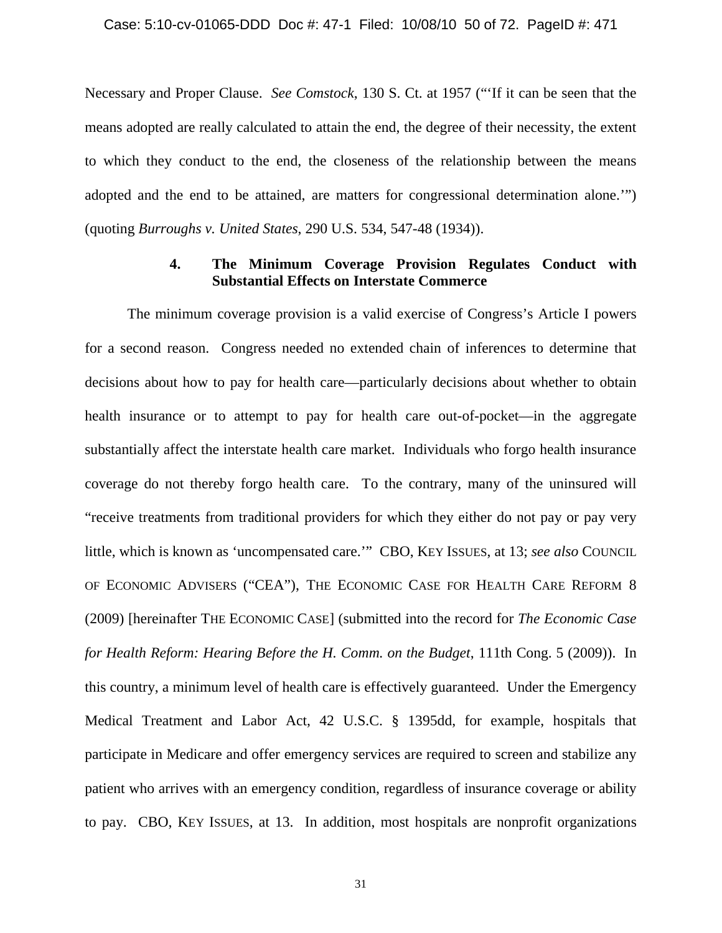Necessary and Proper Clause. *See Comstock*, 130 S. Ct. at 1957 ("'If it can be seen that the means adopted are really calculated to attain the end, the degree of their necessity, the extent to which they conduct to the end, the closeness of the relationship between the means adopted and the end to be attained, are matters for congressional determination alone.'") (quoting *Burroughs v. United States*, 290 U.S. 534, 547-48 (1934)).

## **4. The Minimum Coverage Provision Regulates Conduct with Substantial Effects on Interstate Commerce**

The minimum coverage provision is a valid exercise of Congress's Article I powers for a second reason. Congress needed no extended chain of inferences to determine that decisions about how to pay for health care—particularly decisions about whether to obtain health insurance or to attempt to pay for health care out-of-pocket—in the aggregate substantially affect the interstate health care market. Individuals who forgo health insurance coverage do not thereby forgo health care. To the contrary, many of the uninsured will "receive treatments from traditional providers for which they either do not pay or pay very little, which is known as 'uncompensated care.'" CBO, KEY ISSUES, at 13; *see also* COUNCIL OF ECONOMIC ADVISERS ("CEA"), THE ECONOMIC CASE FOR HEALTH CARE REFORM 8 (2009) [hereinafter THE ECONOMIC CASE] (submitted into the record for *The Economic Case for Health Reform: Hearing Before the H. Comm. on the Budget*, 111th Cong. 5 (2009)). In this country, a minimum level of health care is effectively guaranteed. Under the Emergency Medical Treatment and Labor Act, 42 U.S.C. § 1395dd, for example, hospitals that participate in Medicare and offer emergency services are required to screen and stabilize any patient who arrives with an emergency condition, regardless of insurance coverage or ability to pay. CBO, KEY ISSUES, at 13. In addition, most hospitals are nonprofit organizations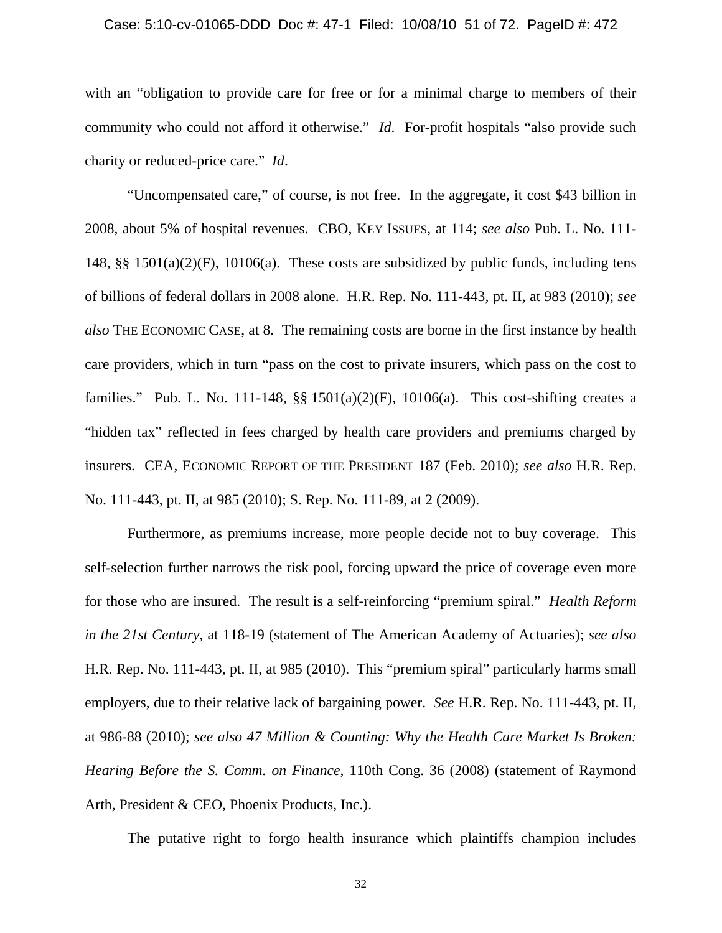#### Case: 5:10-cv-01065-DDD Doc #: 47-1 Filed: 10/08/10 51 of 72. PageID #: 472

with an "obligation to provide care for free or for a minimal charge to members of their community who could not afford it otherwise." *Id*. For-profit hospitals "also provide such charity or reduced-price care." *Id*.

"Uncompensated care," of course, is not free. In the aggregate, it cost \$43 billion in 2008, about 5% of hospital revenues. CBO, KEY ISSUES, at 114; *see also* Pub. L. No. 111- 148, §§ 1501(a)(2)(F), 10106(a). These costs are subsidized by public funds, including tens of billions of federal dollars in 2008 alone. H.R. Rep. No. 111-443, pt. II, at 983 (2010); *see also* THE ECONOMIC CASE, at 8. The remaining costs are borne in the first instance by health care providers, which in turn "pass on the cost to private insurers, which pass on the cost to families." Pub. L. No. 111-148,  $\S$ § 1501(a)(2)(F), 10106(a). This cost-shifting creates a "hidden tax" reflected in fees charged by health care providers and premiums charged by insurers. CEA, ECONOMIC REPORT OF THE PRESIDENT 187 (Feb. 2010); *see also* H.R. Rep. No. 111-443, pt. II, at 985 (2010); S. Rep. No. 111-89, at 2 (2009).

Furthermore, as premiums increase, more people decide not to buy coverage. This self-selection further narrows the risk pool, forcing upward the price of coverage even more for those who are insured. The result is a self-reinforcing "premium spiral." *Health Reform in the 21st Century*, at 118-19 (statement of The American Academy of Actuaries); *see also* H.R. Rep. No. 111-443, pt. II, at 985 (2010). This "premium spiral" particularly harms small employers, due to their relative lack of bargaining power. *See* H.R. Rep. No. 111-443, pt. II, at 986-88 (2010); *see also 47 Million & Counting: Why the Health Care Market Is Broken: Hearing Before the S. Comm. on Finance*, 110th Cong. 36 (2008) (statement of Raymond Arth, President & CEO, Phoenix Products, Inc.).

The putative right to forgo health insurance which plaintiffs champion includes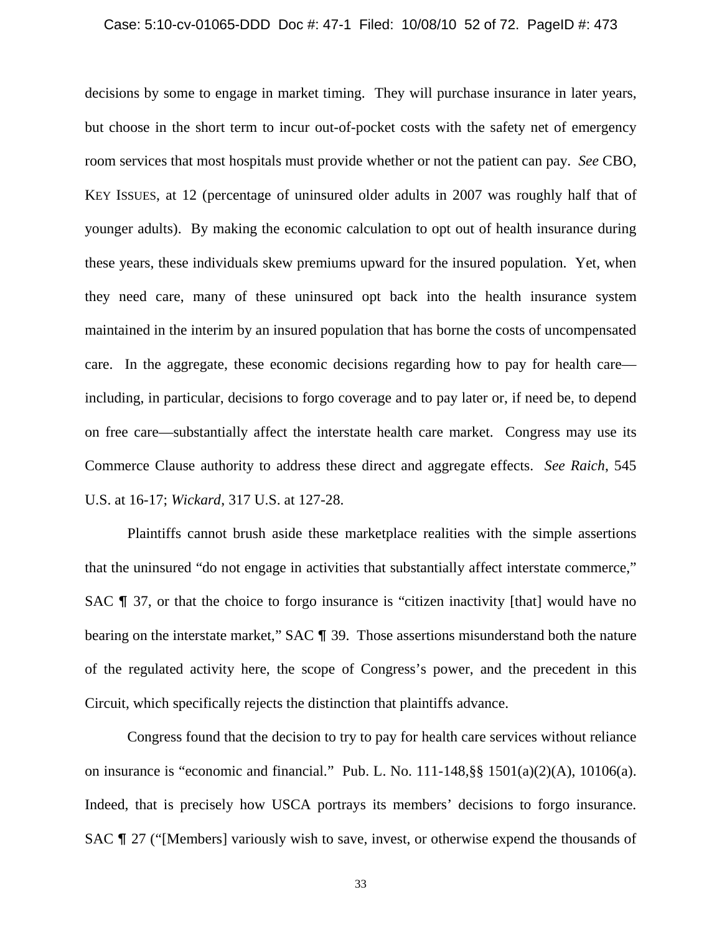#### Case: 5:10-cv-01065-DDD Doc #: 47-1 Filed: 10/08/10 52 of 72. PageID #: 473

decisions by some to engage in market timing. They will purchase insurance in later years, but choose in the short term to incur out-of-pocket costs with the safety net of emergency room services that most hospitals must provide whether or not the patient can pay. *See* CBO, KEY ISSUES, at 12 (percentage of uninsured older adults in 2007 was roughly half that of younger adults). By making the economic calculation to opt out of health insurance during these years, these individuals skew premiums upward for the insured population. Yet, when they need care, many of these uninsured opt back into the health insurance system maintained in the interim by an insured population that has borne the costs of uncompensated care. In the aggregate, these economic decisions regarding how to pay for health care including, in particular, decisions to forgo coverage and to pay later or, if need be, to depend on free care—substantially affect the interstate health care market. Congress may use its Commerce Clause authority to address these direct and aggregate effects. *See Raich*, 545 U.S. at 16-17; *Wickard*, 317 U.S. at 127-28.

Plaintiffs cannot brush aside these marketplace realities with the simple assertions that the uninsured "do not engage in activities that substantially affect interstate commerce," SAC  $\parallel$  37, or that the choice to forgo insurance is "citizen inactivity [that] would have no bearing on the interstate market," SAC  $\P$  39. Those assertions misunderstand both the nature of the regulated activity here, the scope of Congress's power, and the precedent in this Circuit, which specifically rejects the distinction that plaintiffs advance.

Congress found that the decision to try to pay for health care services without reliance on insurance is "economic and financial." Pub. L. No. 111-148,§§ 1501(a)(2)(A), 10106(a). Indeed, that is precisely how USCA portrays its members' decisions to forgo insurance. SAC  $\P$  27 ("Members) variously wish to save, invest, or otherwise expend the thousands of

33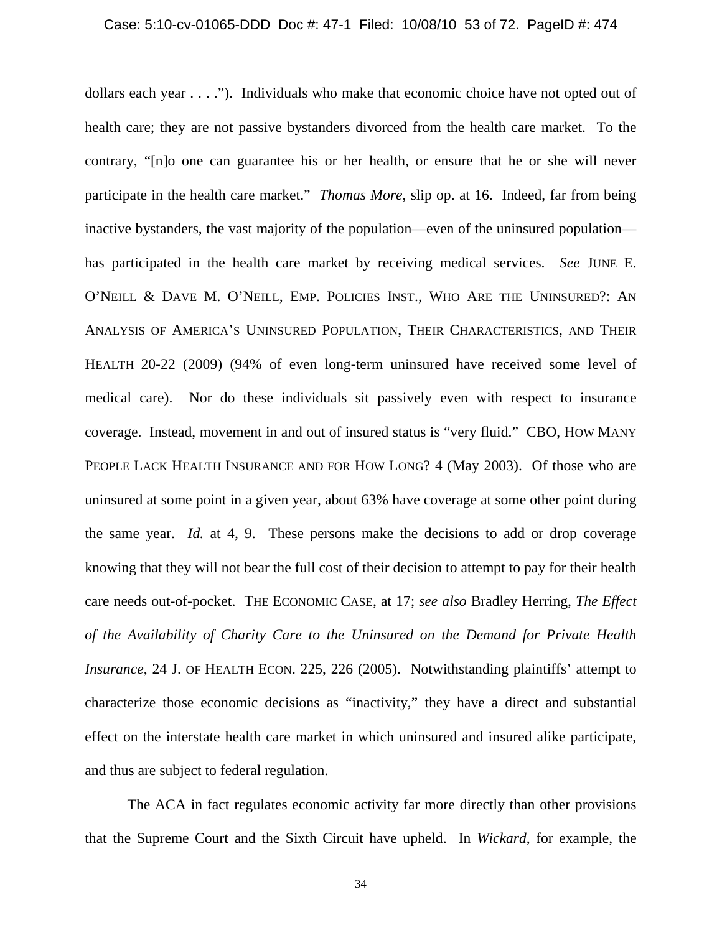dollars each year . . . ."). Individuals who make that economic choice have not opted out of health care; they are not passive bystanders divorced from the health care market. To the contrary, "[n]o one can guarantee his or her health, or ensure that he or she will never participate in the health care market." *Thomas More*, slip op. at 16. Indeed, far from being inactive bystanders, the vast majority of the population—even of the uninsured population has participated in the health care market by receiving medical services. *See* JUNE E. O'NEILL & DAVE M. O'NEILL, EMP. POLICIES INST., WHO ARE THE UNINSURED?: AN ANALYSIS OF AMERICA'S UNINSURED POPULATION, THEIR CHARACTERISTICS, AND THEIR HEALTH 20-22 (2009) (94% of even long-term uninsured have received some level of medical care). Nor do these individuals sit passively even with respect to insurance coverage. Instead, movement in and out of insured status is "very fluid." CBO, HOW MANY PEOPLE LACK HEALTH INSURANCE AND FOR HOW LONG? 4 (May 2003). Of those who are uninsured at some point in a given year, about 63% have coverage at some other point during the same year. *Id.* at 4, 9. These persons make the decisions to add or drop coverage knowing that they will not bear the full cost of their decision to attempt to pay for their health care needs out-of-pocket. THE ECONOMIC CASE, at 17; *see also* Bradley Herring, *The Effect of the Availability of Charity Care to the Uninsured on the Demand for Private Health Insurance*, 24 J. OF HEALTH ECON. 225, 226 (2005). Notwithstanding plaintiffs' attempt to characterize those economic decisions as "inactivity," they have a direct and substantial effect on the interstate health care market in which uninsured and insured alike participate, and thus are subject to federal regulation.

The ACA in fact regulates economic activity far more directly than other provisions that the Supreme Court and the Sixth Circuit have upheld. In *Wickard*, for example, the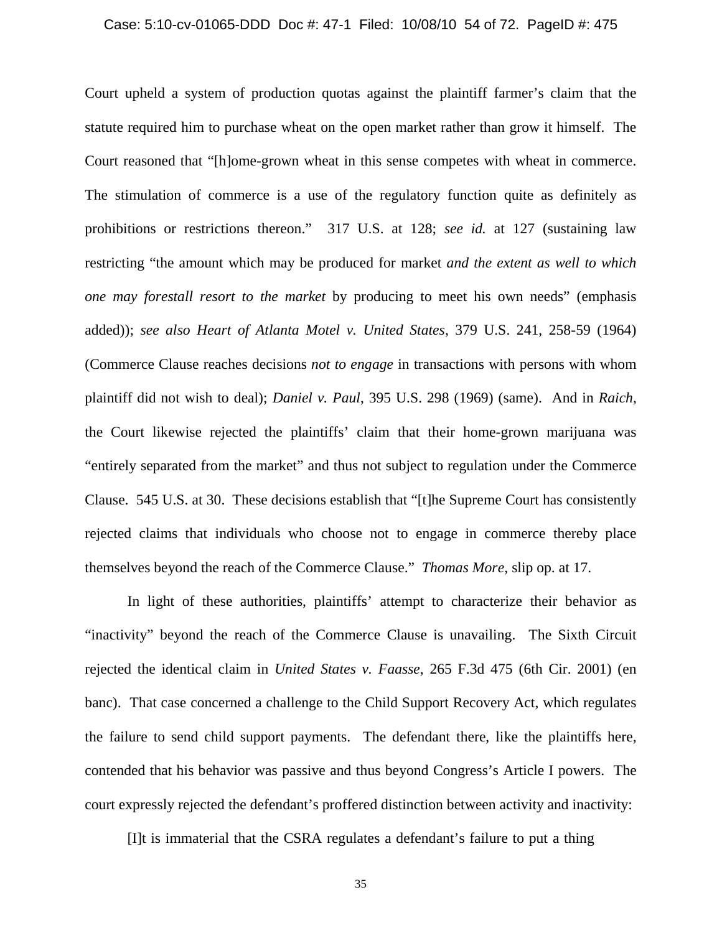#### Case: 5:10-cv-01065-DDD Doc #: 47-1 Filed: 10/08/10 54 of 72. PageID #: 475

Court upheld a system of production quotas against the plaintiff farmer's claim that the statute required him to purchase wheat on the open market rather than grow it himself. The Court reasoned that "[h]ome-grown wheat in this sense competes with wheat in commerce. The stimulation of commerce is a use of the regulatory function quite as definitely as prohibitions or restrictions thereon." 317 U.S. at 128; *see id.* at 127 (sustaining law restricting "the amount which may be produced for market *and the extent as well to which one may forestall resort to the market* by producing to meet his own needs" (emphasis added)); *see also Heart of Atlanta Motel v. United States*, 379 U.S. 241, 258-59 (1964) (Commerce Clause reaches decisions *not to engage* in transactions with persons with whom plaintiff did not wish to deal); *Daniel v. Paul*, 395 U.S. 298 (1969) (same). And in *Raich*, the Court likewise rejected the plaintiffs' claim that their home-grown marijuana was "entirely separated from the market" and thus not subject to regulation under the Commerce Clause. 545 U.S. at 30. These decisions establish that "[t]he Supreme Court has consistently rejected claims that individuals who choose not to engage in commerce thereby place themselves beyond the reach of the Commerce Clause." *Thomas More*, slip op. at 17.

In light of these authorities, plaintiffs' attempt to characterize their behavior as "inactivity" beyond the reach of the Commerce Clause is unavailing. The Sixth Circuit rejected the identical claim in *United States v. Faasse*, 265 F.3d 475 (6th Cir. 2001) (en banc). That case concerned a challenge to the Child Support Recovery Act, which regulates the failure to send child support payments. The defendant there, like the plaintiffs here, contended that his behavior was passive and thus beyond Congress's Article I powers. The court expressly rejected the defendant's proffered distinction between activity and inactivity:

[I]t is immaterial that the CSRA regulates a defendant's failure to put a thing

35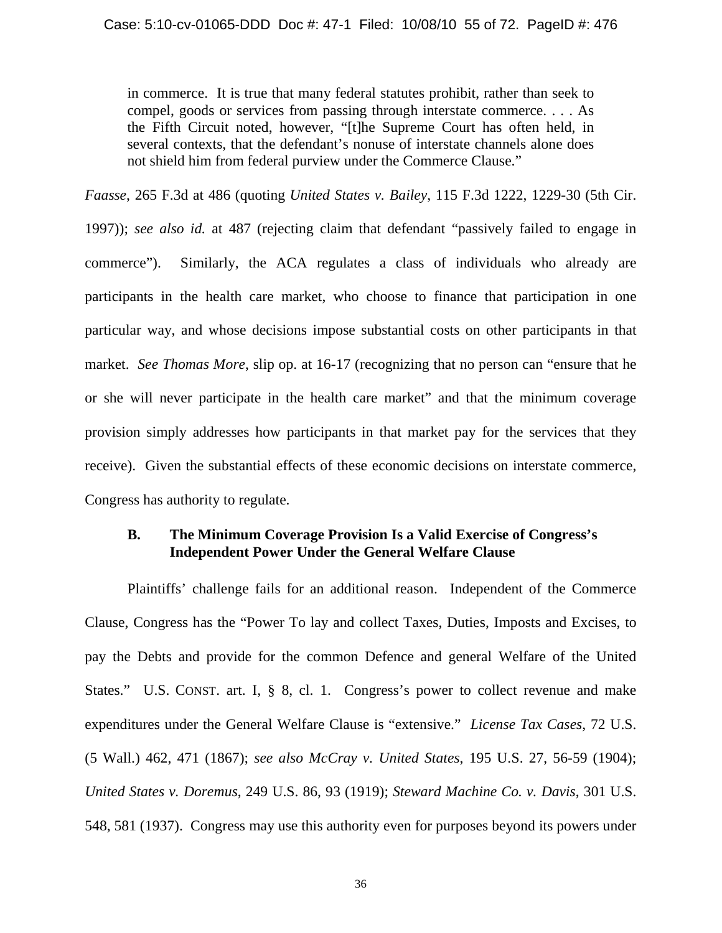in commerce. It is true that many federal statutes prohibit, rather than seek to compel, goods or services from passing through interstate commerce. . . . As the Fifth Circuit noted, however, "[t]he Supreme Court has often held, in several contexts, that the defendant's nonuse of interstate channels alone does not shield him from federal purview under the Commerce Clause."

*Faasse*, 265 F.3d at 486 (quoting *United States v. Bailey*, 115 F.3d 1222, 1229-30 (5th Cir.

1997)); *see also id.* at 487 (rejecting claim that defendant "passively failed to engage in commerce"). Similarly, the ACA regulates a class of individuals who already are participants in the health care market, who choose to finance that participation in one particular way, and whose decisions impose substantial costs on other participants in that market. *See Thomas More*, slip op. at 16-17 (recognizing that no person can "ensure that he or she will never participate in the health care market" and that the minimum coverage provision simply addresses how participants in that market pay for the services that they receive). Given the substantial effects of these economic decisions on interstate commerce, Congress has authority to regulate.

# **B. The Minimum Coverage Provision Is a Valid Exercise of Congress's Independent Power Under the General Welfare Clause**

Plaintiffs' challenge fails for an additional reason. Independent of the Commerce Clause, Congress has the "Power To lay and collect Taxes, Duties, Imposts and Excises, to pay the Debts and provide for the common Defence and general Welfare of the United States." U.S. CONST. art. I, § 8, cl. 1. Congress's power to collect revenue and make expenditures under the General Welfare Clause is "extensive." *License Tax Cases*, 72 U.S. (5 Wall.) 462, 471 (1867); *see also McCray v. United States*, 195 U.S. 27, 56-59 (1904); *United States v. Doremus*, 249 U.S. 86, 93 (1919); *Steward Machine Co. v. Davis*, 301 U.S. 548, 581 (1937). Congress may use this authority even for purposes beyond its powers under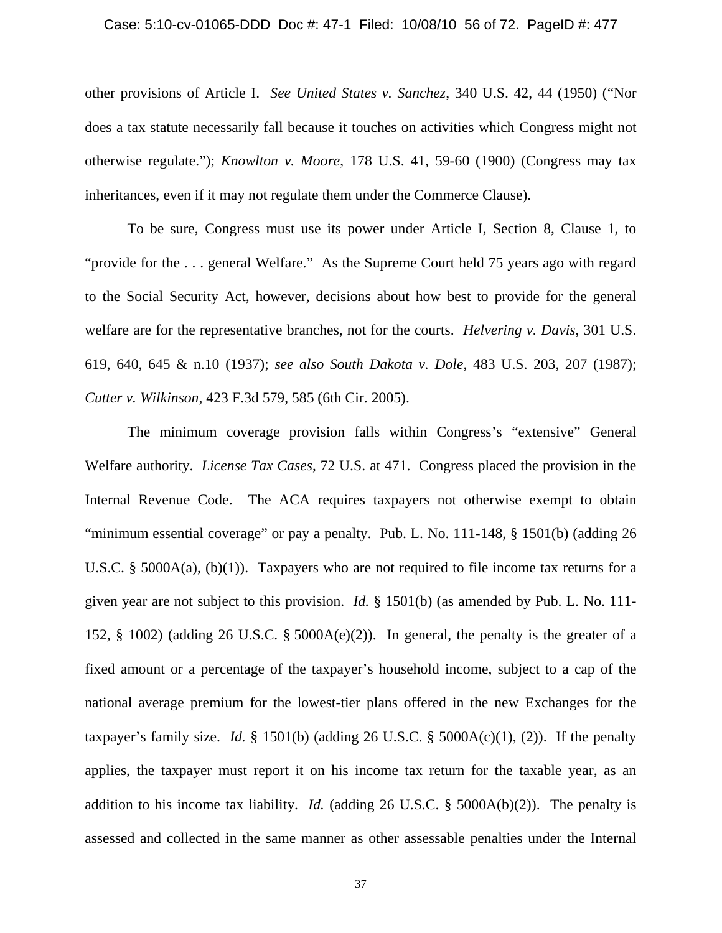#### Case: 5:10-cv-01065-DDD Doc #: 47-1 Filed: 10/08/10 56 of 72. PageID #: 477

other provisions of Article I. *See United States v. Sanchez*, 340 U.S. 42, 44 (1950) ("Nor does a tax statute necessarily fall because it touches on activities which Congress might not otherwise regulate."); *Knowlton v. Moore*, 178 U.S. 41, 59-60 (1900) (Congress may tax inheritances, even if it may not regulate them under the Commerce Clause).

To be sure, Congress must use its power under Article I, Section 8, Clause 1, to "provide for the . . . general Welfare." As the Supreme Court held 75 years ago with regard to the Social Security Act, however, decisions about how best to provide for the general welfare are for the representative branches, not for the courts. *Helvering v. Davis*, 301 U.S. 619, 640, 645 & n.10 (1937); *see also South Dakota v. Dole*, 483 U.S. 203, 207 (1987); *Cutter v. Wilkinson*, 423 F.3d 579, 585 (6th Cir. 2005).

The minimum coverage provision falls within Congress's "extensive" General Welfare authority. *License Tax Cases*, 72 U.S. at 471. Congress placed the provision in the Internal Revenue Code. The ACA requires taxpayers not otherwise exempt to obtain "minimum essential coverage" or pay a penalty. Pub. L. No. 111-148, § 1501(b) (adding 26 U.S.C. § 5000A(a), (b)(1)). Taxpayers who are not required to file income tax returns for a given year are not subject to this provision. *Id.* § 1501(b) (as amended by Pub. L. No. 111- 152, § 1002) (adding 26 U.S.C. § 5000A(e)(2)). In general, the penalty is the greater of a fixed amount or a percentage of the taxpayer's household income, subject to a cap of the national average premium for the lowest-tier plans offered in the new Exchanges for the taxpayer's family size. *Id.*  $\S$  1501(b) (adding 26 U.S.C.  $\S$  5000A(c)(1), (2)). If the penalty applies, the taxpayer must report it on his income tax return for the taxable year, as an addition to his income tax liability. *Id.* (adding 26 U.S.C.  $\S$  5000A(b)(2)). The penalty is assessed and collected in the same manner as other assessable penalties under the Internal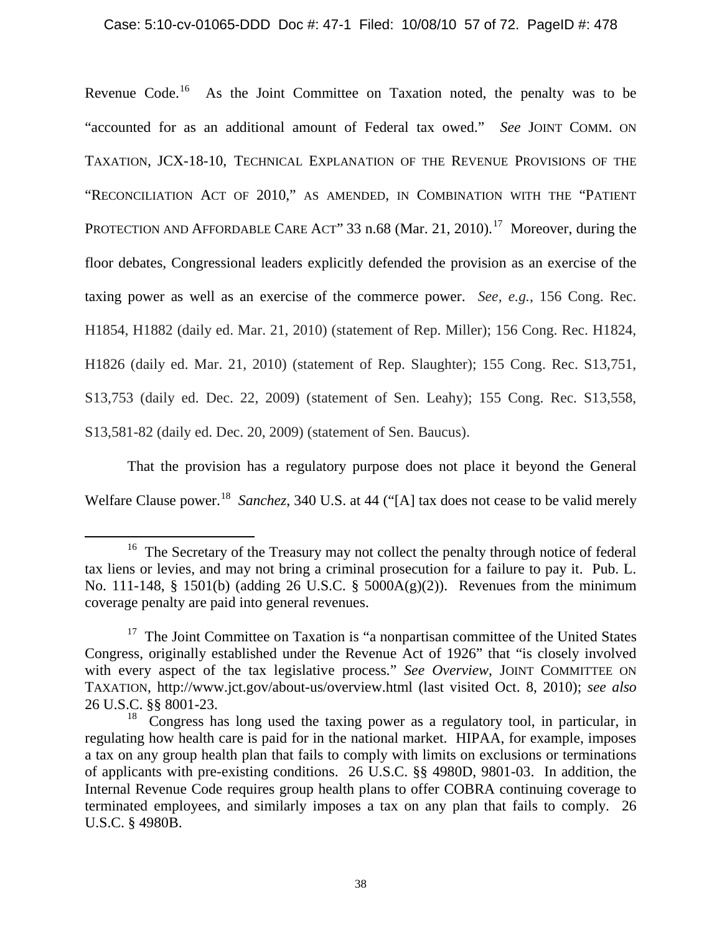Revenue Code.<sup>16</sup> As the Joint Committee on Taxation noted, the penalty was to be "accounted for as an additional amount of Federal tax owed." *See* JOINT COMM. ON TAXATION, JCX-18-10, TECHNICAL EXPLANATION OF THE REVENUE PROVISIONS OF THE "RECONCILIATION ACT OF 2010," AS AMENDED, IN COMBINATION WITH THE "PATIENT PROTECTION AND AFFORDABLE CARE ACT" 33 n.68 (Mar. 21, 2010).<sup>[17](#page-56-1)</sup> Moreover, during the floor debates, Congressional leaders explicitly defended the provision as an exercise of the taxing power as well as an exercise of the commerce power. *See, e.g.*, 156 Cong. Rec. H1854, H1882 (daily ed. Mar. 21, 2010) (statement of Rep. Miller); 156 Cong. Rec. H1824, H1826 (daily ed. Mar. 21, 2010) (statement of Rep. Slaughter); 155 Cong. Rec. S13,751, S13,753 (daily ed. Dec. 22, 2009) (statement of Sen. Leahy); 155 Cong. Rec. S13,558, S13,581-82 (daily ed. Dec. 20, 2009) (statement of Sen. Baucus).

That the provision has a regulatory purpose does not place it beyond the General Welfare Clause power.<sup>[18](#page-56-2)</sup> Sanchez, 340 U.S. at 44 ("[A] tax does not cease to be valid merely

 $\overline{\phantom{0}}$ 

<sup>&</sup>lt;sup>16</sup> The Secretary of the Treasury may not collect the penalty through notice of federal tax liens or levies, and may not bring a criminal prosecution for a failure to pay it. Pub. L. No. 111-148, § 1501(b) (adding 26 U.S.C. § 5000A(g)(2)). Revenues from the minimum coverage penalty are paid into general revenues.

<span id="page-56-0"></span> $17$  The Joint Committee on Taxation is "a nonpartisan committee of the United States Congress, originally established under the Revenue Act of 1926" that "is closely involved with every aspect of the tax legislative process." *See Overview*, JOINT COMMITTEE ON TAXATION, http://www.jct.gov/about-us/overview.html (last visited Oct. 8, 2010); *see also* 26 U.S.C. §§ 8001-23.

<span id="page-56-2"></span><span id="page-56-1"></span> $18$  Congress has long used the taxing power as a regulatory tool, in particular, in regulating how health care is paid for in the national market. HIPAA, for example, imposes a tax on any group health plan that fails to comply with limits on exclusions or terminations of applicants with pre-existing conditions. 26 U.S.C. §§ 4980D, 9801-03. In addition, the Internal Revenue Code requires group health plans to offer COBRA continuing coverage to terminated employees, and similarly imposes a tax on any plan that fails to comply. 26 U.S.C. § 4980B.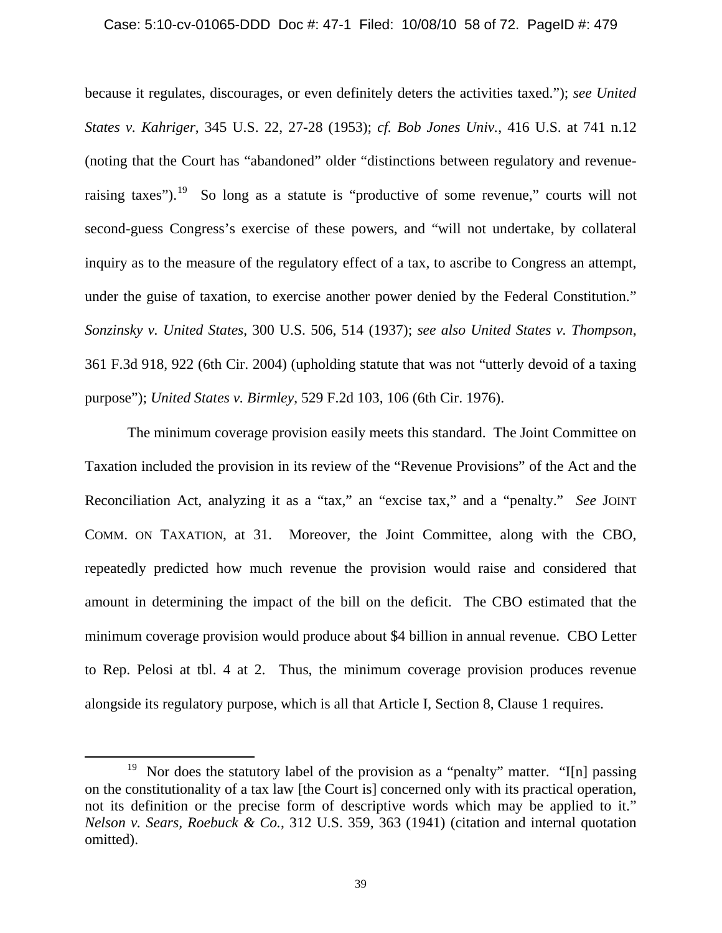#### Case: 5:10-cv-01065-DDD Doc #: 47-1 Filed: 10/08/10 58 of 72. PageID #: 479

because it regulates, discourages, or even definitely deters the activities taxed."); *see United States v. Kahriger*, 345 U.S. 22, 27-28 (1953); *cf. Bob Jones Univ.*, 416 U.S. at 741 n.12 (noting that the Court has "abandoned" older "distinctions between regulatory and revenue-raising taxes").<sup>[19](#page-57-0)</sup> So long as a statute is "productive of some revenue," courts will not second-guess Congress's exercise of these powers, and "will not undertake, by collateral inquiry as to the measure of the regulatory effect of a tax, to ascribe to Congress an attempt, under the guise of taxation, to exercise another power denied by the Federal Constitution." *Sonzinsky v. United States*, 300 U.S. 506, 514 (1937); *see also United States v. Thompson*, 361 F.3d 918, 922 (6th Cir. 2004) (upholding statute that was not "utterly devoid of a taxing purpose"); *United States v. Birmley*, 529 F.2d 103, 106 (6th Cir. 1976).

The minimum coverage provision easily meets this standard. The Joint Committee on Taxation included the provision in its review of the "Revenue Provisions" of the Act and the Reconciliation Act, analyzing it as a "tax," an "excise tax," and a "penalty." *See* JOINT COMM. ON TAXATION, at 31. Moreover, the Joint Committee, along with the CBO, repeatedly predicted how much revenue the provision would raise and considered that amount in determining the impact of the bill on the deficit. The CBO estimated that the minimum coverage provision would produce about \$4 billion in annual revenue. CBO Letter to Rep. Pelosi at tbl. 4 at 2. Thus, the minimum coverage provision produces revenue alongside its regulatory purpose, which is all that Article I, Section 8, Clause 1 requires.

l

<span id="page-57-0"></span><sup>&</sup>lt;sup>19</sup> Nor does the statutory label of the provision as a "penalty" matter. "I[n] passing on the constitutionality of a tax law [the Court is] concerned only with its practical operation, not its definition or the precise form of descriptive words which may be applied to it." *Nelson v. Sears, Roebuck & Co.*, 312 U.S. 359, 363 (1941) (citation and internal quotation omitted).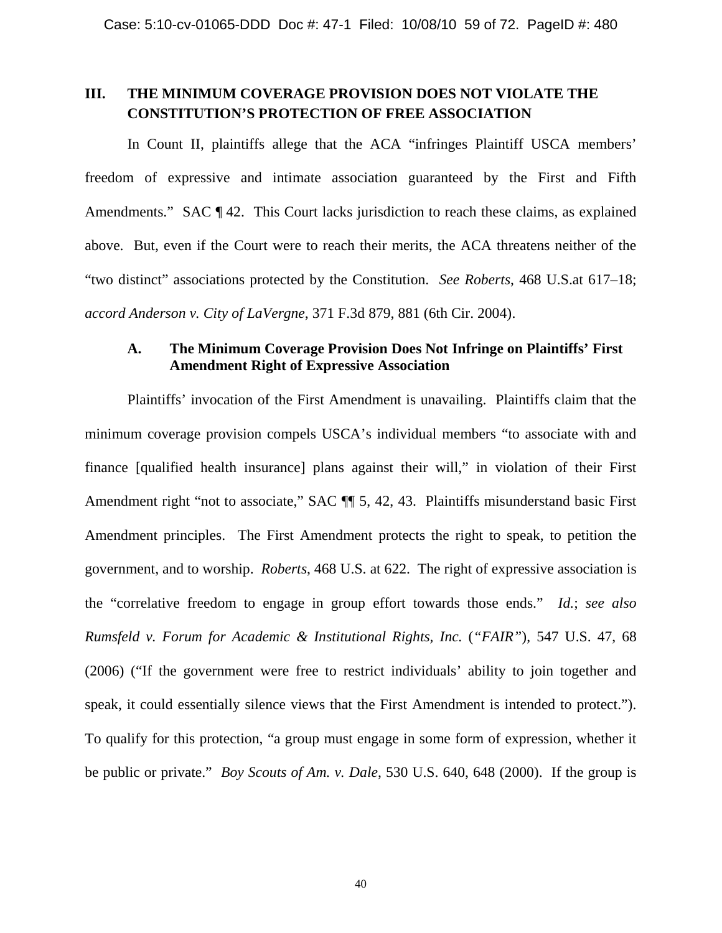# **III. THE MINIMUM COVERAGE PROVISION DOES NOT VIOLATE THE CONSTITUTION'S PROTECTION OF FREE ASSOCIATION**

In Count II, plaintiffs allege that the ACA "infringes Plaintiff USCA members' freedom of expressive and intimate association guaranteed by the First and Fifth Amendments." SAC  $\P$  42. This Court lacks jurisdiction to reach these claims, as explained above. But, even if the Court were to reach their merits, the ACA threatens neither of the "two distinct" associations protected by the Constitution. *See Roberts*, 468 U.S.at 617–18; *accord Anderson v. City of LaVergne*, 371 F.3d 879, 881 (6th Cir. 2004).

## **A. The Minimum Coverage Provision Does Not Infringe on Plaintiffs' First Amendment Right of Expressive Association**

Plaintiffs' invocation of the First Amendment is unavailing. Plaintiffs claim that the minimum coverage provision compels USCA's individual members "to associate with and finance [qualified health insurance] plans against their will," in violation of their First Amendment right "not to associate," SAC  $\P$  5, 42, 43. Plaintiffs misunderstand basic First Amendment principles. The First Amendment protects the right to speak, to petition the government, and to worship. *Roberts*, 468 U.S. at 622. The right of expressive association is the "correlative freedom to engage in group effort towards those ends." *Id.*; *see also Rumsfeld v. Forum for Academic & Institutional Rights, Inc.* (*"FAIR"*), 547 U.S. 47, 68 (2006) ("If the government were free to restrict individuals' ability to join together and speak, it could essentially silence views that the First Amendment is intended to protect."). To qualify for this protection, "a group must engage in some form of expression, whether it be public or private." *Boy Scouts of Am. v. Dale*, 530 U.S. 640, 648 (2000). If the group is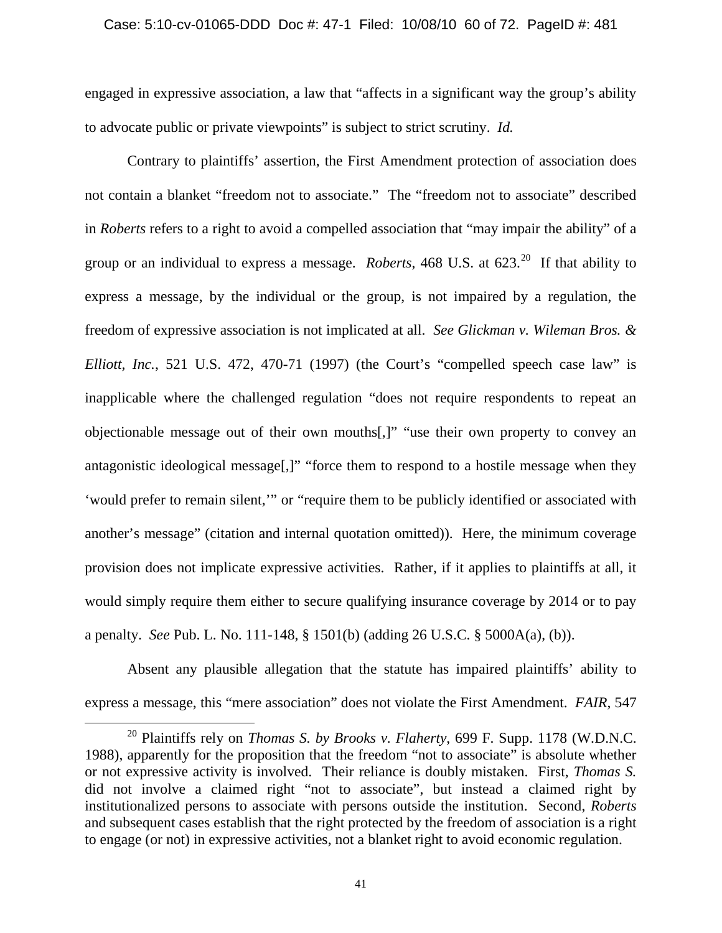engaged in expressive association, a law that "affects in a significant way the group's ability to advocate public or private viewpoints" is subject to strict scrutiny. *Id.*

Contrary to plaintiffs' assertion, the First Amendment protection of association does not contain a blanket "freedom not to associate." The "freedom not to associate" described in *Roberts* refers to a right to avoid a compelled association that "may impair the ability" of a group or an individual to express a message. *Roberts*, 468 U.S. at 623.[20](#page-59-0) If that ability to express a message, by the individual or the group, is not impaired by a regulation, the freedom of expressive association is not implicated at all. *See Glickman v. Wileman Bros. & Elliott, Inc.*, 521 U.S. 472, 470-71 (1997) (the Court's "compelled speech case law" is inapplicable where the challenged regulation "does not require respondents to repeat an objectionable message out of their own mouths[,]" "use their own property to convey an antagonistic ideological message[,]" "force them to respond to a hostile message when they 'would prefer to remain silent,'" or "require them to be publicly identified or associated with another's message" (citation and internal quotation omitted)). Here, the minimum coverage provision does not implicate expressive activities. Rather, if it applies to plaintiffs at all, it would simply require them either to secure qualifying insurance coverage by 2014 or to pay a penalty. *See* Pub. L. No. 111-148, § 1501(b) (adding 26 U.S.C. § 5000A(a), (b)).

Absent any plausible allegation that the statute has impaired plaintiffs' ability to express a message, this "mere association" does not violate the First Amendment. *FAIR*, 547

 $\overline{\phantom{0}}$ 

<span id="page-59-0"></span><sup>20</sup> Plaintiffs rely on *Thomas S. by Brooks v. Flaherty*, 699 F. Supp. 1178 (W.D.N.C. 1988), apparently for the proposition that the freedom "not to associate" is absolute whether or not expressive activity is involved. Their reliance is doubly mistaken. First, *Thomas S.* did not involve a claimed right "not to associate", but instead a claimed right by institutionalized persons to associate with persons outside the institution. Second, *Roberts* and subsequent cases establish that the right protected by the freedom of association is a right to engage (or not) in expressive activities, not a blanket right to avoid economic regulation.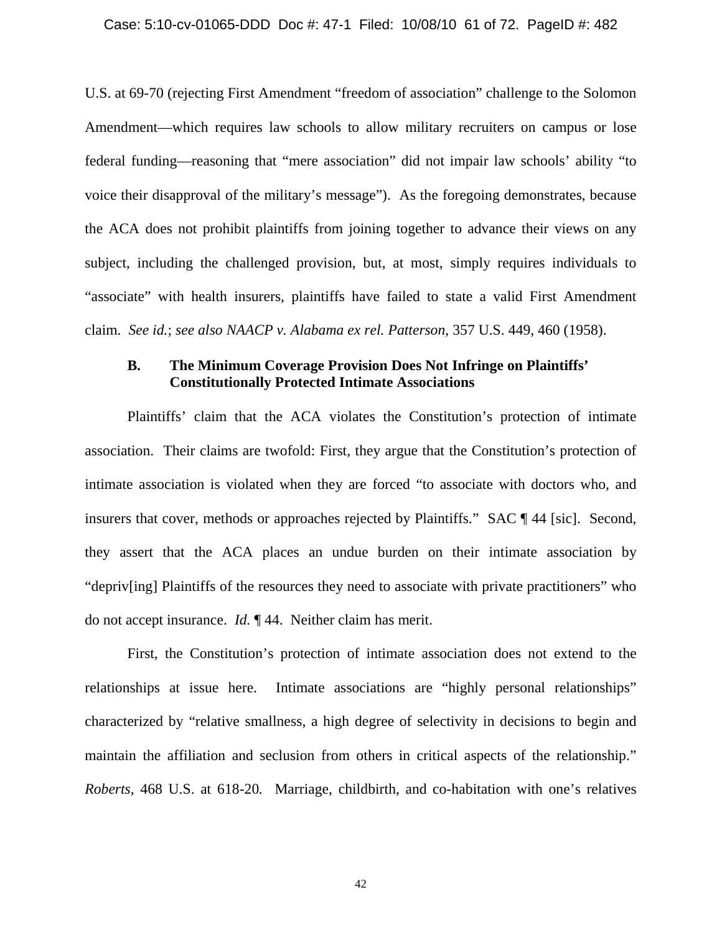U.S. at 69-70 (rejecting First Amendment "freedom of association" challenge to the Solomon Amendment—which requires law schools to allow military recruiters on campus or lose federal funding—reasoning that "mere association" did not impair law schools' ability "to voice their disapproval of the military's message"). As the foregoing demonstrates, because the ACA does not prohibit plaintiffs from joining together to advance their views on any subject, including the challenged provision, but, at most, simply requires individuals to "associate" with health insurers, plaintiffs have failed to state a valid First Amendment claim. *See id.*; *see also NAACP v. Alabama ex rel. Patterson*, 357 U.S. 449, 460 (1958).

## **B. The Minimum Coverage Provision Does Not Infringe on Plaintiffs' Constitutionally Protected Intimate Associations**

Plaintiffs' claim that the ACA violates the Constitution's protection of intimate association. Their claims are twofold: First, they argue that the Constitution's protection of intimate association is violated when they are forced "to associate with doctors who, and insurers that cover, methods or approaches rejected by Plaintiffs." SAC ¶ 44 [sic]. Second, they assert that the ACA places an undue burden on their intimate association by "depriv[ing] Plaintiffs of the resources they need to associate with private practitioners" who do not accept insurance. *Id.* ¶ 44. Neither claim has merit.

First, the Constitution's protection of intimate association does not extend to the relationships at issue here. Intimate associations are "highly personal relationships" characterized by "relative smallness, a high degree of selectivity in decisions to begin and maintain the affiliation and seclusion from others in critical aspects of the relationship." *Roberts*, 468 U.S. at 618-20*.* Marriage, childbirth, and co-habitation with one's relatives

42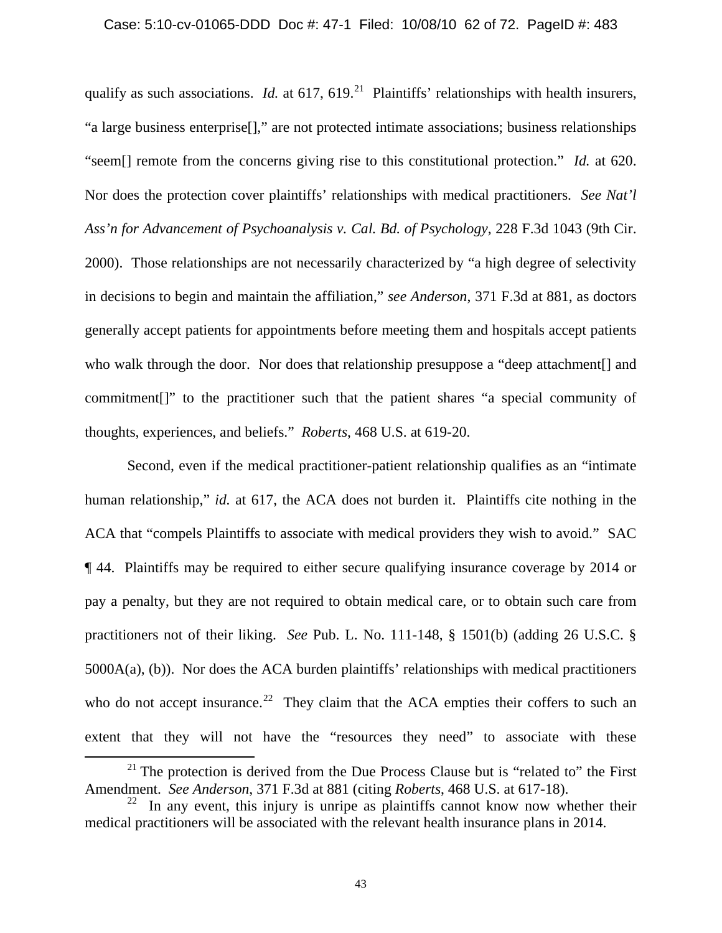qualify as such associations. *Id.* at  $617, 619$ <sup>[21](#page-61-0)</sup> Plaintiffs' relationships with health insurers, "a large business enterprise[]," are not protected intimate associations; business relationships "seem[] remote from the concerns giving rise to this constitutional protection." *Id.* at 620. Nor does the protection cover plaintiffs' relationships with medical practitioners. *See Nat'l Ass'n for Advancement of Psychoanalysis v. Cal. Bd. of Psychology*, 228 F.3d 1043 (9th Cir. 2000). Those relationships are not necessarily characterized by "a high degree of selectivity in decisions to begin and maintain the affiliation," *see Anderson*, 371 F.3d at 881, as doctors generally accept patients for appointments before meeting them and hospitals accept patients who walk through the door. Nor does that relationship presuppose a "deep attachment[] and commitment[]" to the practitioner such that the patient shares "a special community of thoughts, experiences, and beliefs." *Roberts*, 468 U.S. at 619-20.

Second, even if the medical practitioner-patient relationship qualifies as an "intimate human relationship," *id.* at 617, the ACA does not burden it. Plaintiffs cite nothing in the ACA that "compels Plaintiffs to associate with medical providers they wish to avoid." SAC ¶ 44. Plaintiffs may be required to either secure qualifying insurance coverage by 2014 or pay a penalty, but they are not required to obtain medical care, or to obtain such care from practitioners not of their liking. *See* Pub. L. No. 111-148, § 1501(b) (adding 26 U.S.C. § 5000A(a), (b)). Nor does the ACA burden plaintiffs' relationships with medical practitioners who do not accept insurance.<sup>[22](#page-61-1)</sup> They claim that the ACA empties their coffers to such an extent that they will not have the "resources they need" to associate with these

l

 $21$  The protection is derived from the Due Process Clause but is "related to" the First Amendment. *See Anderson*, 371 F.3d at 881 (citing *Roberts*, 468 U.S. at 617-18).

<span id="page-61-1"></span><span id="page-61-0"></span> $22$  In any event, this injury is unripe as plaintiffs cannot know now whether their medical practitioners will be associated with the relevant health insurance plans in 2014.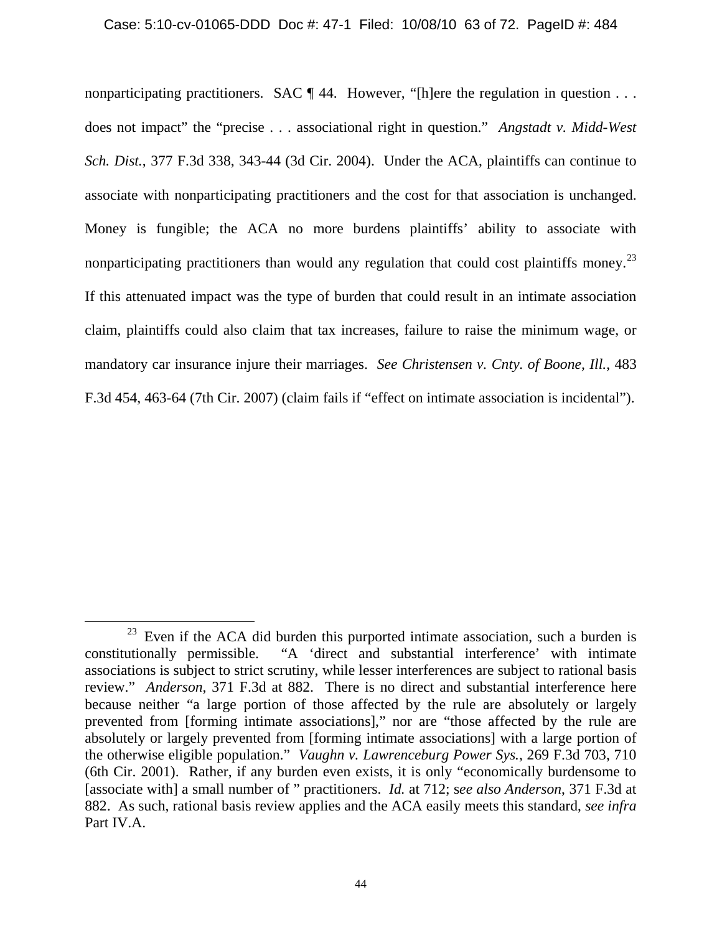#### Case: 5:10-cv-01065-DDD Doc #: 47-1 Filed: 10/08/10 63 of 72. PageID #: 484

nonparticipating practitioners. SAC  $\P$  44. However, "[h]ere the regulation in question ... does not impact" the "precise . . . associational right in question." *Angstadt v. Midd-West Sch. Dist.*, 377 F.3d 338, 343-44 (3d Cir. 2004). Under the ACA, plaintiffs can continue to associate with nonparticipating practitioners and the cost for that association is unchanged. Money is fungible; the ACA no more burdens plaintiffs' ability to associate with nonparticipating practitioners than would any regulation that could cost plaintiffs money.<sup>23</sup> If this attenuated impact was the type of burden that could result in an intimate association claim, plaintiffs could also claim that tax increases, failure to raise the minimum wage, or mandatory car insurance injure their marriages. *See Christensen v. Cnty. of Boone, Ill.*, 483 F.3d 454, 463-64 (7th Cir. 2007) (claim fails if "effect on intimate association is incidental").

ı

<span id="page-62-0"></span> $23$  Even if the ACA did burden this purported intimate association, such a burden is constitutionally permissible. "A 'direct and substantial interference' with intimate associations is subject to strict scrutiny, while lesser interferences are subject to rational basis review." *Anderson*, 371 F.3d at 882. There is no direct and substantial interference here because neither "a large portion of those affected by the rule are absolutely or largely prevented from [forming intimate associations]," nor are "those affected by the rule are absolutely or largely prevented from [forming intimate associations] with a large portion of the otherwise eligible population." *Vaughn v. Lawrenceburg Power Sys.*, 269 F.3d 703, 710 (6th Cir. 2001). Rather, if any burden even exists, it is only "economically burdensome to [associate with] a small number of " practitioners. *Id.* at 712; s*ee also Anderson*, 371 F.3d at 882. As such, rational basis review applies and the ACA easily meets this standard, *see infra*  Part IV.A.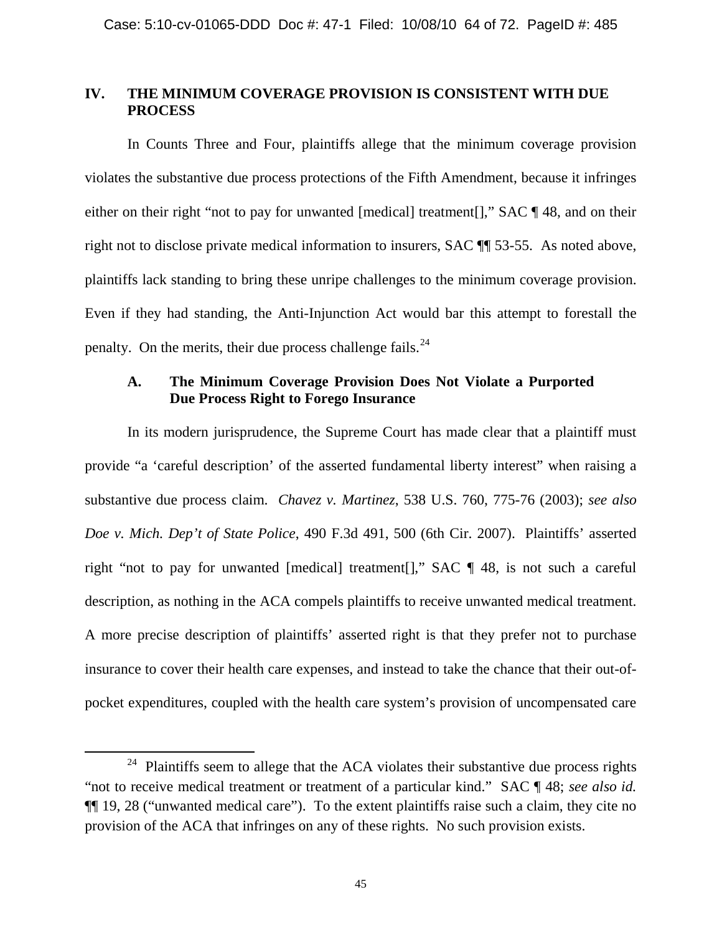## **IV. THE MINIMUM COVERAGE PROVISION IS CONSISTENT WITH DUE PROCESS**

In Counts Three and Four, plaintiffs allege that the minimum coverage provision violates the substantive due process protections of the Fifth Amendment, because it infringes either on their right "not to pay for unwanted [medical] treatment[]," SAC ¶ 48, and on their right not to disclose private medical information to insurers, SAC ¶¶ 53-55. As noted above, plaintiffs lack standing to bring these unripe challenges to the minimum coverage provision. Even if they had standing, the Anti-Injunction Act would bar this attempt to forestall the penalty. On the merits, their due process challenge fails.  $24$ 

## **A. The Minimum Coverage Provision Does Not Violate a Purported Due Process Right to Forego Insurance**

In its modern jurisprudence, the Supreme Court has made clear that a plaintiff must provide "a 'careful description' of the asserted fundamental liberty interest" when raising a substantive due process claim. *Chavez v. Martinez*, 538 U.S. 760, 775-76 (2003); *see also Doe v. Mich. Dep't of State Police*, 490 F.3d 491, 500 (6th Cir. 2007). Plaintiffs' asserted right "not to pay for unwanted [medical] treatment[]," SAC ¶ 48, is not such a careful description, as nothing in the ACA compels plaintiffs to receive unwanted medical treatment. A more precise description of plaintiffs' asserted right is that they prefer not to purchase insurance to cover their health care expenses, and instead to take the chance that their out-ofpocket expenditures, coupled with the health care system's provision of uncompensated care

 $\overline{\phantom{0}}$ 

<span id="page-63-0"></span> $24$  Plaintiffs seem to allege that the ACA violates their substantive due process rights "not to receive medical treatment or treatment of a particular kind." SAC ¶ 48; *see also id.*  ¶¶ 19, 28 ("unwanted medical care"). To the extent plaintiffs raise such a claim, they cite no provision of the ACA that infringes on any of these rights. No such provision exists.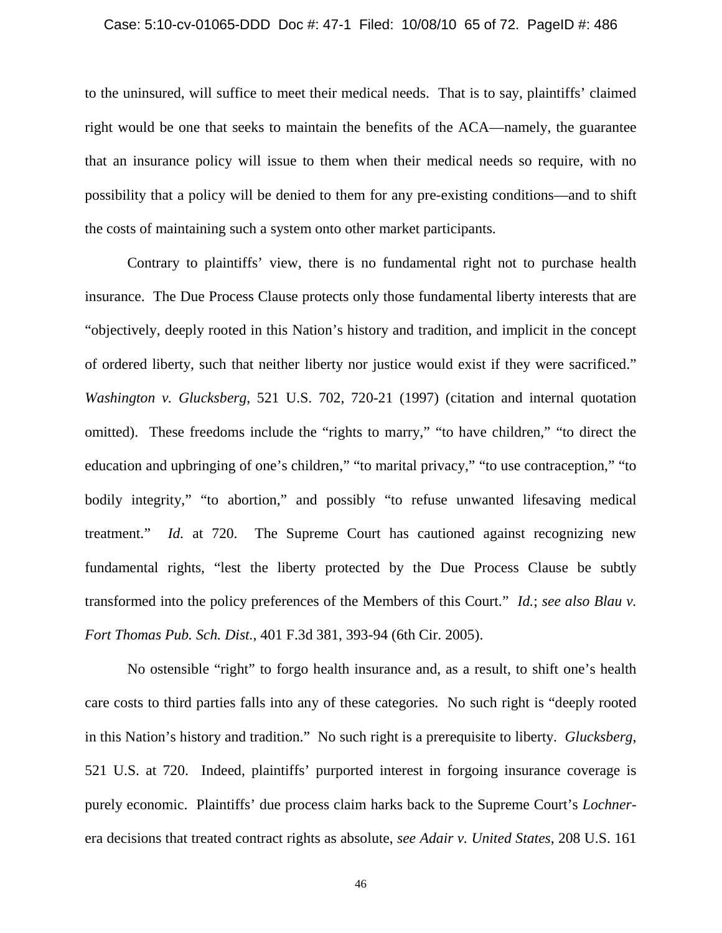#### Case: 5:10-cv-01065-DDD Doc #: 47-1 Filed: 10/08/10 65 of 72. PageID #: 486

to the uninsured, will suffice to meet their medical needs. That is to say, plaintiffs' claimed right would be one that seeks to maintain the benefits of the ACA—namely, the guarantee that an insurance policy will issue to them when their medical needs so require, with no possibility that a policy will be denied to them for any pre-existing conditions—and to shift the costs of maintaining such a system onto other market participants.

Contrary to plaintiffs' view, there is no fundamental right not to purchase health insurance. The Due Process Clause protects only those fundamental liberty interests that are "objectively, deeply rooted in this Nation's history and tradition, and implicit in the concept of ordered liberty, such that neither liberty nor justice would exist if they were sacrificed." *Washington v. Glucksberg*, 521 U.S. 702, 720-21 (1997) (citation and internal quotation omitted). These freedoms include the "rights to marry," "to have children," "to direct the education and upbringing of one's children," "to marital privacy," "to use contraception," "to bodily integrity," "to abortion," and possibly "to refuse unwanted lifesaving medical treatment." *Id.* at 720. The Supreme Court has cautioned against recognizing new fundamental rights, "lest the liberty protected by the Due Process Clause be subtly transformed into the policy preferences of the Members of this Court." *Id.*; *see also Blau v. Fort Thomas Pub. Sch. Dist.*, 401 F.3d 381, 393-94 (6th Cir. 2005).

No ostensible "right" to forgo health insurance and, as a result, to shift one's health care costs to third parties falls into any of these categories. No such right is "deeply rooted in this Nation's history and tradition." No such right is a prerequisite to liberty. *Glucksberg*, 521 U.S. at 720. Indeed, plaintiffs' purported interest in forgoing insurance coverage is purely economic. Plaintiffs' due process claim harks back to the Supreme Court's *Lochner*era decisions that treated contract rights as absolute, *see Adair v. United States*, 208 U.S. 161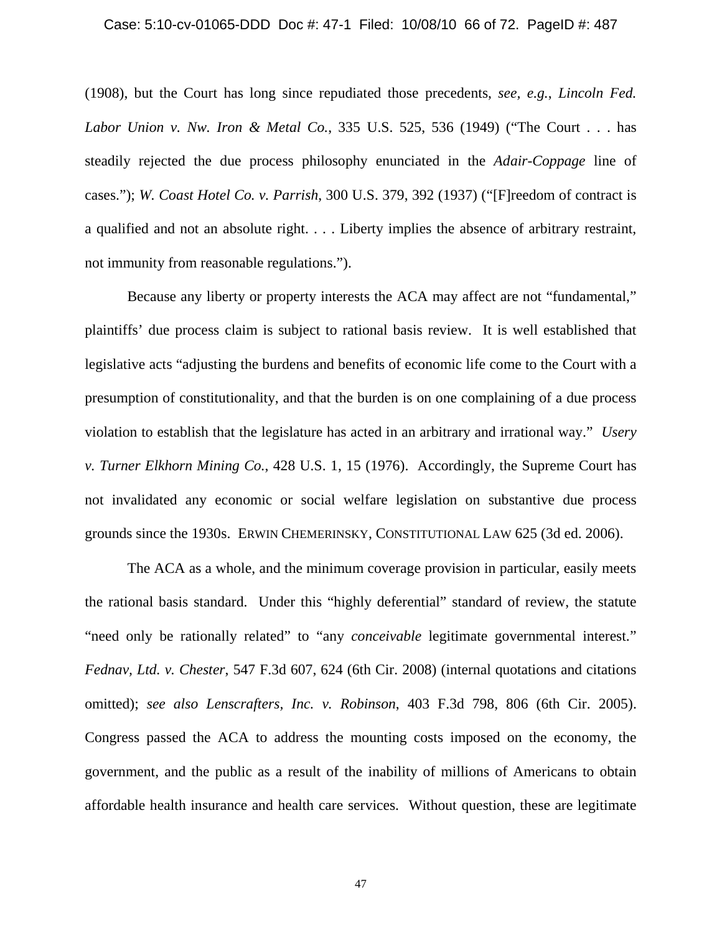#### Case: 5:10-cv-01065-DDD Doc #: 47-1 Filed: 10/08/10 66 of 72. PageID #: 487

(1908), but the Court has long since repudiated those precedents, *see, e.g.*, *Lincoln Fed. Labor Union v. Nw. Iron & Metal Co.*, 335 U.S. 525, 536 (1949) ("The Court . . . has steadily rejected the due process philosophy enunciated in the *Adair*-*Coppage* line of cases."); *W. Coast Hotel Co. v. Parrish*, 300 U.S. 379, 392 (1937) ("[F]reedom of contract is a qualified and not an absolute right. . . . Liberty implies the absence of arbitrary restraint, not immunity from reasonable regulations.").

Because any liberty or property interests the ACA may affect are not "fundamental," plaintiffs' due process claim is subject to rational basis review. It is well established that legislative acts "adjusting the burdens and benefits of economic life come to the Court with a presumption of constitutionality, and that the burden is on one complaining of a due process violation to establish that the legislature has acted in an arbitrary and irrational way." *Usery v. Turner Elkhorn Mining Co.*, 428 U.S. 1, 15 (1976). Accordingly, the Supreme Court has not invalidated any economic or social welfare legislation on substantive due process grounds since the 1930s. ERWIN CHEMERINSKY, CONSTITUTIONAL LAW 625 (3d ed. 2006).

The ACA as a whole, and the minimum coverage provision in particular, easily meets the rational basis standard. Under this "highly deferential" standard of review, the statute "need only be rationally related" to "any *conceivable* legitimate governmental interest." *Fednav, Ltd. v. Chester*, 547 F.3d 607, 624 (6th Cir. 2008) (internal quotations and citations omitted); *see also Lenscrafters, Inc. v. Robinson*, 403 F.3d 798, 806 (6th Cir. 2005). Congress passed the ACA to address the mounting costs imposed on the economy, the government, and the public as a result of the inability of millions of Americans to obtain affordable health insurance and health care services. Without question, these are legitimate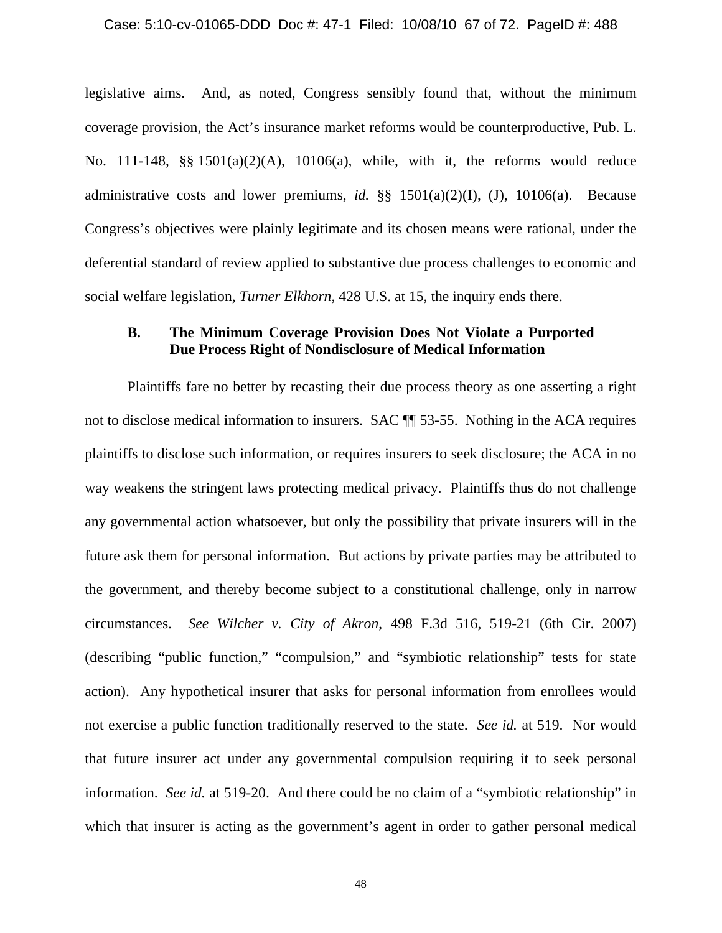legislative aims. And, as noted, Congress sensibly found that, without the minimum coverage provision, the Act's insurance market reforms would be counterproductive, Pub. L. No. 111-148, §§ 1501(a)(2)(A), 10106(a), while, with it, the reforms would reduce administrative costs and lower premiums, *id.* §§ 1501(a)(2)(I), (J), 10106(a). Because Congress's objectives were plainly legitimate and its chosen means were rational, under the deferential standard of review applied to substantive due process challenges to economic and social welfare legislation, *Turner Elkhorn*, 428 U.S. at 15, the inquiry ends there.

## **B. The Minimum Coverage Provision Does Not Violate a Purported Due Process Right of Nondisclosure of Medical Information**

Plaintiffs fare no better by recasting their due process theory as one asserting a right not to disclose medical information to insurers. SAC ¶¶ 53-55. Nothing in the ACA requires plaintiffs to disclose such information, or requires insurers to seek disclosure; the ACA in no way weakens the stringent laws protecting medical privacy. Plaintiffs thus do not challenge any governmental action whatsoever, but only the possibility that private insurers will in the future ask them for personal information. But actions by private parties may be attributed to the government, and thereby become subject to a constitutional challenge, only in narrow circumstances. *See Wilcher v. City of Akron*, 498 F.3d 516, 519-21 (6th Cir. 2007) (describing "public function," "compulsion," and "symbiotic relationship" tests for state action). Any hypothetical insurer that asks for personal information from enrollees would not exercise a public function traditionally reserved to the state. *See id.* at 519. Nor would that future insurer act under any governmental compulsion requiring it to seek personal information. *See id.* at 519-20. And there could be no claim of a "symbiotic relationship" in which that insurer is acting as the government's agent in order to gather personal medical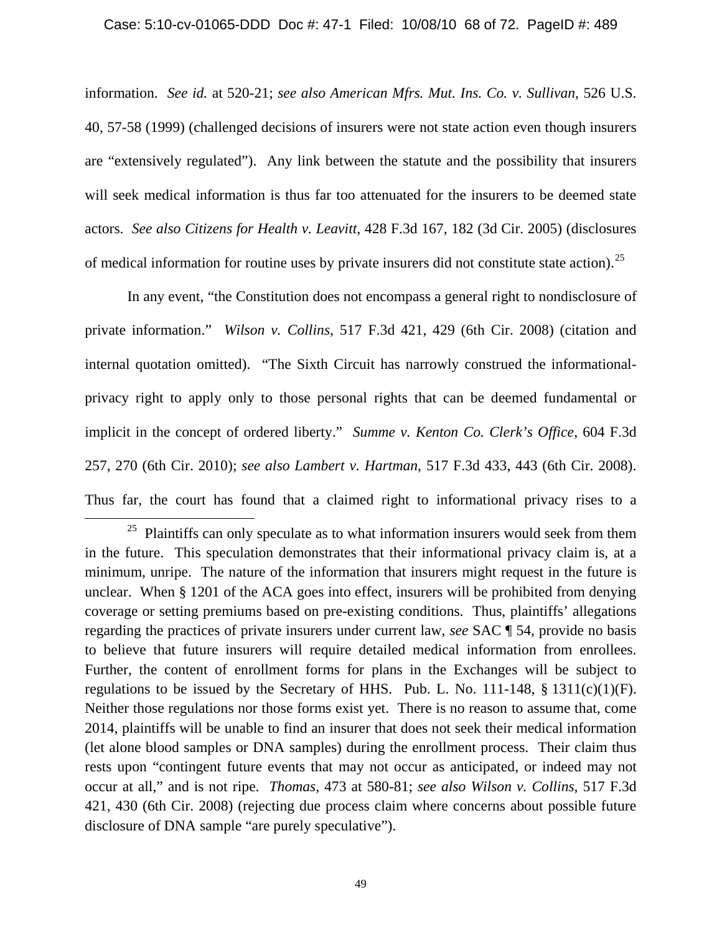information. *See id.* at 520-21; *see also American Mfrs. Mut. Ins. Co. v. Sullivan*, 526 U.S. 40, 57-58 (1999) (challenged decisions of insurers were not state action even though insurers are "extensively regulated"). Any link between the statute and the possibility that insurers will seek medical information is thus far too attenuated for the insurers to be deemed state actors. *See also Citizens for Health v. Leavitt*, 428 F.3d 167, 182 (3d Cir. 2005) (disclosures of medical information for routine uses by private insurers did not constitute state action).[25](#page-67-0)

In any event, "the Constitution does not encompass a general right to nondisclosure of private information." *Wilson v. Collins*, 517 F.3d 421, 429 (6th Cir. 2008) (citation and internal quotation omitted). "The Sixth Circuit has narrowly construed the informationalprivacy right to apply only to those personal rights that can be deemed fundamental or implicit in the concept of ordered liberty." *Summe v. Kenton Co. Clerk's Office*, 604 F.3d 257, 270 (6th Cir. 2010); *see also Lambert v. Hartman*, 517 F.3d 433, 443 (6th Cir. 2008). Thus far, the court has found that a claimed right to informational privacy rises to a

 $\overline{\phantom{0}}$ 

<span id="page-67-0"></span> $25$  Plaintiffs can only speculate as to what information insurers would seek from them in the future. This speculation demonstrates that their informational privacy claim is, at a minimum, unripe. The nature of the information that insurers might request in the future is unclear. When § 1201 of the ACA goes into effect, insurers will be prohibited from denying coverage or setting premiums based on pre-existing conditions. Thus, plaintiffs' allegations regarding the practices of private insurers under current law, *see* SAC ¶ 54, provide no basis to believe that future insurers will require detailed medical information from enrollees. Further, the content of enrollment forms for plans in the Exchanges will be subject to regulations to be issued by the Secretary of HHS. Pub. L. No. 111-148,  $\S$  1311(c)(1)(F). Neither those regulations nor those forms exist yet. There is no reason to assume that, come 2014, plaintiffs will be unable to find an insurer that does not seek their medical information (let alone blood samples or DNA samples) during the enrollment process. Their claim thus rests upon "contingent future events that may not occur as anticipated, or indeed may not occur at all," and is not ripe. *Thomas*, 473 at 580-81; *see also Wilson v. Collins*, 517 F.3d 421, 430 (6th Cir. 2008) (rejecting due process claim where concerns about possible future disclosure of DNA sample "are purely speculative").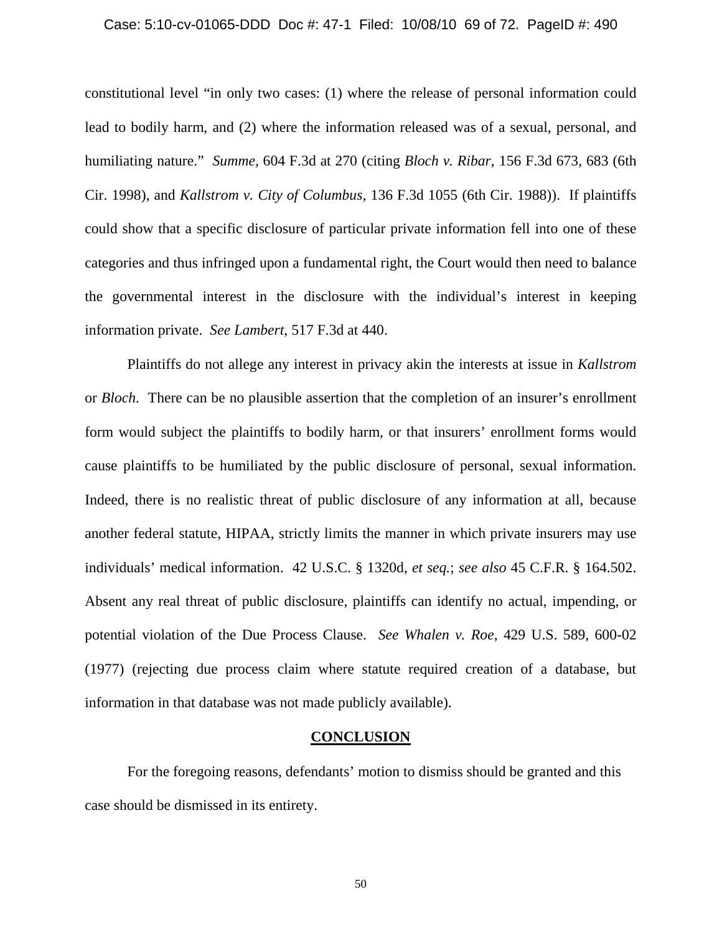#### Case: 5:10-cv-01065-DDD Doc #: 47-1 Filed: 10/08/10 69 of 72. PageID #: 490

constitutional level "in only two cases: (1) where the release of personal information could lead to bodily harm, and (2) where the information released was of a sexual, personal, and humiliating nature." *Summe*, 604 F.3d at 270 (citing *Bloch v. Ribar*, 156 F.3d 673, 683 (6th Cir. 1998), and *Kallstrom v. City of Columbus*, 136 F.3d 1055 (6th Cir. 1988)). If plaintiffs could show that a specific disclosure of particular private information fell into one of these categories and thus infringed upon a fundamental right, the Court would then need to balance the governmental interest in the disclosure with the individual's interest in keeping information private. *See Lambert*, 517 F.3d at 440.

Plaintiffs do not allege any interest in privacy akin the interests at issue in *Kallstrom*  or *Bloch*. There can be no plausible assertion that the completion of an insurer's enrollment form would subject the plaintiffs to bodily harm, or that insurers' enrollment forms would cause plaintiffs to be humiliated by the public disclosure of personal, sexual information. Indeed, there is no realistic threat of public disclosure of any information at all, because another federal statute, HIPAA, strictly limits the manner in which private insurers may use individuals' medical information. 42 U.S.C. § 1320d, *et seq.*; *see also* 45 C.F.R. § 164.502. Absent any real threat of public disclosure, plaintiffs can identify no actual, impending, or potential violation of the Due Process Clause. *See Whalen v. Roe*, 429 U.S. 589, 600-02 (1977) (rejecting due process claim where statute required creation of a database, but information in that database was not made publicly available).

### **CONCLUSION**

For the foregoing reasons, defendants' motion to dismiss should be granted and this case should be dismissed in its entirety.

50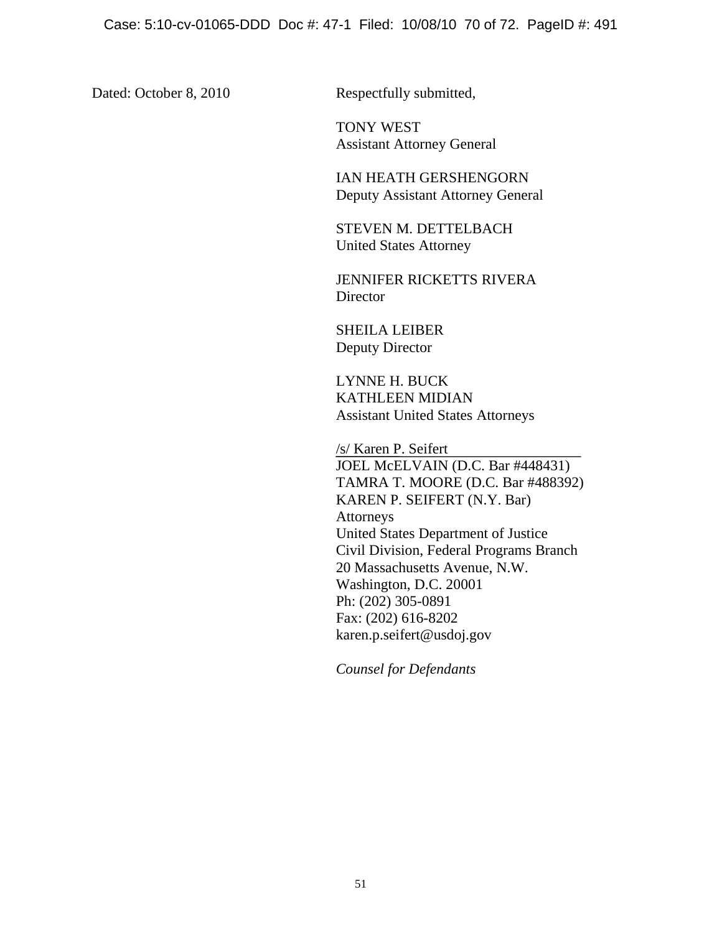Dated: October 8, 2010 Respectfully submitted,

TONY WEST Assistant Attorney General

IAN HEATH GERSHENGORN Deputy Assistant Attorney General

STEVEN M. DETTELBACH United States Attorney

JENNIFER RICKETTS RIVERA **Director** 

SHEILA LEIBER Deputy Director

LYNNE H. BUCK KATHLEEN MIDIAN Assistant United States Attorneys

/s/ Karen P. Seifert

JOEL McELVAIN (D.C. Bar #448431) TAMRA T. MOORE (D.C. Bar #488392) KAREN P. SEIFERT (N.Y. Bar) Attorneys United States Department of Justice Civil Division, Federal Programs Branch 20 Massachusetts Avenue, N.W. Washington, D.C. 20001 Ph: (202) 305-0891 Fax: (202) 616-8202 karen.p.seifert@usdoj.gov

*Counsel for Defendants*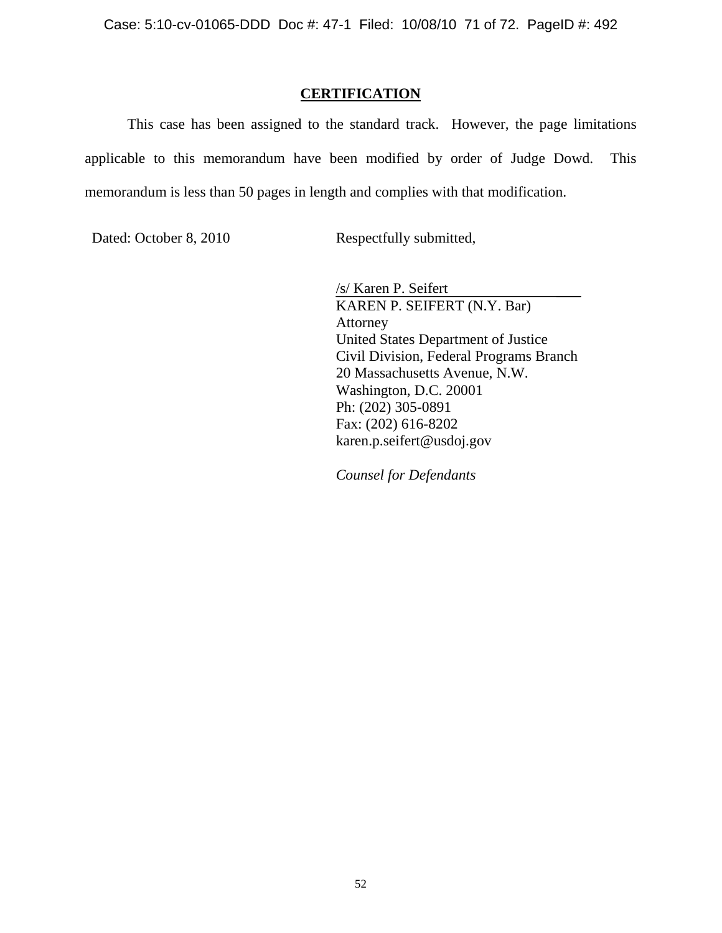### **CERTIFICATION**

This case has been assigned to the standard track. However, the page limitations applicable to this memorandum have been modified by order of Judge Dowd. This memorandum is less than 50 pages in length and complies with that modification.

Dated: October 8, 2010 Respectfully submitted,

/s/ Karen P. Seifert KAREN P. SEIFERT (N.Y. Bar) Attorney United States Department of Justice Civil Division, Federal Programs Branch 20 Massachusetts Avenue, N.W. Washington, D.C. 20001 Ph: (202) 305-0891 Fax: (202) 616-8202 karen.p.seifert@usdoj.gov

*Counsel for Defendants*